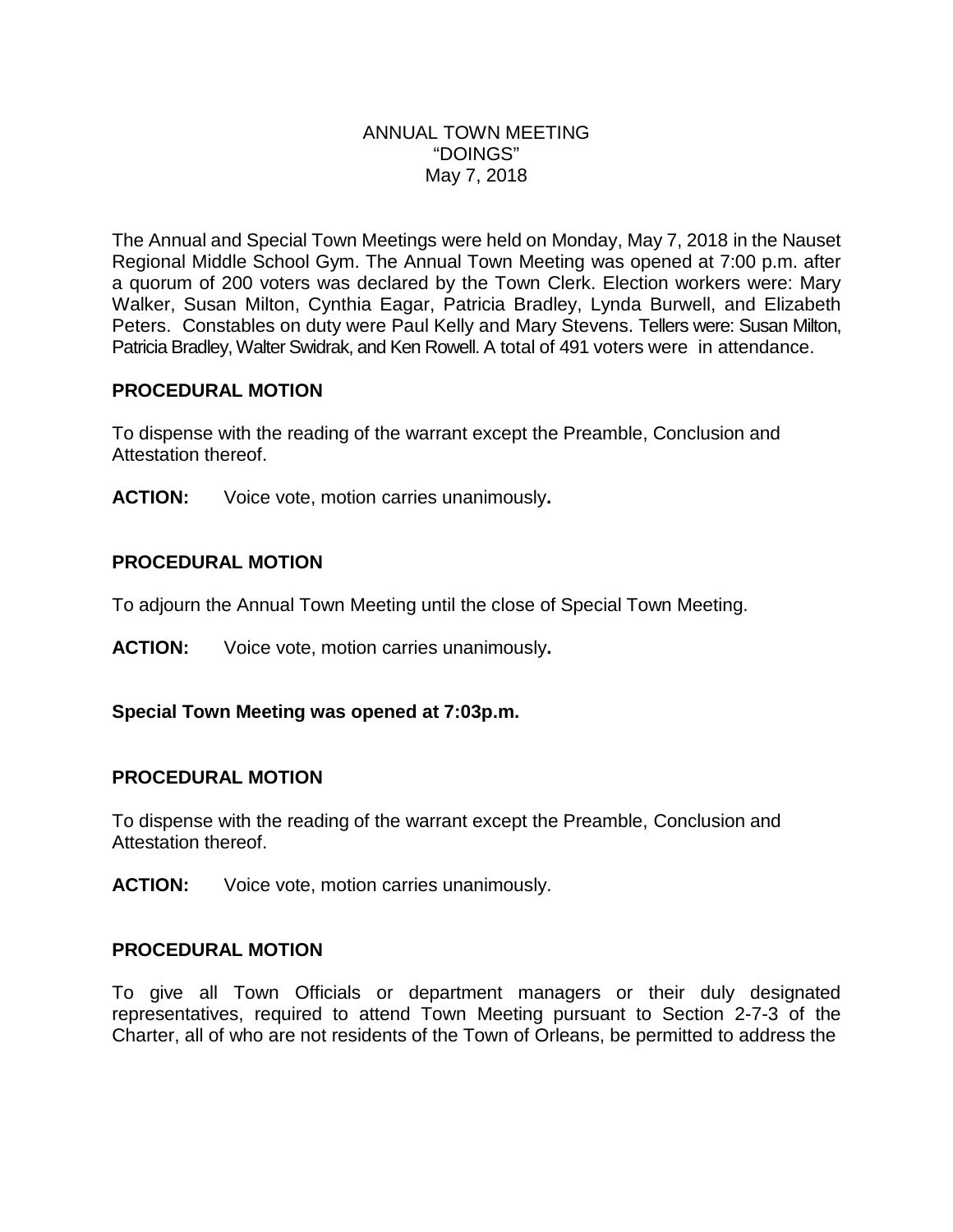#### ANNUAL TOWN MEETING "DOINGS" May 7, 2018

The Annual and Special Town Meetings were held on Monday, May 7, 2018 in the Nauset Regional Middle School Gym. The Annual Town Meeting was opened at 7:00 p.m. after a quorum of 200 voters was declared by the Town Clerk. Election workers were: Mary Walker, Susan Milton, Cynthia Eagar, Patricia Bradley, Lynda Burwell, and Elizabeth Peters. Constables on duty were Paul Kelly and Mary Stevens. Tellers were: Susan Milton, Patricia Bradley, Walter Swidrak, and Ken Rowell. A total of 491 voters were in attendance.

# **PROCEDURAL MOTION**

To dispense with the reading of the warrant except the Preamble, Conclusion and Attestation thereof.

**ACTION:** Voice vote, motion carries unanimously**.**

# **PROCEDURAL MOTION**

To adjourn the Annual Town Meeting until the close of Special Town Meeting.

**ACTION:** Voice vote, motion carries unanimously**.**

# **Special Town Meeting was opened at 7:03p.m.**

#### **PROCEDURAL MOTION**

To dispense with the reading of the warrant except the Preamble, Conclusion and Attestation thereof.

**ACTION:** Voice vote, motion carries unanimously.

# **PROCEDURAL MOTION**

To give all Town Officials or department managers or their duly designated representatives, required to attend Town Meeting pursuant to Section 2-7-3 of the Charter, all of who are not residents of the Town of Orleans, be permitted to address the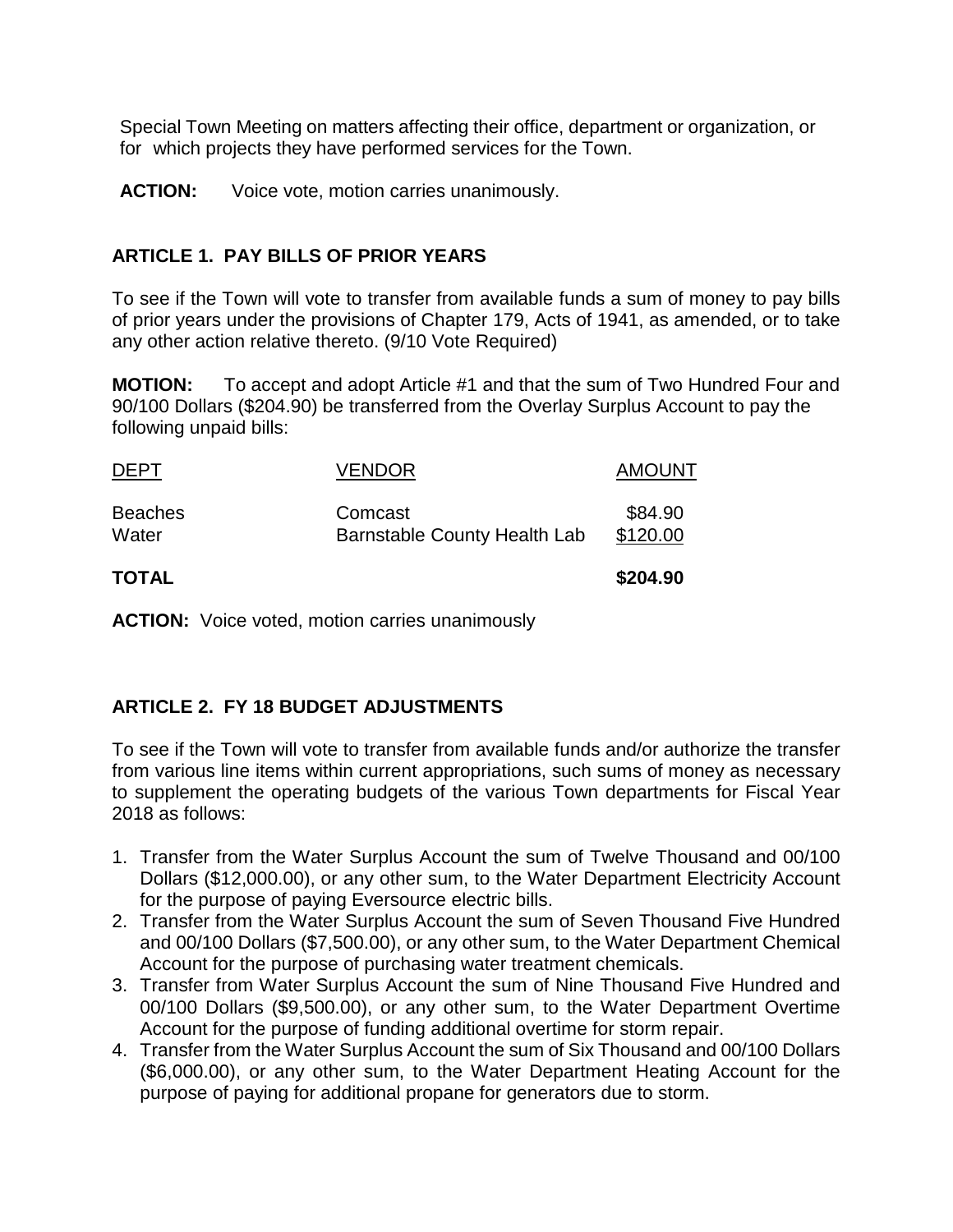Special Town Meeting on matters affecting their office, department or organization, or for which projects they have performed services for the Town.

ACTION: Voice vote, motion carries unanimously.

#### **ARTICLE 1. PAY BILLS OF PRIOR YEARS**

To see if the Town will vote to transfer from available funds a sum of money to pay bills of prior years under the provisions of Chapter 179, Acts of 1941, as amended, or to take any other action relative thereto. (9/10 Vote Required)

**MOTION:** To accept and adopt Article #1 and that the sum of Two Hundred Four and 90/100 Dollars (\$204.90) be transferred from the Overlay Surplus Account to pay the following unpaid bills:

| <b>TOTAL</b>            |                                                | \$204.90            |
|-------------------------|------------------------------------------------|---------------------|
| <b>Beaches</b><br>Water | Comcast<br><b>Barnstable County Health Lab</b> | \$84.90<br>\$120.00 |
| <b>DEPT</b>             | <b>VENDOR</b>                                  | <b>AMOUNT</b>       |

**ACTION:** Voice voted, motion carries unanimously

# **ARTICLE 2. FY 18 BUDGET ADJUSTMENTS**

To see if the Town will vote to transfer from available funds and/or authorize the transfer from various line items within current appropriations, such sums of money as necessary to supplement the operating budgets of the various Town departments for Fiscal Year 2018 as follows:

- 1. Transfer from the Water Surplus Account the sum of Twelve Thousand and 00/100 Dollars (\$12,000.00), or any other sum, to the Water Department Electricity Account for the purpose of paying Eversource electric bills.
- 2. Transfer from the Water Surplus Account the sum of Seven Thousand Five Hundred and 00/100 Dollars (\$7,500.00), or any other sum, to the Water Department Chemical Account for the purpose of purchasing water treatment chemicals.
- 3. Transfer from Water Surplus Account the sum of Nine Thousand Five Hundred and 00/100 Dollars (\$9,500.00), or any other sum, to the Water Department Overtime Account for the purpose of funding additional overtime for storm repair.
- 4. Transfer from the Water Surplus Account the sum of Six Thousand and 00/100 Dollars (\$6,000.00), or any other sum, to the Water Department Heating Account for the purpose of paying for additional propane for generators due to storm.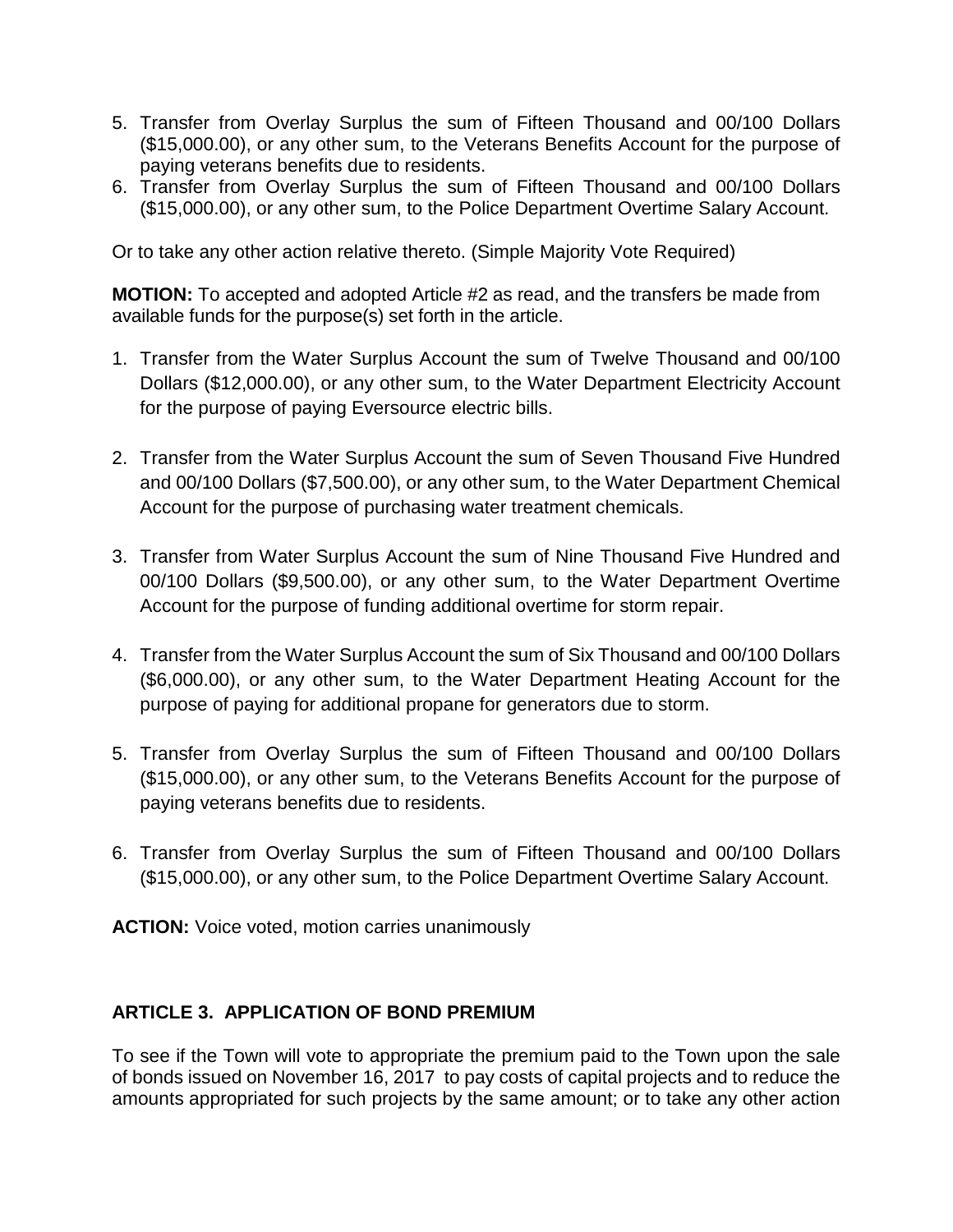- 5. Transfer from Overlay Surplus the sum of Fifteen Thousand and 00/100 Dollars (\$15,000.00), or any other sum, to the Veterans Benefits Account for the purpose of paying veterans benefits due to residents.
- 6. Transfer from Overlay Surplus the sum of Fifteen Thousand and 00/100 Dollars (\$15,000.00), or any other sum, to the Police Department Overtime Salary Account.

Or to take any other action relative thereto. (Simple Majority Vote Required)

**MOTION:** To accepted and adopted Article #2 as read, and the transfers be made from available funds for the purpose(s) set forth in the article.

- 1. Transfer from the Water Surplus Account the sum of Twelve Thousand and 00/100 Dollars (\$12,000.00), or any other sum, to the Water Department Electricity Account for the purpose of paying Eversource electric bills.
- 2. Transfer from the Water Surplus Account the sum of Seven Thousand Five Hundred and 00/100 Dollars (\$7,500.00), or any other sum, to the Water Department Chemical Account for the purpose of purchasing water treatment chemicals.
- 3. Transfer from Water Surplus Account the sum of Nine Thousand Five Hundred and 00/100 Dollars (\$9,500.00), or any other sum, to the Water Department Overtime Account for the purpose of funding additional overtime for storm repair.
- 4. Transfer from the Water Surplus Account the sum of Six Thousand and 00/100 Dollars (\$6,000.00), or any other sum, to the Water Department Heating Account for the purpose of paying for additional propane for generators due to storm.
- 5. Transfer from Overlay Surplus the sum of Fifteen Thousand and 00/100 Dollars (\$15,000.00), or any other sum, to the Veterans Benefits Account for the purpose of paying veterans benefits due to residents.
- 6. Transfer from Overlay Surplus the sum of Fifteen Thousand and 00/100 Dollars (\$15,000.00), or any other sum, to the Police Department Overtime Salary Account.

**ACTION:** Voice voted, motion carries unanimously

# **ARTICLE 3. APPLICATION OF BOND PREMIUM**

To see if the Town will vote to appropriate the premium paid to the Town upon the sale of bonds issued on November 16, 2017 to pay costs of capital projects and to reduce the amounts appropriated for such projects by the same amount; or to take any other action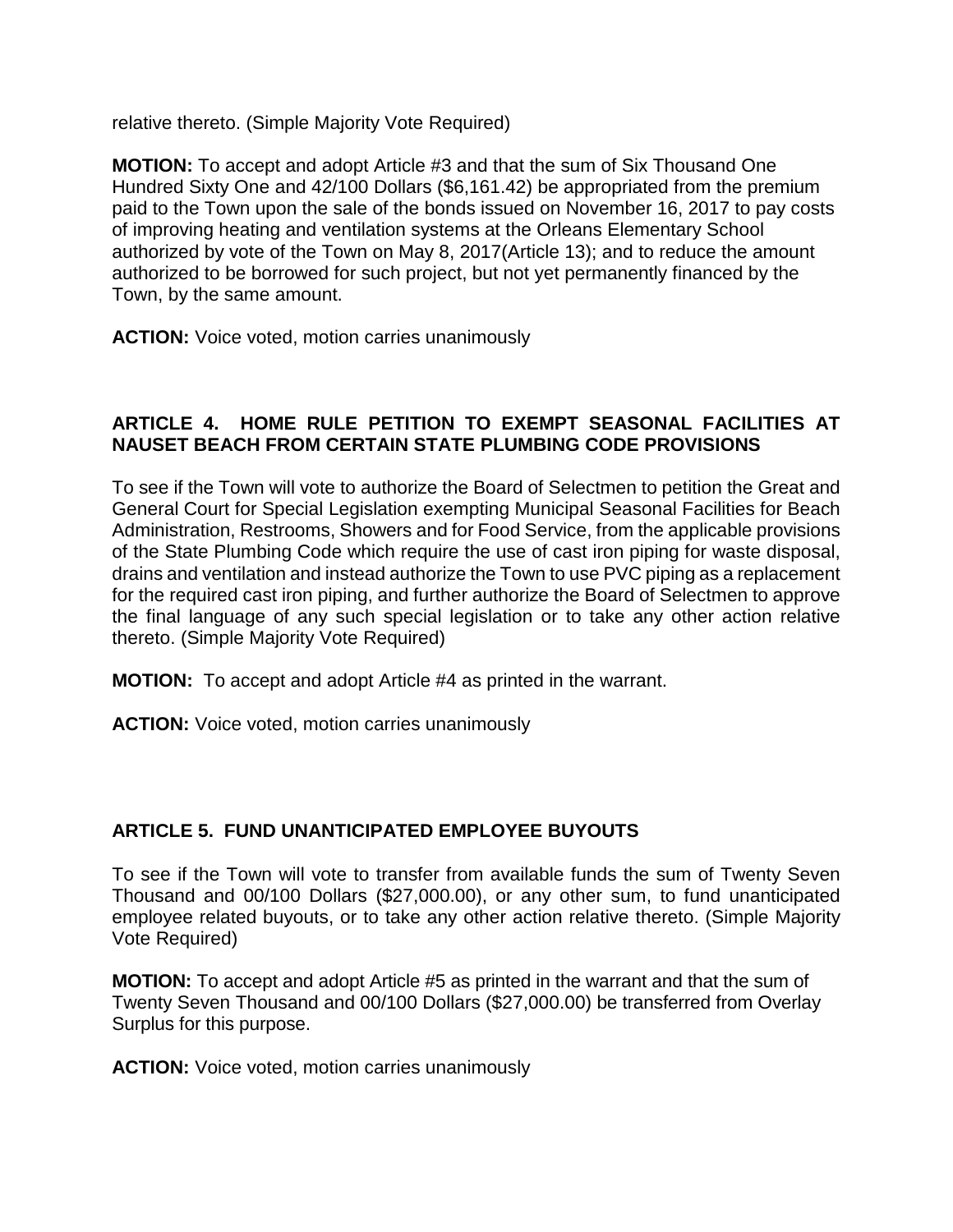relative thereto. (Simple Majority Vote Required)

**MOTION:** To accept and adopt Article #3 and that the sum of Six Thousand One Hundred Sixty One and 42/100 Dollars (\$6,161.42) be appropriated from the premium paid to the Town upon the sale of the bonds issued on November 16, 2017 to pay costs of improving heating and ventilation systems at the Orleans Elementary School authorized by vote of the Town on May 8, 2017(Article 13); and to reduce the amount authorized to be borrowed for such project, but not yet permanently financed by the Town, by the same amount.

**ACTION:** Voice voted, motion carries unanimously

# **ARTICLE 4. HOME RULE PETITION TO EXEMPT SEASONAL FACILITIES AT NAUSET BEACH FROM CERTAIN STATE PLUMBING CODE PROVISIONS**

To see if the Town will vote to authorize the Board of Selectmen to petition the Great and General Court for Special Legislation exempting Municipal Seasonal Facilities for Beach Administration, Restrooms, Showers and for Food Service, from the applicable provisions of the State Plumbing Code which require the use of cast iron piping for waste disposal, drains and ventilation and instead authorize the Town to use PVC piping as a replacement for the required cast iron piping, and further authorize the Board of Selectmen to approve the final language of any such special legislation or to take any other action relative thereto. (Simple Majority Vote Required)

**MOTION:** To accept and adopt Article #4 as printed in the warrant.

**ACTION:** Voice voted, motion carries unanimously

#### **ARTICLE 5. FUND UNANTICIPATED EMPLOYEE BUYOUTS**

To see if the Town will vote to transfer from available funds the sum of Twenty Seven Thousand and 00/100 Dollars (\$27,000.00), or any other sum, to fund unanticipated employee related buyouts, or to take any other action relative thereto. (Simple Majority Vote Required)

**MOTION:** To accept and adopt Article #5 as printed in the warrant and that the sum of Twenty Seven Thousand and 00/100 Dollars (\$27,000.00) be transferred from Overlay Surplus for this purpose.

**ACTION:** Voice voted, motion carries unanimously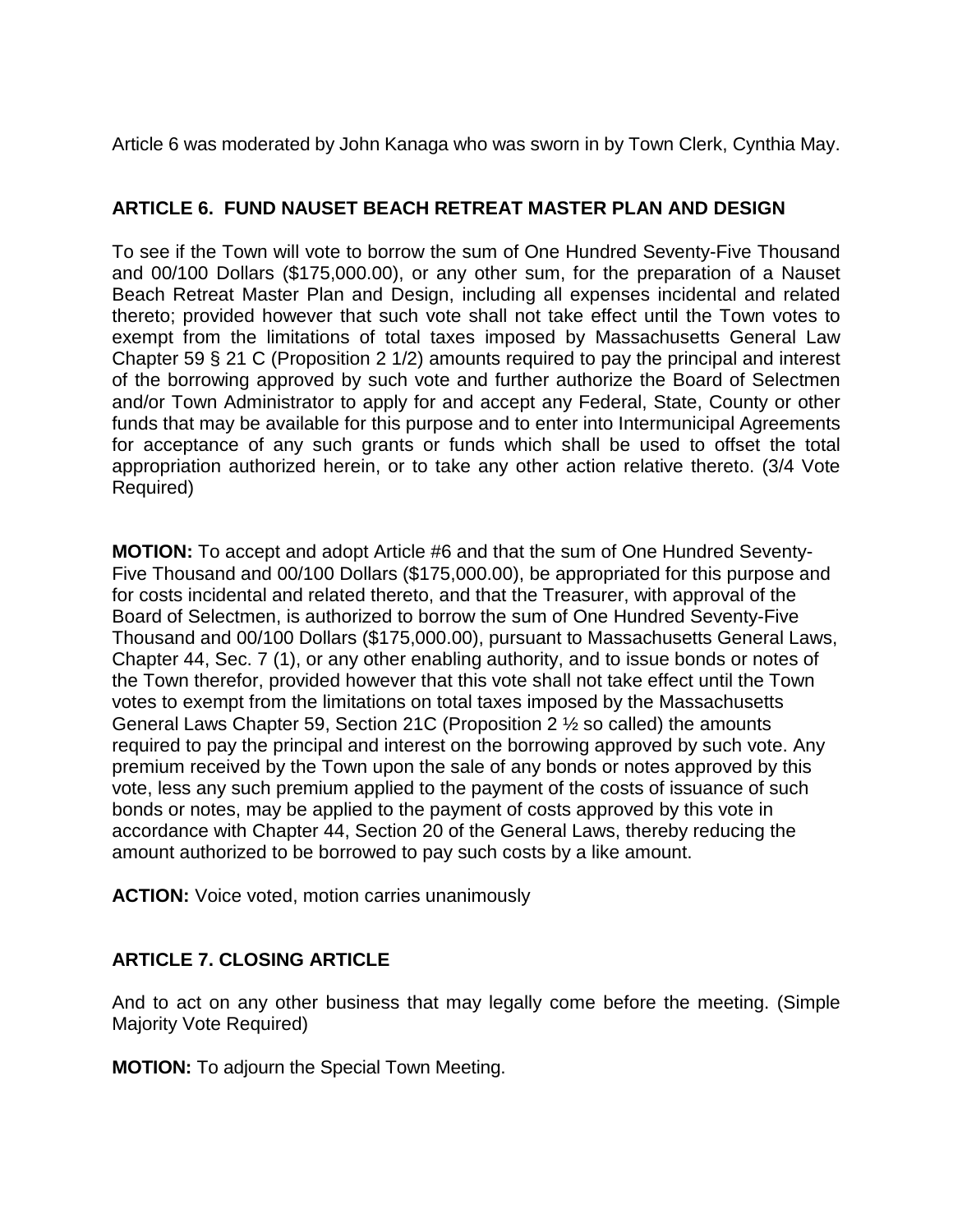Article 6 was moderated by John Kanaga who was sworn in by Town Clerk, Cynthia May.

# **ARTICLE 6. FUND NAUSET BEACH RETREAT MASTER PLAN AND DESIGN**

To see if the Town will vote to borrow the sum of One Hundred Seventy-Five Thousand and 00/100 Dollars (\$175,000.00), or any other sum, for the preparation of a Nauset Beach Retreat Master Plan and Design, including all expenses incidental and related thereto; provided however that such vote shall not take effect until the Town votes to exempt from the limitations of total taxes imposed by Massachusetts General Law Chapter 59 § 21 C (Proposition 2 1/2) amounts required to pay the principal and interest of the borrowing approved by such vote and further authorize the Board of Selectmen and/or Town Administrator to apply for and accept any Federal, State, County or other funds that may be available for this purpose and to enter into Intermunicipal Agreements for acceptance of any such grants or funds which shall be used to offset the total appropriation authorized herein, or to take any other action relative thereto. (3/4 Vote Required)

**MOTION:** To accept and adopt Article #6 and that the sum of One Hundred Seventy-Five Thousand and 00/100 Dollars (\$175,000.00), be appropriated for this purpose and for costs incidental and related thereto, and that the Treasurer, with approval of the Board of Selectmen, is authorized to borrow the sum of One Hundred Seventy-Five Thousand and 00/100 Dollars (\$175,000.00), pursuant to Massachusetts General Laws, Chapter 44, Sec. 7 (1), or any other enabling authority, and to issue bonds or notes of the Town therefor, provided however that this vote shall not take effect until the Town votes to exempt from the limitations on total taxes imposed by the Massachusetts General Laws Chapter 59, Section 21C (Proposition 2 ½ so called) the amounts required to pay the principal and interest on the borrowing approved by such vote. Any premium received by the Town upon the sale of any bonds or notes approved by this vote, less any such premium applied to the payment of the costs of issuance of such bonds or notes, may be applied to the payment of costs approved by this vote in accordance with Chapter 44, Section 20 of the General Laws, thereby reducing the amount authorized to be borrowed to pay such costs by a like amount.

**ACTION:** Voice voted, motion carries unanimously

# **ARTICLE 7. CLOSING ARTICLE**

And to act on any other business that may legally come before the meeting. (Simple Majority Vote Required)

**MOTION:** To adjourn the Special Town Meeting.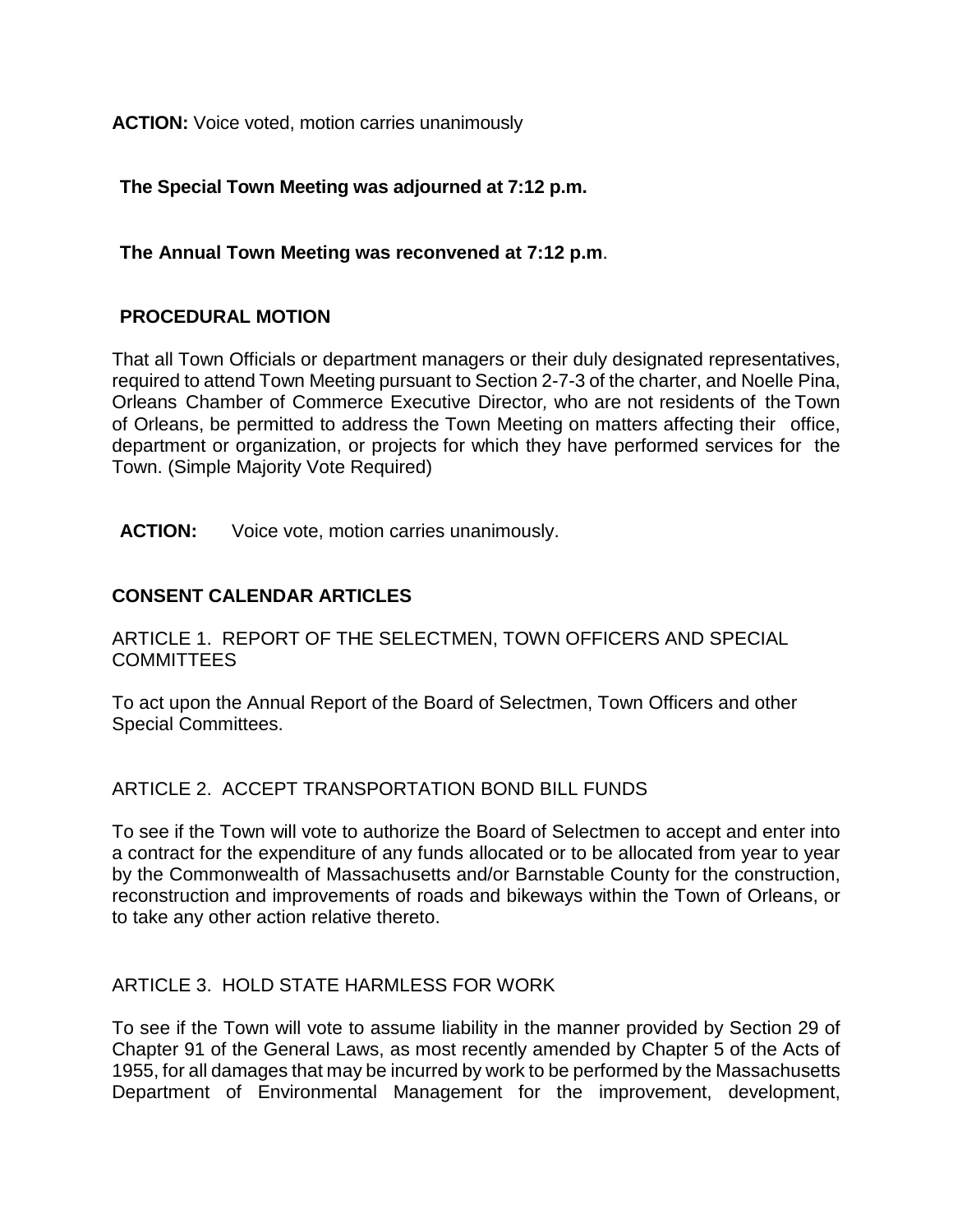**ACTION:** Voice voted, motion carries unanimously

**The Special Town Meeting was adjourned at 7:12 p.m.**

# **The Annual Town Meeting was reconvened at 7:12 p.m**.

# **PROCEDURAL MOTION**

That all Town Officials or department managers or their duly designated representatives, required to attend Town Meeting pursuant to Section 2-7-3 of the charter, and Noelle Pina, Orleans Chamber of Commerce Executive Director*,* who are not residents of the Town of Orleans, be permitted to address the Town Meeting on matters affecting their office, department or organization, or projects for which they have performed services for the Town. (Simple Majority Vote Required)

**ACTION:** Voice vote, motion carries unanimously.

# **CONSENT CALENDAR ARTICLES**

ARTICLE 1. REPORT OF THE SELECTMEN, TOWN OFFICERS AND SPECIAL **COMMITTEES** 

To act upon the Annual Report of the Board of Selectmen, Town Officers and other Special Committees.

#### ARTICLE 2. ACCEPT TRANSPORTATION BOND BILL FUNDS

To see if the Town will vote to authorize the Board of Selectmen to accept and enter into a contract for the expenditure of any funds allocated or to be allocated from year to year by the Commonwealth of Massachusetts and/or Barnstable County for the construction, reconstruction and improvements of roads and bikeways within the Town of Orleans, or to take any other action relative thereto.

#### ARTICLE 3. HOLD STATE HARMLESS FOR WORK

To see if the Town will vote to assume liability in the manner provided by Section 29 of Chapter 91 of the General Laws, as most recently amended by Chapter 5 of the Acts of 1955, for all damages that may be incurred by work to be performed by the Massachusetts Department of Environmental Management for the improvement, development,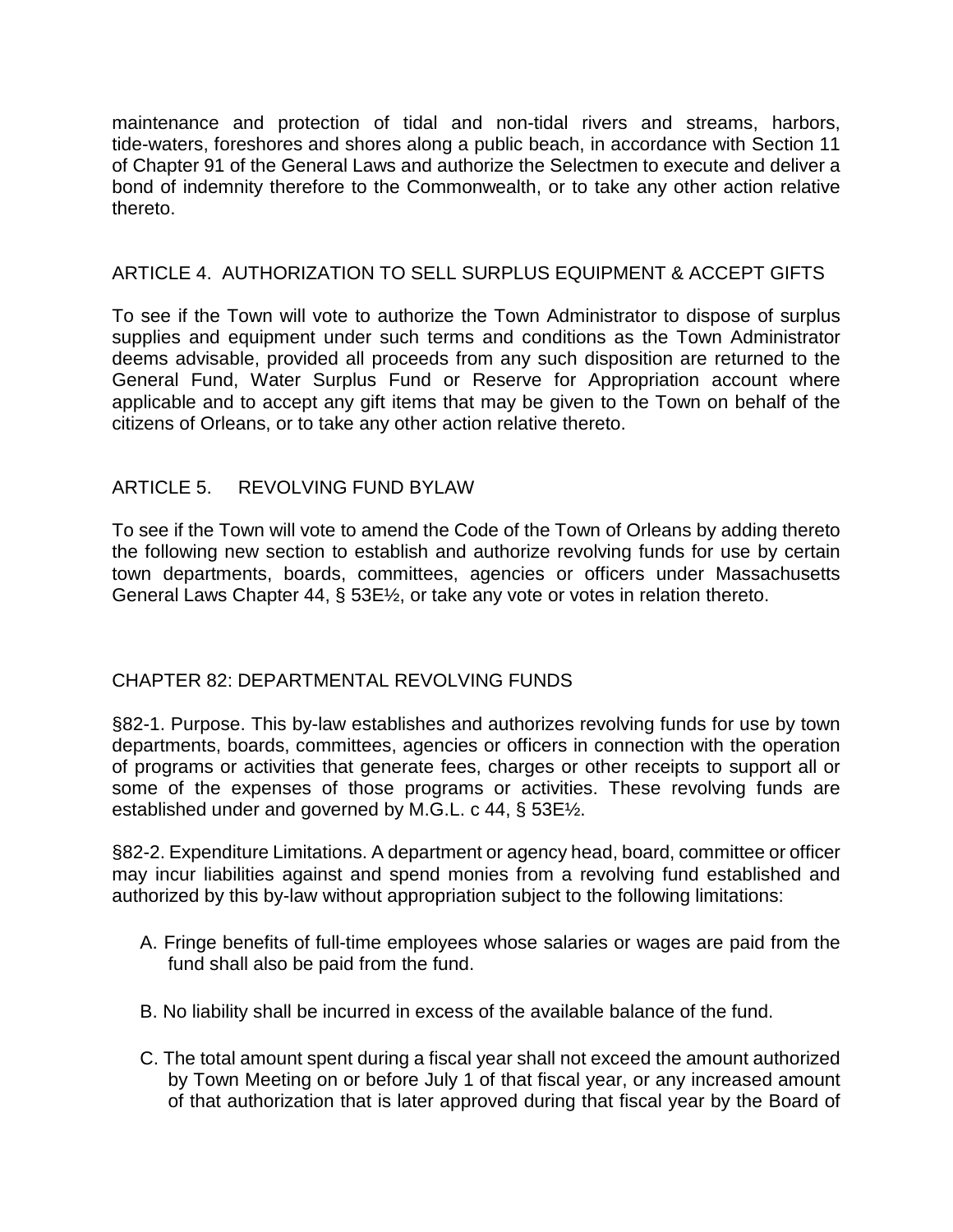maintenance and protection of tidal and non-tidal rivers and streams, harbors, tide-waters, foreshores and shores along a public beach, in accordance with Section 11 of Chapter 91 of the General Laws and authorize the Selectmen to execute and deliver a bond of indemnity therefore to the Commonwealth, or to take any other action relative thereto.

# ARTICLE 4. AUTHORIZATION TO SELL SURPLUS EQUIPMENT & ACCEPT GIFTS

To see if the Town will vote to authorize the Town Administrator to dispose of surplus supplies and equipment under such terms and conditions as the Town Administrator deems advisable, provided all proceeds from any such disposition are returned to the General Fund, Water Surplus Fund or Reserve for Appropriation account where applicable and to accept any gift items that may be given to the Town on behalf of the citizens of Orleans, or to take any other action relative thereto.

# ARTICLE 5. REVOLVING FUND BYLAW

To see if the Town will vote to amend the Code of the Town of Orleans by adding thereto the following new section to establish and authorize revolving funds for use by certain town departments, boards, committees, agencies or officers under Massachusetts General Laws Chapter 44, § 53E½, or take any vote or votes in relation thereto.

#### CHAPTER 82: DEPARTMENTAL REVOLVING FUNDS

§82-1. Purpose. This by-law establishes and authorizes revolving funds for use by town departments, boards, committees, agencies or officers in connection with the operation of programs or activities that generate fees, charges or other receipts to support all or some of the expenses of those programs or activities. These revolving funds are established under and governed by M.G.L. c 44, § 53E½.

§82-2. Expenditure Limitations. A department or agency head, board, committee or officer may incur liabilities against and spend monies from a revolving fund established and authorized by this by-law without appropriation subject to the following limitations:

- A. Fringe benefits of full-time employees whose salaries or wages are paid from the fund shall also be paid from the fund.
- B. No liability shall be incurred in excess of the available balance of the fund.
- C. The total amount spent during a fiscal year shall not exceed the amount authorized by Town Meeting on or before July 1 of that fiscal year, or any increased amount of that authorization that is later approved during that fiscal year by the Board of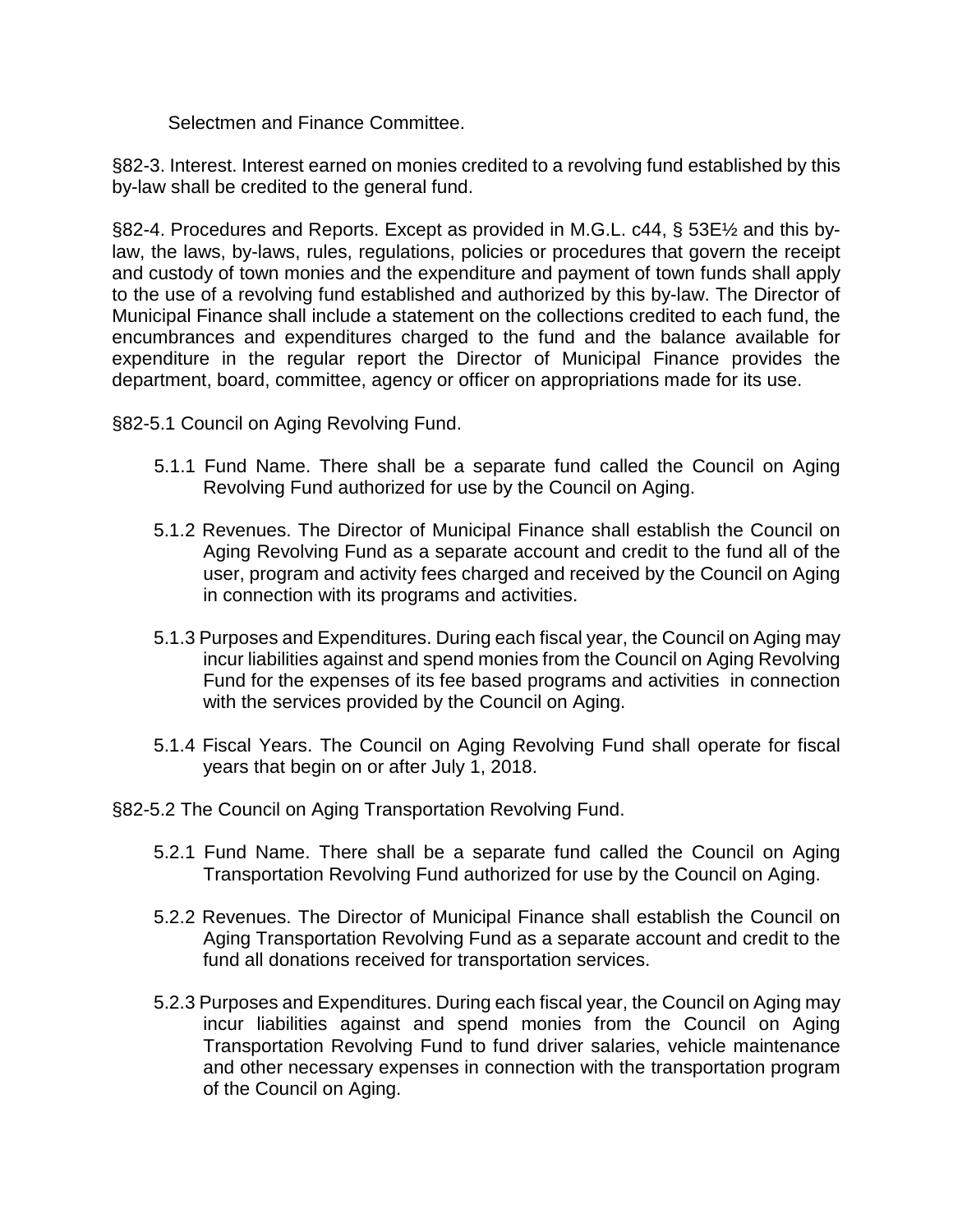Selectmen and Finance Committee.

§82-3. Interest. Interest earned on monies credited to a revolving fund established by this by-law shall be credited to the general fund.

§82-4. Procedures and Reports. Except as provided in M.G.L. c44, § 53E1⁄2 and this bylaw, the laws, by-laws, rules, regulations, policies or procedures that govern the receipt and custody of town monies and the expenditure and payment of town funds shall apply to the use of a revolving fund established and authorized by this by-law. The Director of Municipal Finance shall include a statement on the collections credited to each fund, the encumbrances and expenditures charged to the fund and the balance available for expenditure in the regular report the Director of Municipal Finance provides the department, board, committee, agency or officer on appropriations made for its use.

§82-5.1 Council on Aging Revolving Fund.

- 5.1.1 Fund Name. There shall be a separate fund called the Council on Aging Revolving Fund authorized for use by the Council on Aging.
- 5.1.2 Revenues. The Director of Municipal Finance shall establish the Council on Aging Revolving Fund as a separate account and credit to the fund all of the user, program and activity fees charged and received by the Council on Aging in connection with its programs and activities.
- 5.1.3 Purposes and Expenditures. During each fiscal year, the Council on Aging may incur liabilities against and spend monies from the Council on Aging Revolving Fund for the expenses of its fee based programs and activities in connection with the services provided by the Council on Aging.
- 5.1.4 Fiscal Years. The Council on Aging Revolving Fund shall operate for fiscal years that begin on or after July 1, 2018.
- §82-5.2 The Council on Aging Transportation Revolving Fund.
	- 5.2.1 Fund Name. There shall be a separate fund called the Council on Aging Transportation Revolving Fund authorized for use by the Council on Aging.
	- 5.2.2 Revenues. The Director of Municipal Finance shall establish the Council on Aging Transportation Revolving Fund as a separate account and credit to the fund all donations received for transportation services.
	- 5.2.3 Purposes and Expenditures. During each fiscal year, the Council on Aging may incur liabilities against and spend monies from the Council on Aging Transportation Revolving Fund to fund driver salaries, vehicle maintenance and other necessary expenses in connection with the transportation program of the Council on Aging.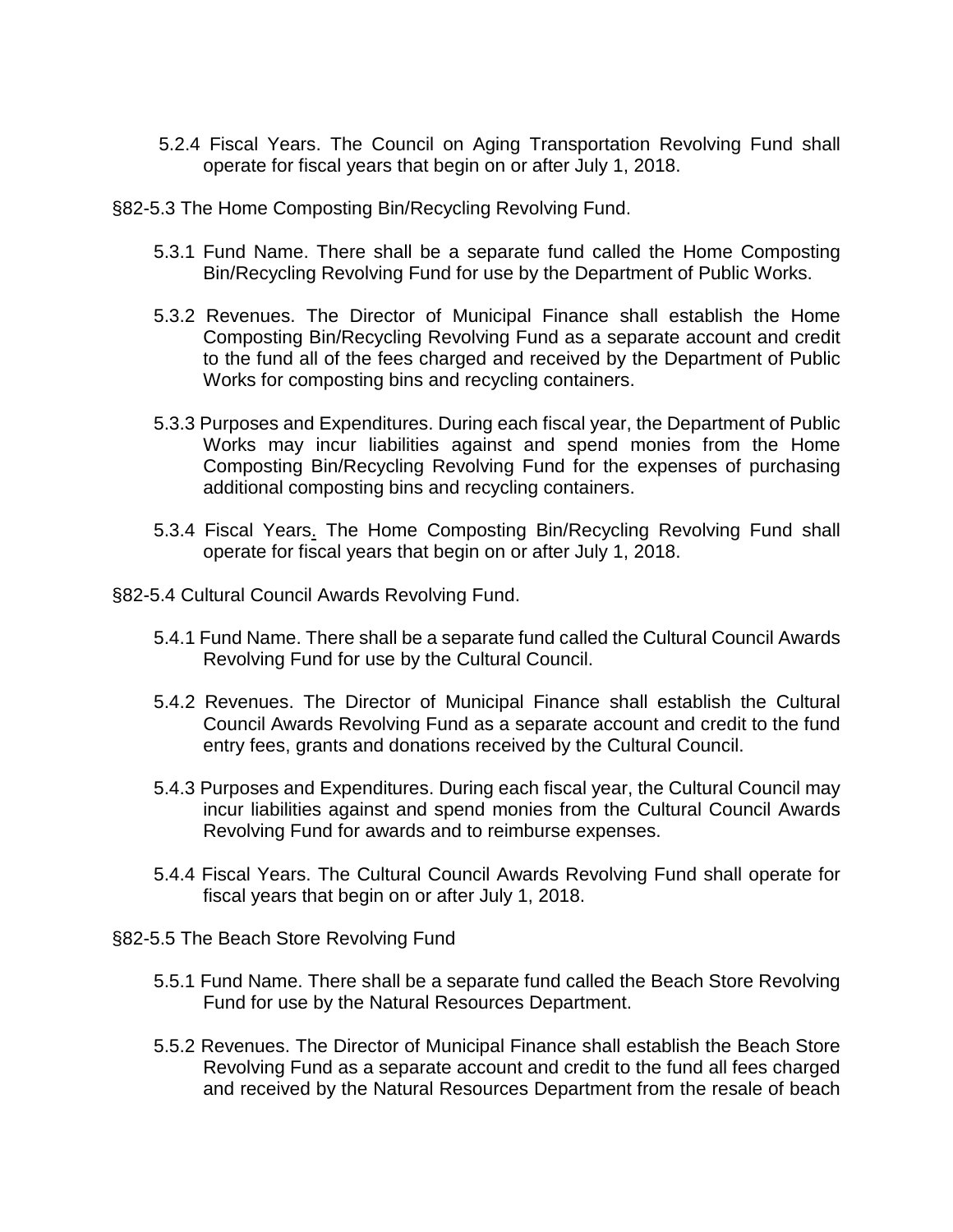- 5.2.4 Fiscal Years. The Council on Aging Transportation Revolving Fund shall operate for fiscal years that begin on or after July 1, 2018.
- §82-5.3 The Home Composting Bin/Recycling Revolving Fund.
	- 5.3.1 Fund Name. There shall be a separate fund called the Home Composting Bin/Recycling Revolving Fund for use by the Department of Public Works.
	- 5.3.2 Revenues. The Director of Municipal Finance shall establish the Home Composting Bin/Recycling Revolving Fund as a separate account and credit to the fund all of the fees charged and received by the Department of Public Works for composting bins and recycling containers.
	- 5.3.3 Purposes and Expenditures. During each fiscal year, the Department of Public Works may incur liabilities against and spend monies from the Home Composting Bin/Recycling Revolving Fund for the expenses of purchasing additional composting bins and recycling containers.
	- 5.3.4 Fiscal Years. The Home Composting Bin/Recycling Revolving Fund shall operate for fiscal years that begin on or after July 1, 2018.
- §82-5.4 Cultural Council Awards Revolving Fund.
	- 5.4.1 Fund Name. There shall be a separate fund called the Cultural Council Awards Revolving Fund for use by the Cultural Council.
	- 5.4.2 Revenues. The Director of Municipal Finance shall establish the Cultural Council Awards Revolving Fund as a separate account and credit to the fund entry fees, grants and donations received by the Cultural Council.
	- 5.4.3 Purposes and Expenditures. During each fiscal year, the Cultural Council may incur liabilities against and spend monies from the Cultural Council Awards Revolving Fund for awards and to reimburse expenses.
	- 5.4.4 Fiscal Years. The Cultural Council Awards Revolving Fund shall operate for fiscal years that begin on or after July 1, 2018.
- §82-5.5 The Beach Store Revolving Fund
	- 5.5.1 Fund Name. There shall be a separate fund called the Beach Store Revolving Fund for use by the Natural Resources Department.
	- 5.5.2 Revenues. The Director of Municipal Finance shall establish the Beach Store Revolving Fund as a separate account and credit to the fund all fees charged and received by the Natural Resources Department from the resale of beach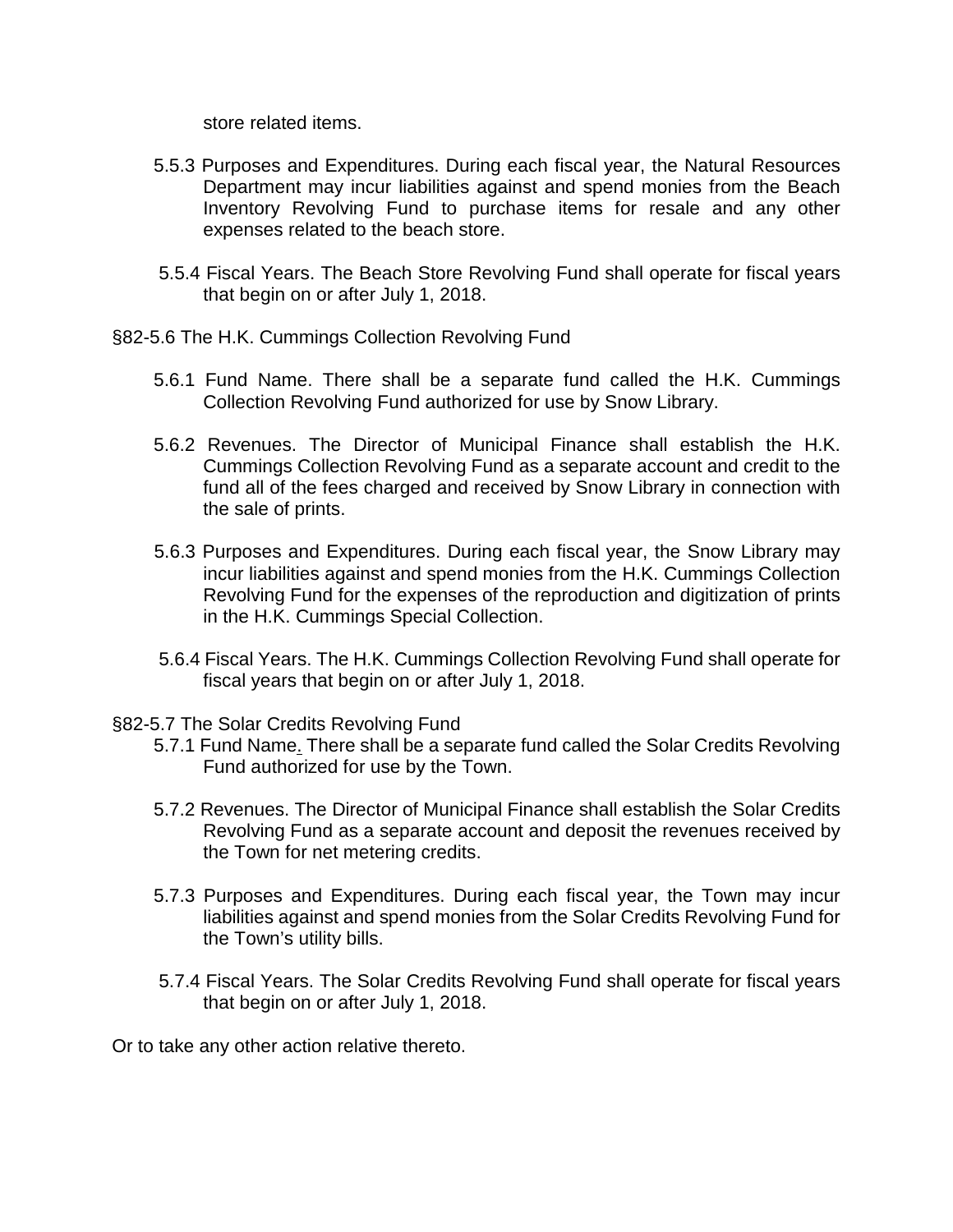store related items.

- 5.5.3 Purposes and Expenditures. During each fiscal year, the Natural Resources Department may incur liabilities against and spend monies from the Beach Inventory Revolving Fund to purchase items for resale and any other expenses related to the beach store.
- 5.5.4 Fiscal Years. The Beach Store Revolving Fund shall operate for fiscal years that begin on or after July 1, 2018.
- §82-5.6 The H.K. Cummings Collection Revolving Fund
	- 5.6.1 Fund Name. There shall be a separate fund called the H.K. Cummings Collection Revolving Fund authorized for use by Snow Library.
	- 5.6.2 Revenues. The Director of Municipal Finance shall establish the H.K. Cummings Collection Revolving Fund as a separate account and credit to the fund all of the fees charged and received by Snow Library in connection with the sale of prints.
	- 5.6.3 Purposes and Expenditures. During each fiscal year, the Snow Library may incur liabilities against and spend monies from the H.K. Cummings Collection Revolving Fund for the expenses of the reproduction and digitization of prints in the H.K. Cummings Special Collection.
	- 5.6.4 Fiscal Years. The H.K. Cummings Collection Revolving Fund shall operate for fiscal years that begin on or after July 1, 2018.
- §82-5.7 The Solar Credits Revolving Fund
	- 5.7.1 Fund Name. There shall be a separate fund called the Solar Credits Revolving Fund authorized for use by the Town.
	- 5.7.2 Revenues. The Director of Municipal Finance shall establish the Solar Credits Revolving Fund as a separate account and deposit the revenues received by the Town for net metering credits.
	- 5.7.3 Purposes and Expenditures. During each fiscal year, the Town may incur liabilities against and spend monies from the Solar Credits Revolving Fund for the Town's utility bills.
	- 5.7.4 Fiscal Years. The Solar Credits Revolving Fund shall operate for fiscal years that begin on or after July 1, 2018.

Or to take any other action relative thereto.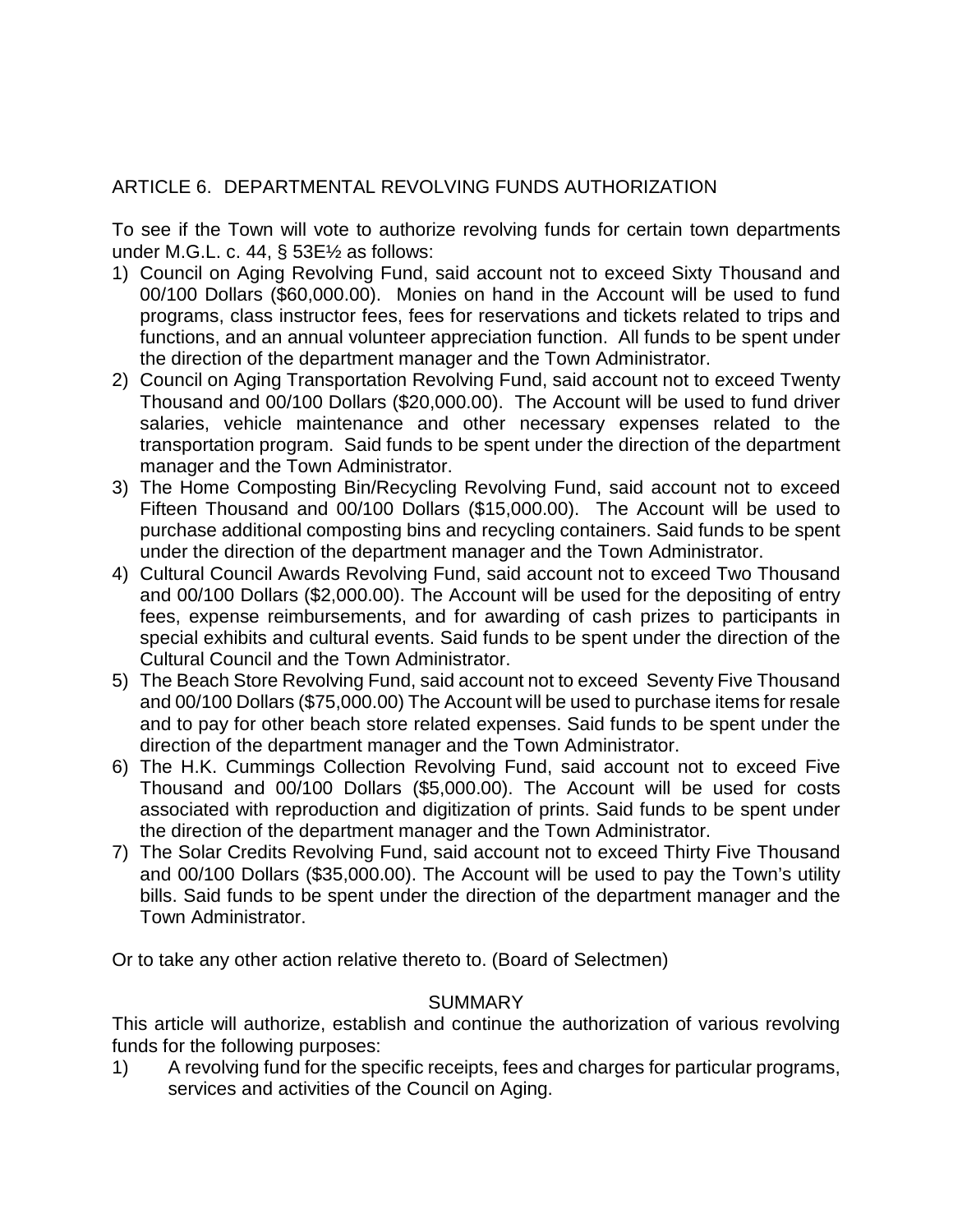# ARTICLE 6. DEPARTMENTAL REVOLVING FUNDS AUTHORIZATION

To see if the Town will vote to authorize revolving funds for certain town departments under M.G.L. c. 44, § 53E½ as follows:

- 1) Council on Aging Revolving Fund, said account not to exceed Sixty Thousand and 00/100 Dollars (\$60,000.00). Monies on hand in the Account will be used to fund programs, class instructor fees, fees for reservations and tickets related to trips and functions, and an annual volunteer appreciation function. All funds to be spent under the direction of the department manager and the Town Administrator.
- 2) Council on Aging Transportation Revolving Fund, said account not to exceed Twenty Thousand and 00/100 Dollars (\$20,000.00). The Account will be used to fund driver salaries, vehicle maintenance and other necessary expenses related to the transportation program. Said funds to be spent under the direction of the department manager and the Town Administrator.
- 3) The Home Composting Bin/Recycling Revolving Fund, said account not to exceed Fifteen Thousand and 00/100 Dollars (\$15,000.00). The Account will be used to purchase additional composting bins and recycling containers. Said funds to be spent under the direction of the department manager and the Town Administrator.
- 4) Cultural Council Awards Revolving Fund, said account not to exceed Two Thousand and 00/100 Dollars (\$2,000.00). The Account will be used for the depositing of entry fees, expense reimbursements, and for awarding of cash prizes to participants in special exhibits and cultural events. Said funds to be spent under the direction of the Cultural Council and the Town Administrator.
- 5) The Beach Store Revolving Fund, said account not to exceed Seventy Five Thousand and 00/100 Dollars (\$75,000.00) The Account will be used to purchase items for resale and to pay for other beach store related expenses. Said funds to be spent under the direction of the department manager and the Town Administrator.
- 6) The H.K. Cummings Collection Revolving Fund, said account not to exceed Five Thousand and 00/100 Dollars (\$5,000.00). The Account will be used for costs associated with reproduction and digitization of prints. Said funds to be spent under the direction of the department manager and the Town Administrator.
- 7) The Solar Credits Revolving Fund, said account not to exceed Thirty Five Thousand and 00/100 Dollars (\$35,000.00). The Account will be used to pay the Town's utility bills. Said funds to be spent under the direction of the department manager and the Town Administrator.

Or to take any other action relative thereto to. (Board of Selectmen)

#### **SUMMARY**

This article will authorize, establish and continue the authorization of various revolving funds for the following purposes:

1) A revolving fund for the specific receipts, fees and charges for particular programs, services and activities of the Council on Aging.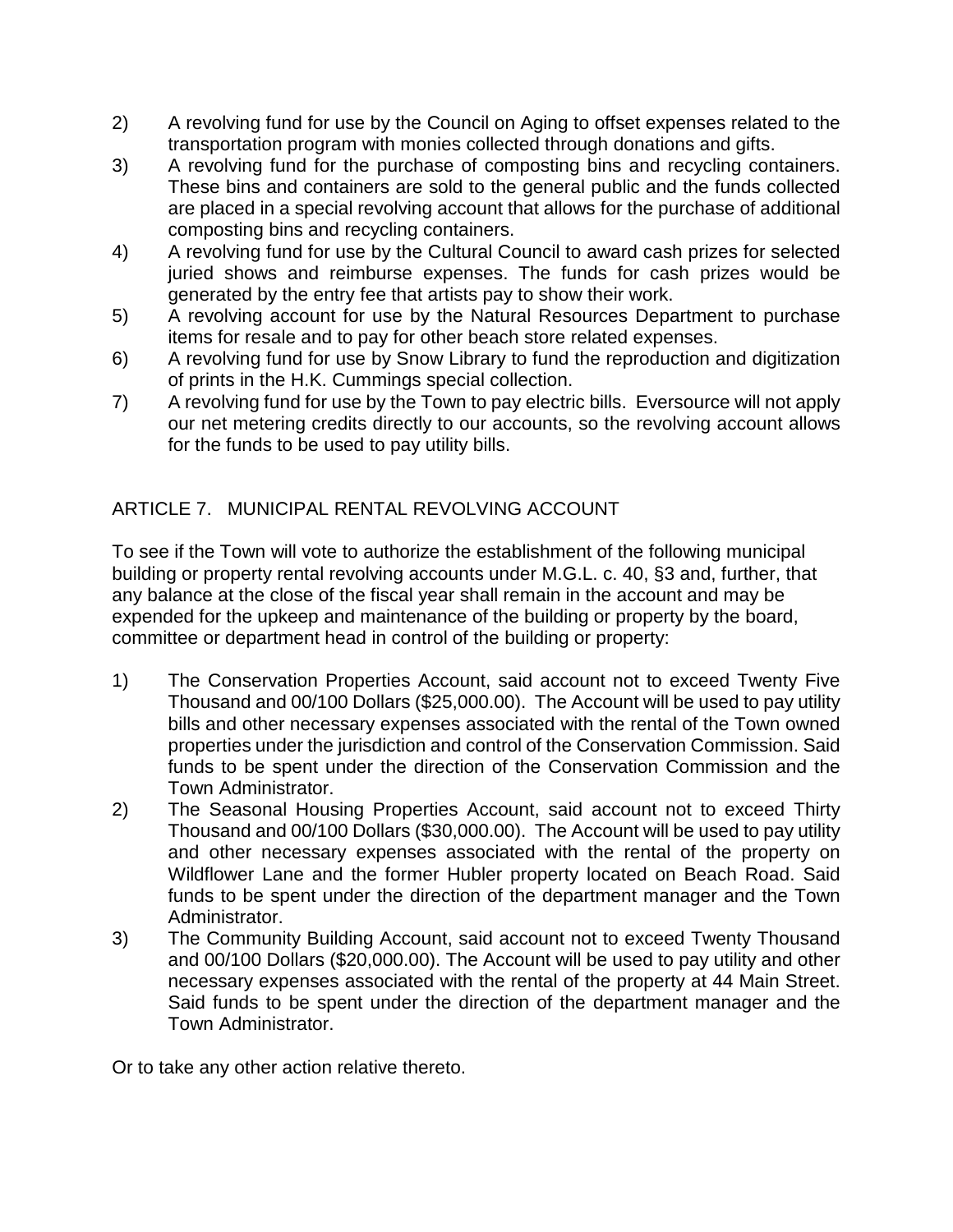- 2) A revolving fund for use by the Council on Aging to offset expenses related to the transportation program with monies collected through donations and gifts.
- 3) A revolving fund for the purchase of composting bins and recycling containers. These bins and containers are sold to the general public and the funds collected are placed in a special revolving account that allows for the purchase of additional composting bins and recycling containers.
- 4) A revolving fund for use by the Cultural Council to award cash prizes for selected juried shows and reimburse expenses. The funds for cash prizes would be generated by the entry fee that artists pay to show their work.
- 5) A revolving account for use by the Natural Resources Department to purchase items for resale and to pay for other beach store related expenses.
- 6) A revolving fund for use by Snow Library to fund the reproduction and digitization of prints in the H.K. Cummings special collection.
- 7) A revolving fund for use by the Town to pay electric bills. Eversource will not apply our net metering credits directly to our accounts, so the revolving account allows for the funds to be used to pay utility bills.

# ARTICLE 7. MUNICIPAL RENTAL REVOLVING ACCOUNT

To see if the Town will vote to authorize the establishment of the following municipal building or property rental revolving accounts under M.G.L. c. 40, §3 and, further, that any balance at the close of the fiscal year shall remain in the account and may be expended for the upkeep and maintenance of the building or property by the board, committee or department head in control of the building or property:

- 1) The Conservation Properties Account, said account not to exceed Twenty Five Thousand and 00/100 Dollars (\$25,000.00). The Account will be used to pay utility bills and other necessary expenses associated with the rental of the Town owned properties under the jurisdiction and control of the Conservation Commission. Said funds to be spent under the direction of the Conservation Commission and the Town Administrator.
- 2) The Seasonal Housing Properties Account, said account not to exceed Thirty Thousand and 00/100 Dollars (\$30,000.00). The Account will be used to pay utility and other necessary expenses associated with the rental of the property on Wildflower Lane and the former Hubler property located on Beach Road. Said funds to be spent under the direction of the department manager and the Town Administrator.
- 3) The Community Building Account, said account not to exceed Twenty Thousand and 00/100 Dollars (\$20,000.00). The Account will be used to pay utility and other necessary expenses associated with the rental of the property at 44 Main Street. Said funds to be spent under the direction of the department manager and the Town Administrator.

Or to take any other action relative thereto.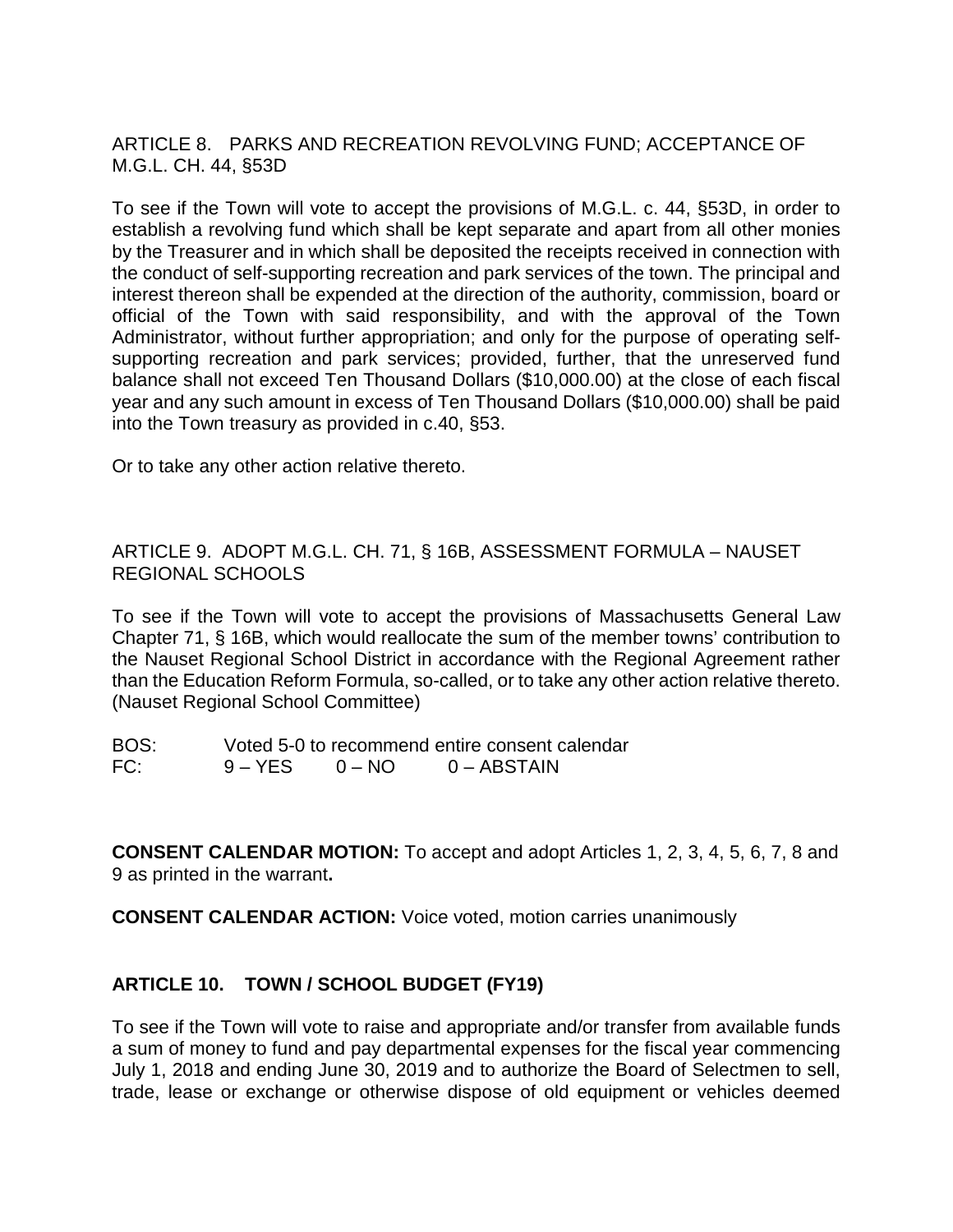ARTICLE 8. PARKS AND RECREATION REVOLVING FUND; ACCEPTANCE OF M.G.L. CH. 44, §53D

To see if the Town will vote to accept the provisions of M.G.L. c. 44, §53D, in order to establish a revolving fund which shall be kept separate and apart from all other monies by the Treasurer and in which shall be deposited the receipts received in connection with the conduct of self-supporting recreation and park services of the town. The principal and interest thereon shall be expended at the direction of the authority, commission, board or official of the Town with said responsibility, and with the approval of the Town Administrator, without further appropriation; and only for the purpose of operating selfsupporting recreation and park services; provided, further, that the unreserved fund balance shall not exceed Ten Thousand Dollars (\$10,000.00) at the close of each fiscal year and any such amount in excess of Ten Thousand Dollars (\$10,000.00) shall be paid into the Town treasury as provided in c.40, §53.

Or to take any other action relative thereto.

ARTICLE 9. ADOPT M.G.L. CH. 71, § 16B, ASSESSMENT FORMULA – NAUSET REGIONAL SCHOOLS

To see if the Town will vote to accept the provisions of Massachusetts General Law Chapter 71, § 16B, which would reallocate the sum of the member towns' contribution to the Nauset Regional School District in accordance with the Regional Agreement rather than the Education Reform Formula, so-called, or to take any other action relative thereto. (Nauset Regional School Committee)

BOS: Voted 5-0 to recommend entire consent calendar FC: 9 – YES 0 – NO 0 – ABSTAIN

**CONSENT CALENDAR MOTION:** To accept and adopt Articles 1, 2, 3, 4, 5, 6, 7, 8 and 9 as printed in the warrant**.**

**CONSENT CALENDAR ACTION:** Voice voted, motion carries unanimously

# **ARTICLE 10. TOWN / SCHOOL BUDGET (FY19)**

To see if the Town will vote to raise and appropriate and/or transfer from available funds a sum of money to fund and pay departmental expenses for the fiscal year commencing July 1, 2018 and ending June 30, 2019 and to authorize the Board of Selectmen to sell, trade, lease or exchange or otherwise dispose of old equipment or vehicles deemed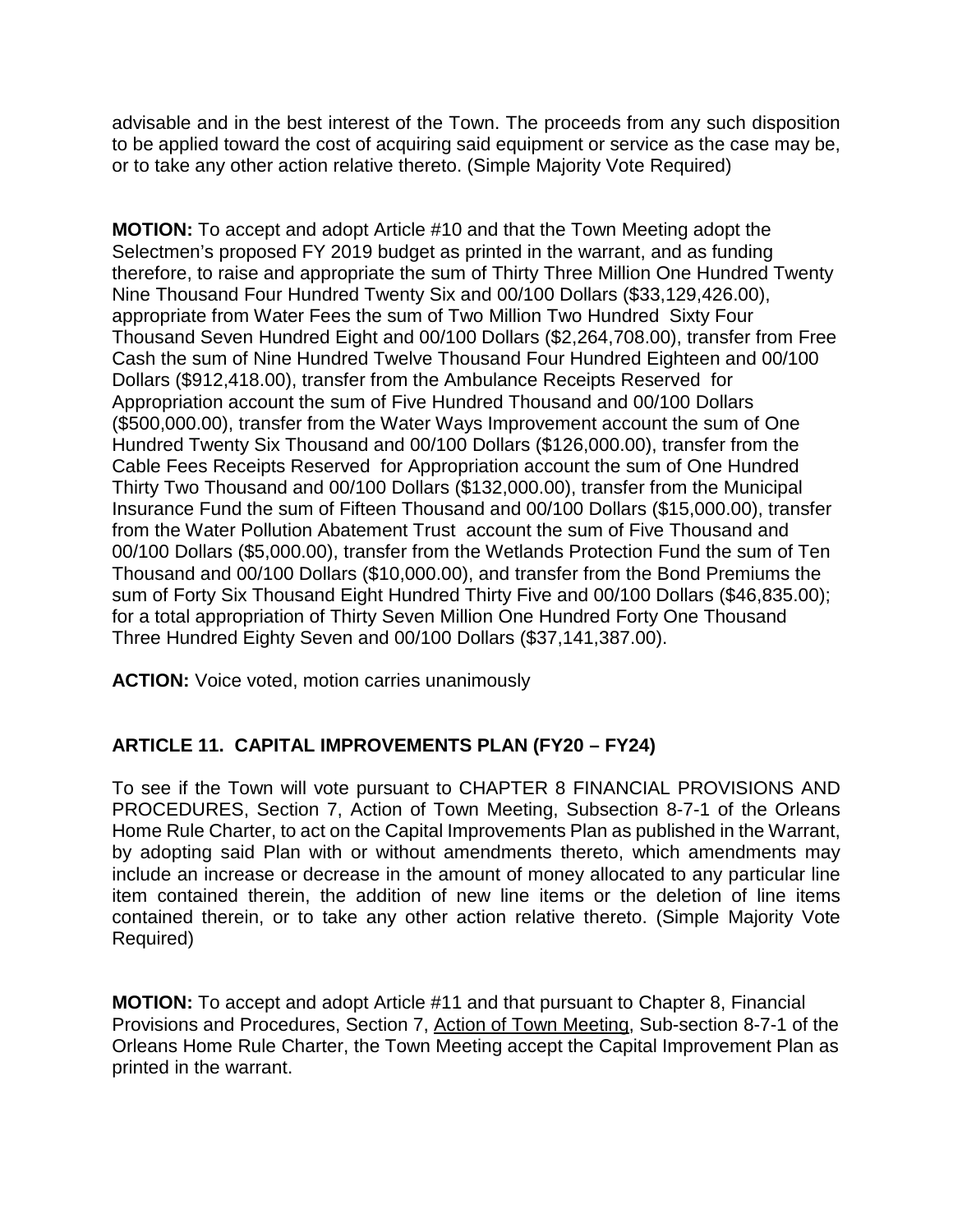advisable and in the best interest of the Town. The proceeds from any such disposition to be applied toward the cost of acquiring said equipment or service as the case may be, or to take any other action relative thereto. (Simple Majority Vote Required)

**MOTION:** To accept and adopt Article #10 and that the Town Meeting adopt the Selectmen's proposed FY 2019 budget as printed in the warrant, and as funding therefore, to raise and appropriate the sum of Thirty Three Million One Hundred Twenty Nine Thousand Four Hundred Twenty Six and 00/100 Dollars (\$33,129,426.00), appropriate from Water Fees the sum of Two Million Two Hundred Sixty Four Thousand Seven Hundred Eight and 00/100 Dollars (\$2,264,708.00), transfer from Free Cash the sum of Nine Hundred Twelve Thousand Four Hundred Eighteen and 00/100 Dollars (\$912,418.00), transfer from the Ambulance Receipts Reserved for Appropriation account the sum of Five Hundred Thousand and 00/100 Dollars (\$500,000.00), transfer from the Water Ways Improvement account the sum of One Hundred Twenty Six Thousand and 00/100 Dollars (\$126,000.00), transfer from the Cable Fees Receipts Reserved for Appropriation account the sum of One Hundred Thirty Two Thousand and 00/100 Dollars (\$132,000.00), transfer from the Municipal Insurance Fund the sum of Fifteen Thousand and 00/100 Dollars (\$15,000.00), transfer from the Water Pollution Abatement Trust account the sum of Five Thousand and 00/100 Dollars (\$5,000.00), transfer from the Wetlands Protection Fund the sum of Ten Thousand and 00/100 Dollars (\$10,000.00), and transfer from the Bond Premiums the sum of Forty Six Thousand Eight Hundred Thirty Five and 00/100 Dollars (\$46,835.00); for a total appropriation of Thirty Seven Million One Hundred Forty One Thousand Three Hundred Eighty Seven and 00/100 Dollars (\$37,141,387.00).

**ACTION:** Voice voted, motion carries unanimously

# **ARTICLE 11. CAPITAL IMPROVEMENTS PLAN (FY20 – FY24)**

To see if the Town will vote pursuant to CHAPTER 8 FINANCIAL PROVISIONS AND PROCEDURES, Section 7, Action of Town Meeting, Subsection 8-7-1 of the Orleans Home Rule Charter, to act on the Capital Improvements Plan as published in the Warrant, by adopting said Plan with or without amendments thereto, which amendments may include an increase or decrease in the amount of money allocated to any particular line item contained therein, the addition of new line items or the deletion of line items contained therein, or to take any other action relative thereto. (Simple Majority Vote Required)

**MOTION:** To accept and adopt Article #11 and that pursuant to Chapter 8, Financial Provisions and Procedures, Section 7, Action of Town Meeting, Sub-section 8-7-1 of the Orleans Home Rule Charter, the Town Meeting accept the Capital Improvement Plan as printed in the warrant.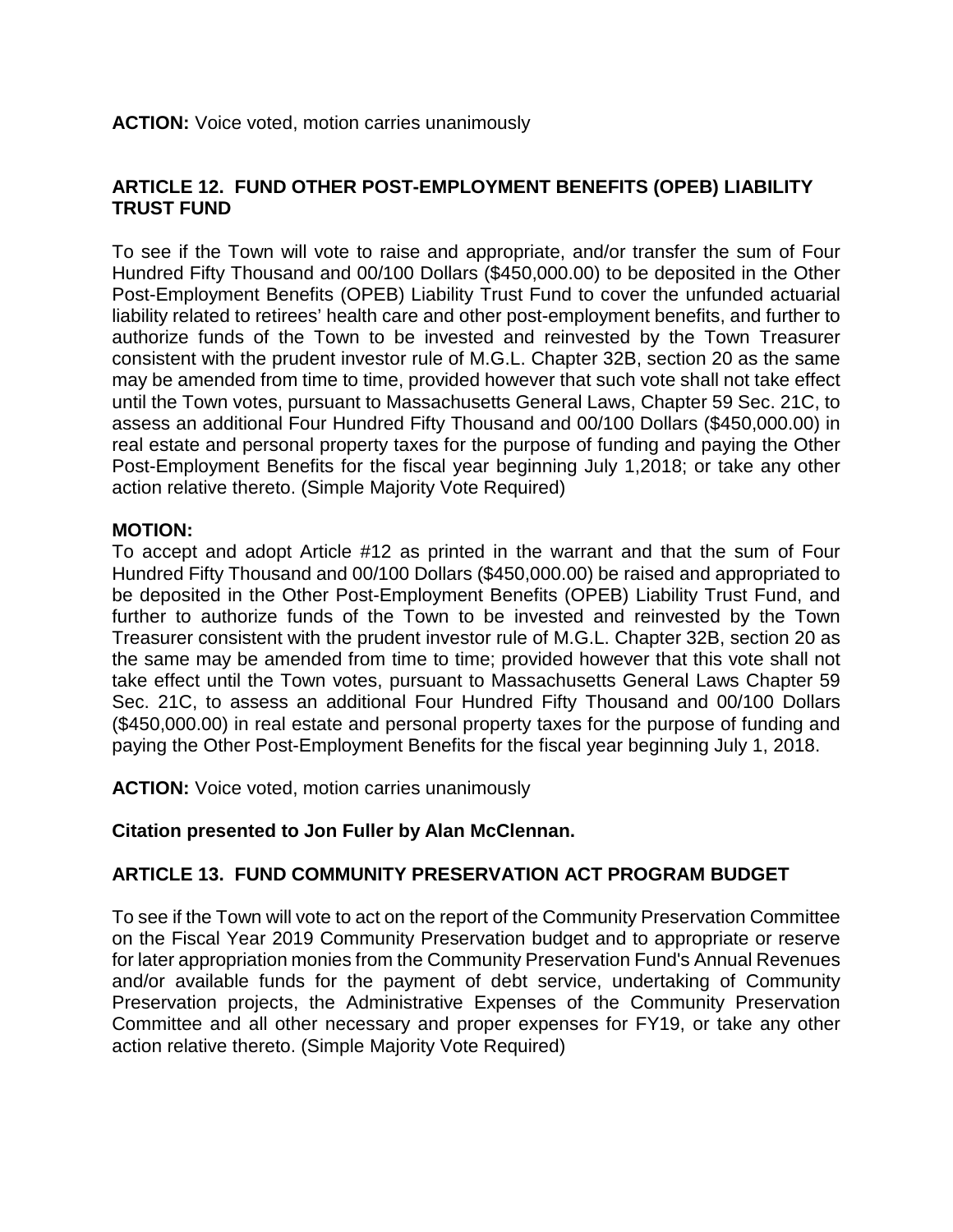# **ARTICLE 12. FUND OTHER POST-EMPLOYMENT BENEFITS (OPEB) LIABILITY TRUST FUND**

To see if the Town will vote to raise and appropriate, and/or transfer the sum of Four Hundred Fifty Thousand and 00/100 Dollars (\$450,000.00) to be deposited in the Other Post-Employment Benefits (OPEB) Liability Trust Fund to cover the unfunded actuarial liability related to retirees' health care and other post-employment benefits, and further to authorize funds of the Town to be invested and reinvested by the Town Treasurer consistent with the prudent investor rule of M.G.L. Chapter 32B, section 20 as the same may be amended from time to time, provided however that such vote shall not take effect until the Town votes, pursuant to Massachusetts General Laws, Chapter 59 Sec. 21C, to assess an additional Four Hundred Fifty Thousand and 00/100 Dollars (\$450,000.00) in real estate and personal property taxes for the purpose of funding and paying the Other Post-Employment Benefits for the fiscal year beginning July 1,2018; or take any other action relative thereto. (Simple Majority Vote Required)

#### **MOTION:**

To accept and adopt Article #12 as printed in the warrant and that the sum of Four Hundred Fifty Thousand and 00/100 Dollars (\$450,000.00) be raised and appropriated to be deposited in the Other Post-Employment Benefits (OPEB) Liability Trust Fund, and further to authorize funds of the Town to be invested and reinvested by the Town Treasurer consistent with the prudent investor rule of M.G.L. Chapter 32B, section 20 as the same may be amended from time to time; provided however that this vote shall not take effect until the Town votes, pursuant to Massachusetts General Laws Chapter 59 Sec. 21C, to assess an additional Four Hundred Fifty Thousand and 00/100 Dollars (\$450,000.00) in real estate and personal property taxes for the purpose of funding and paying the Other Post-Employment Benefits for the fiscal year beginning July 1, 2018.

**ACTION:** Voice voted, motion carries unanimously

#### **Citation presented to Jon Fuller by Alan McClennan.**

#### **ARTICLE 13. FUND COMMUNITY PRESERVATION ACT PROGRAM BUDGET**

To see if the Town will vote to act on the report of the Community Preservation Committee on the Fiscal Year 2019 Community Preservation budget and to appropriate or reserve for later appropriation monies from the Community Preservation Fund's Annual Revenues and/or available funds for the payment of debt service, undertaking of Community Preservation projects, the Administrative Expenses of the Community Preservation Committee and all other necessary and proper expenses for FY19, or take any other action relative thereto. (Simple Majority Vote Required)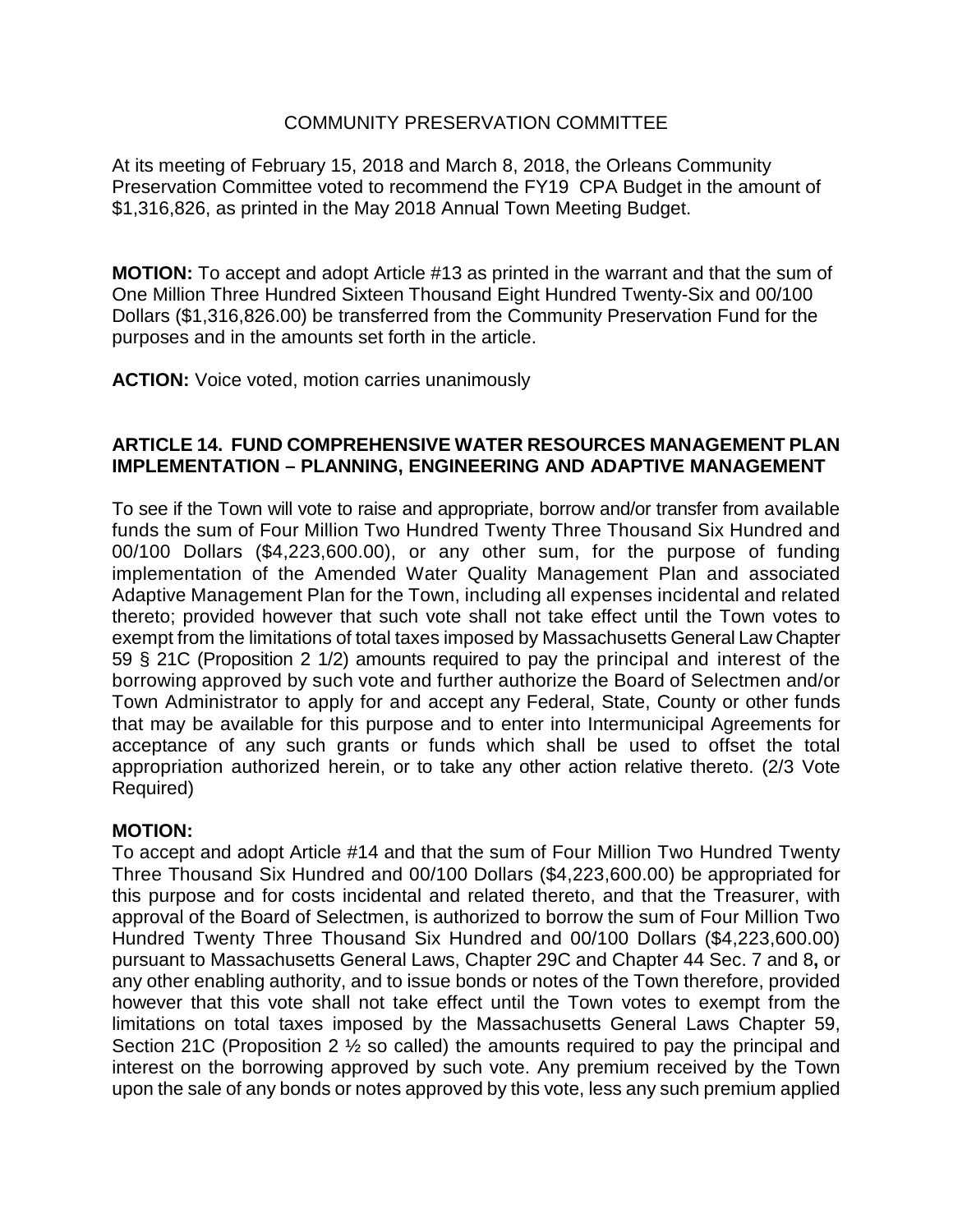#### COMMUNITY PRESERVATION COMMITTEE

At its meeting of February 15, 2018 and March 8, 2018, the Orleans Community Preservation Committee voted to recommend the FY19 CPA Budget in the amount of \$1,316,826, as printed in the May 2018 Annual Town Meeting Budget.

**MOTION:** To accept and adopt Article #13 as printed in the warrant and that the sum of One Million Three Hundred Sixteen Thousand Eight Hundred Twenty-Six and 00/100 Dollars (\$1,316,826.00) be transferred from the Community Preservation Fund for the purposes and in the amounts set forth in the article.

**ACTION:** Voice voted, motion carries unanimously

#### **ARTICLE 14. FUND COMPREHENSIVE WATER RESOURCES MANAGEMENT PLAN IMPLEMENTATION – PLANNING, ENGINEERING AND ADAPTIVE MANAGEMENT**

To see if the Town will vote to raise and appropriate, borrow and/or transfer from available funds the sum of Four Million Two Hundred Twenty Three Thousand Six Hundred and 00/100 Dollars (\$4,223,600.00), or any other sum, for the purpose of funding implementation of the Amended Water Quality Management Plan and associated Adaptive Management Plan for the Town, including all expenses incidental and related thereto; provided however that such vote shall not take effect until the Town votes to exempt from the limitations of total taxes imposed by Massachusetts General Law Chapter 59 § 21C (Proposition 2 1/2) amounts required to pay the principal and interest of the borrowing approved by such vote and further authorize the Board of Selectmen and/or Town Administrator to apply for and accept any Federal, State, County or other funds that may be available for this purpose and to enter into Intermunicipal Agreements for acceptance of any such grants or funds which shall be used to offset the total appropriation authorized herein, or to take any other action relative thereto. (2/3 Vote Required)

#### **MOTION:**

To accept and adopt Article #14 and that the sum of Four Million Two Hundred Twenty Three Thousand Six Hundred and 00/100 Dollars (\$4,223,600.00) be appropriated for this purpose and for costs incidental and related thereto, and that the Treasurer, with approval of the Board of Selectmen, is authorized to borrow the sum of Four Million Two Hundred Twenty Three Thousand Six Hundred and 00/100 Dollars (\$4,223,600.00) pursuant to Massachusetts General Laws, Chapter 29C and Chapter 44 Sec. 7 and 8**,** or any other enabling authority, and to issue bonds or notes of the Town therefore, provided however that this vote shall not take effect until the Town votes to exempt from the limitations on total taxes imposed by the Massachusetts General Laws Chapter 59, Section 21C (Proposition 2 ½ so called) the amounts required to pay the principal and interest on the borrowing approved by such vote. Any premium received by the Town upon the sale of any bonds or notes approved by this vote, less any such premium applied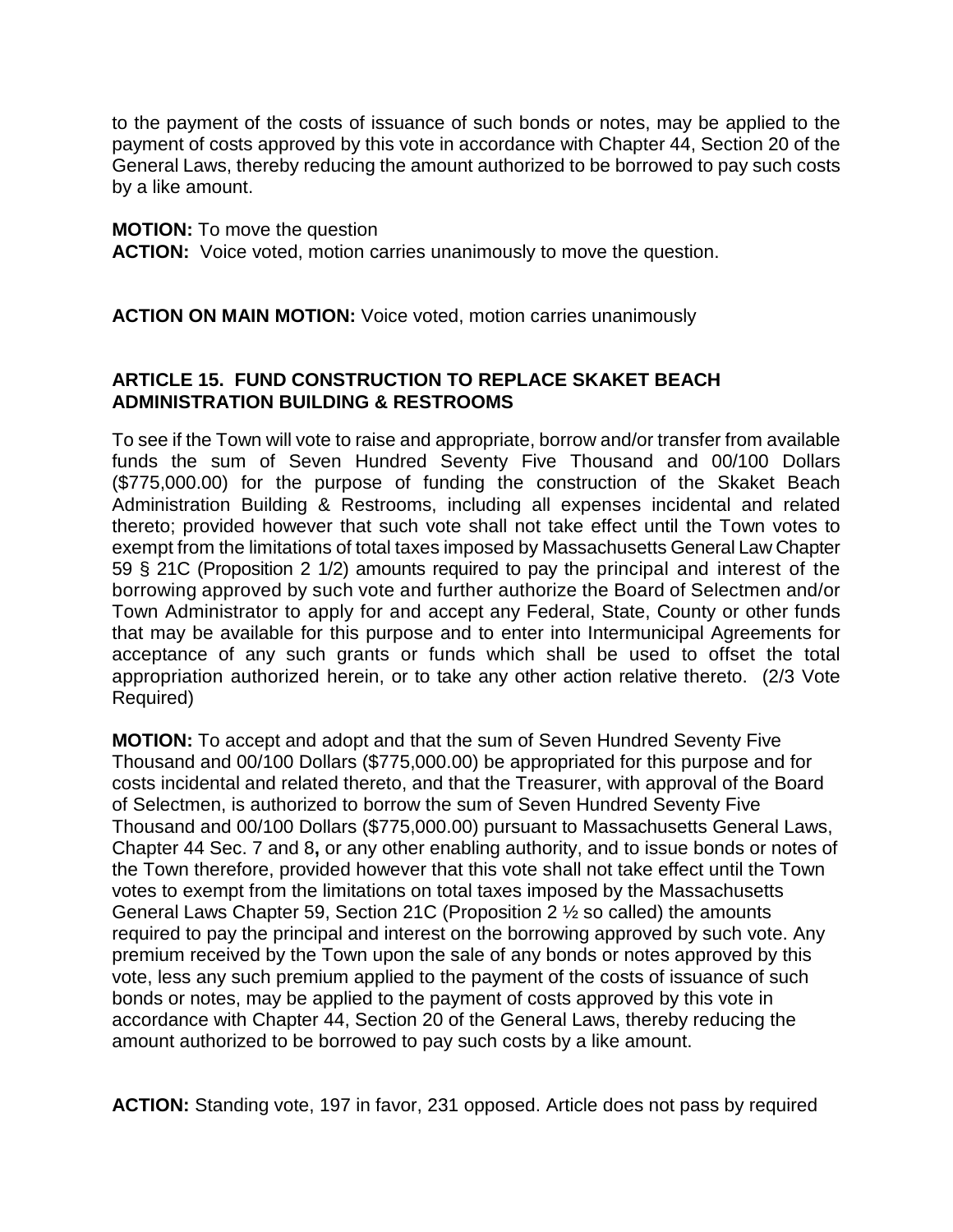to the payment of the costs of issuance of such bonds or notes, may be applied to the payment of costs approved by this vote in accordance with Chapter 44, Section 20 of the General Laws, thereby reducing the amount authorized to be borrowed to pay such costs by a like amount.

#### **MOTION:** To move the question

**ACTION:** Voice voted, motion carries unanimously to move the question.

**ACTION ON MAIN MOTION:** Voice voted, motion carries unanimously

# **ARTICLE 15. FUND CONSTRUCTION TO REPLACE SKAKET BEACH ADMINISTRATION BUILDING & RESTROOMS**

To see if the Town will vote to raise and appropriate, borrow and/or transfer from available funds the sum of Seven Hundred Seventy Five Thousand and 00/100 Dollars (\$775,000.00) for the purpose of funding the construction of the Skaket Beach Administration Building & Restrooms, including all expenses incidental and related thereto; provided however that such vote shall not take effect until the Town votes to exempt from the limitations of total taxes imposed by Massachusetts General Law Chapter 59 § 21C (Proposition 2 1/2) amounts required to pay the principal and interest of the borrowing approved by such vote and further authorize the Board of Selectmen and/or Town Administrator to apply for and accept any Federal, State, County or other funds that may be available for this purpose and to enter into Intermunicipal Agreements for acceptance of any such grants or funds which shall be used to offset the total appropriation authorized herein, or to take any other action relative thereto. (2/3 Vote Required)

**MOTION:** To accept and adopt and that the sum of Seven Hundred Seventy Five Thousand and 00/100 Dollars (\$775,000.00) be appropriated for this purpose and for costs incidental and related thereto, and that the Treasurer, with approval of the Board of Selectmen, is authorized to borrow the sum of Seven Hundred Seventy Five Thousand and 00/100 Dollars (\$775,000.00) pursuant to Massachusetts General Laws, Chapter 44 Sec. 7 and 8**,** or any other enabling authority, and to issue bonds or notes of the Town therefore, provided however that this vote shall not take effect until the Town votes to exempt from the limitations on total taxes imposed by the Massachusetts General Laws Chapter 59, Section 21C (Proposition 2 ½ so called) the amounts required to pay the principal and interest on the borrowing approved by such vote. Any premium received by the Town upon the sale of any bonds or notes approved by this vote, less any such premium applied to the payment of the costs of issuance of such bonds or notes, may be applied to the payment of costs approved by this vote in accordance with Chapter 44, Section 20 of the General Laws, thereby reducing the amount authorized to be borrowed to pay such costs by a like amount.

**ACTION:** Standing vote, 197 in favor, 231 opposed. Article does not pass by required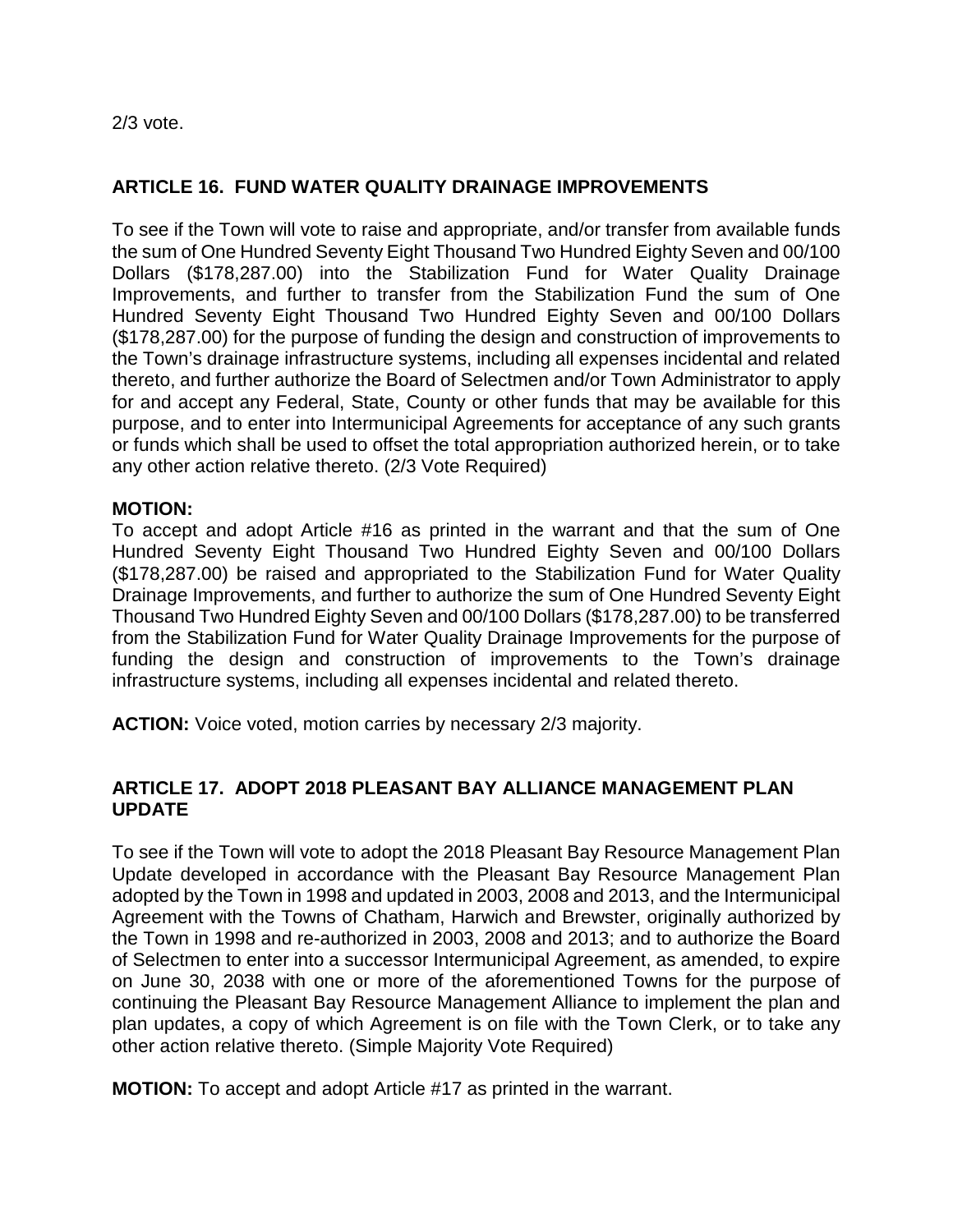2/3 vote.

# **ARTICLE 16. FUND WATER QUALITY DRAINAGE IMPROVEMENTS**

To see if the Town will vote to raise and appropriate, and/or transfer from available funds the sum of One Hundred Seventy Eight Thousand Two Hundred Eighty Seven and 00/100 Dollars (\$178,287.00) into the Stabilization Fund for Water Quality Drainage Improvements, and further to transfer from the Stabilization Fund the sum of One Hundred Seventy Eight Thousand Two Hundred Eighty Seven and 00/100 Dollars (\$178,287.00) for the purpose of funding the design and construction of improvements to the Town's drainage infrastructure systems, including all expenses incidental and related thereto, and further authorize the Board of Selectmen and/or Town Administrator to apply for and accept any Federal, State, County or other funds that may be available for this purpose, and to enter into Intermunicipal Agreements for acceptance of any such grants or funds which shall be used to offset the total appropriation authorized herein, or to take any other action relative thereto. (2/3 Vote Required)

#### **MOTION:**

To accept and adopt Article #16 as printed in the warrant and that the sum of One Hundred Seventy Eight Thousand Two Hundred Eighty Seven and 00/100 Dollars (\$178,287.00) be raised and appropriated to the Stabilization Fund for Water Quality Drainage Improvements, and further to authorize the sum of One Hundred Seventy Eight Thousand Two Hundred Eighty Seven and 00/100 Dollars (\$178,287.00) to be transferred from the Stabilization Fund for Water Quality Drainage Improvements for the purpose of funding the design and construction of improvements to the Town's drainage infrastructure systems, including all expenses incidental and related thereto.

**ACTION:** Voice voted, motion carries by necessary 2/3 majority.

# **ARTICLE 17. ADOPT 2018 PLEASANT BAY ALLIANCE MANAGEMENT PLAN UPDATE**

To see if the Town will vote to adopt the 2018 Pleasant Bay Resource Management Plan Update developed in accordance with the Pleasant Bay Resource Management Plan adopted by the Town in 1998 and updated in 2003, 2008 and 2013, and the Intermunicipal Agreement with the Towns of Chatham, Harwich and Brewster, originally authorized by the Town in 1998 and re-authorized in 2003, 2008 and 2013; and to authorize the Board of Selectmen to enter into a successor Intermunicipal Agreement, as amended, to expire on June 30, 2038 with one or more of the aforementioned Towns for the purpose of continuing the Pleasant Bay Resource Management Alliance to implement the plan and plan updates, a copy of which Agreement is on file with the Town Clerk, or to take any other action relative thereto. (Simple Majority Vote Required)

**MOTION:** To accept and adopt Article #17 as printed in the warrant.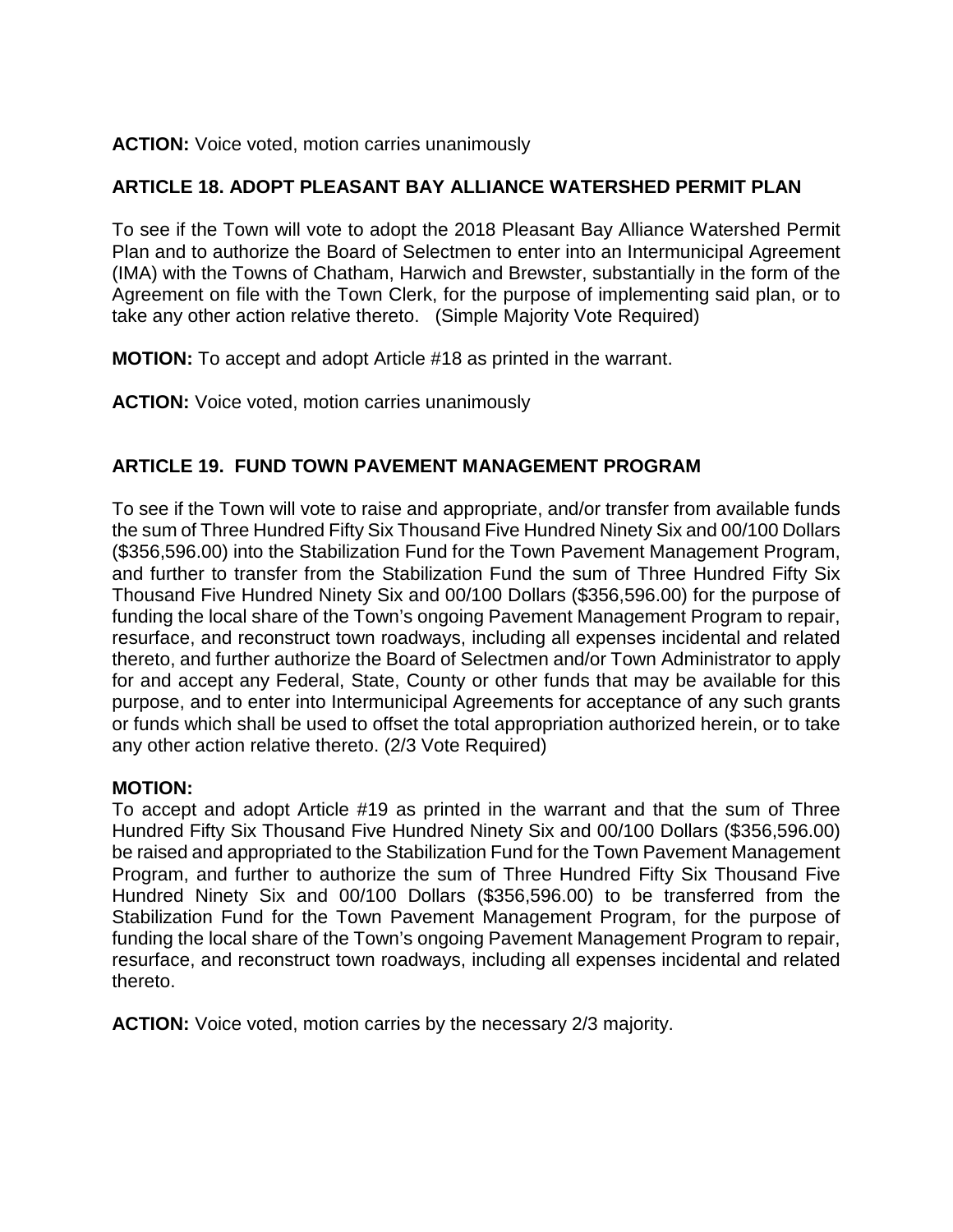#### **ACTION:** Voice voted, motion carries unanimously

# **ARTICLE 18. ADOPT PLEASANT BAY ALLIANCE WATERSHED PERMIT PLAN**

To see if the Town will vote to adopt the 2018 Pleasant Bay Alliance Watershed Permit Plan and to authorize the Board of Selectmen to enter into an Intermunicipal Agreement (IMA) with the Towns of Chatham, Harwich and Brewster, substantially in the form of the Agreement on file with the Town Clerk, for the purpose of implementing said plan, or to take any other action relative thereto. (Simple Majority Vote Required)

**MOTION:** To accept and adopt Article #18 as printed in the warrant.

**ACTION:** Voice voted, motion carries unanimously

# **ARTICLE 19. FUND TOWN PAVEMENT MANAGEMENT PROGRAM**

To see if the Town will vote to raise and appropriate, and/or transfer from available funds the sum of Three Hundred Fifty Six Thousand Five Hundred Ninety Six and 00/100 Dollars (\$356,596.00) into the Stabilization Fund for the Town Pavement Management Program, and further to transfer from the Stabilization Fund the sum of Three Hundred Fifty Six Thousand Five Hundred Ninety Six and 00/100 Dollars (\$356,596.00) for the purpose of funding the local share of the Town's ongoing Pavement Management Program to repair, resurface, and reconstruct town roadways, including all expenses incidental and related thereto, and further authorize the Board of Selectmen and/or Town Administrator to apply for and accept any Federal, State, County or other funds that may be available for this purpose, and to enter into Intermunicipal Agreements for acceptance of any such grants or funds which shall be used to offset the total appropriation authorized herein, or to take any other action relative thereto. (2/3 Vote Required)

#### **MOTION:**

To accept and adopt Article #19 as printed in the warrant and that the sum of Three Hundred Fifty Six Thousand Five Hundred Ninety Six and 00/100 Dollars (\$356,596.00) be raised and appropriated to the Stabilization Fund for the Town Pavement Management Program, and further to authorize the sum of Three Hundred Fifty Six Thousand Five Hundred Ninety Six and 00/100 Dollars (\$356,596.00) to be transferred from the Stabilization Fund for the Town Pavement Management Program, for the purpose of funding the local share of the Town's ongoing Pavement Management Program to repair, resurface, and reconstruct town roadways, including all expenses incidental and related thereto.

**ACTION:** Voice voted, motion carries by the necessary 2/3 majority.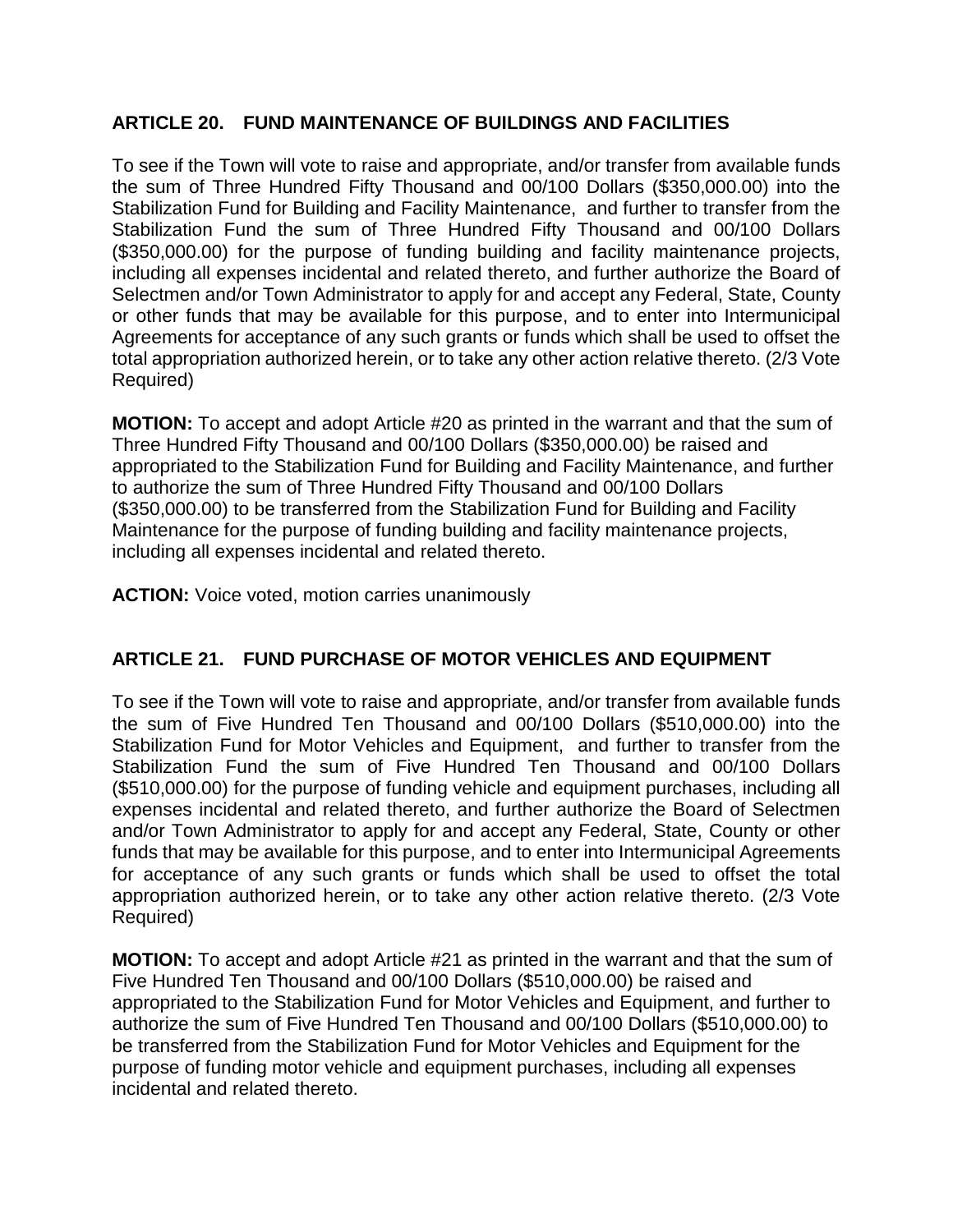# **ARTICLE 20. FUND MAINTENANCE OF BUILDINGS AND FACILITIES**

To see if the Town will vote to raise and appropriate, and/or transfer from available funds the sum of Three Hundred Fifty Thousand and 00/100 Dollars (\$350,000.00) into the Stabilization Fund for Building and Facility Maintenance, and further to transfer from the Stabilization Fund the sum of Three Hundred Fifty Thousand and 00/100 Dollars (\$350,000.00) for the purpose of funding building and facility maintenance projects, including all expenses incidental and related thereto, and further authorize the Board of Selectmen and/or Town Administrator to apply for and accept any Federal, State, County or other funds that may be available for this purpose, and to enter into Intermunicipal Agreements for acceptance of any such grants or funds which shall be used to offset the total appropriation authorized herein, or to take any other action relative thereto. (2/3 Vote Required)

**MOTION:** To accept and adopt Article #20 as printed in the warrant and that the sum of Three Hundred Fifty Thousand and 00/100 Dollars (\$350,000.00) be raised and appropriated to the Stabilization Fund for Building and Facility Maintenance, and further to authorize the sum of Three Hundred Fifty Thousand and 00/100 Dollars (\$350,000.00) to be transferred from the Stabilization Fund for Building and Facility Maintenance for the purpose of funding building and facility maintenance projects, including all expenses incidental and related thereto.

**ACTION:** Voice voted, motion carries unanimously

# **ARTICLE 21. FUND PURCHASE OF MOTOR VEHICLES AND EQUIPMENT**

To see if the Town will vote to raise and appropriate, and/or transfer from available funds the sum of Five Hundred Ten Thousand and 00/100 Dollars (\$510,000.00) into the Stabilization Fund for Motor Vehicles and Equipment, and further to transfer from the Stabilization Fund the sum of Five Hundred Ten Thousand and 00/100 Dollars (\$510,000.00) for the purpose of funding vehicle and equipment purchases, including all expenses incidental and related thereto, and further authorize the Board of Selectmen and/or Town Administrator to apply for and accept any Federal, State, County or other funds that may be available for this purpose, and to enter into Intermunicipal Agreements for acceptance of any such grants or funds which shall be used to offset the total appropriation authorized herein, or to take any other action relative thereto. (2/3 Vote Required)

**MOTION:** To accept and adopt Article #21 as printed in the warrant and that the sum of Five Hundred Ten Thousand and 00/100 Dollars (\$510,000.00) be raised and appropriated to the Stabilization Fund for Motor Vehicles and Equipment, and further to authorize the sum of Five Hundred Ten Thousand and 00/100 Dollars (\$510,000.00) to be transferred from the Stabilization Fund for Motor Vehicles and Equipment for the purpose of funding motor vehicle and equipment purchases, including all expenses incidental and related thereto.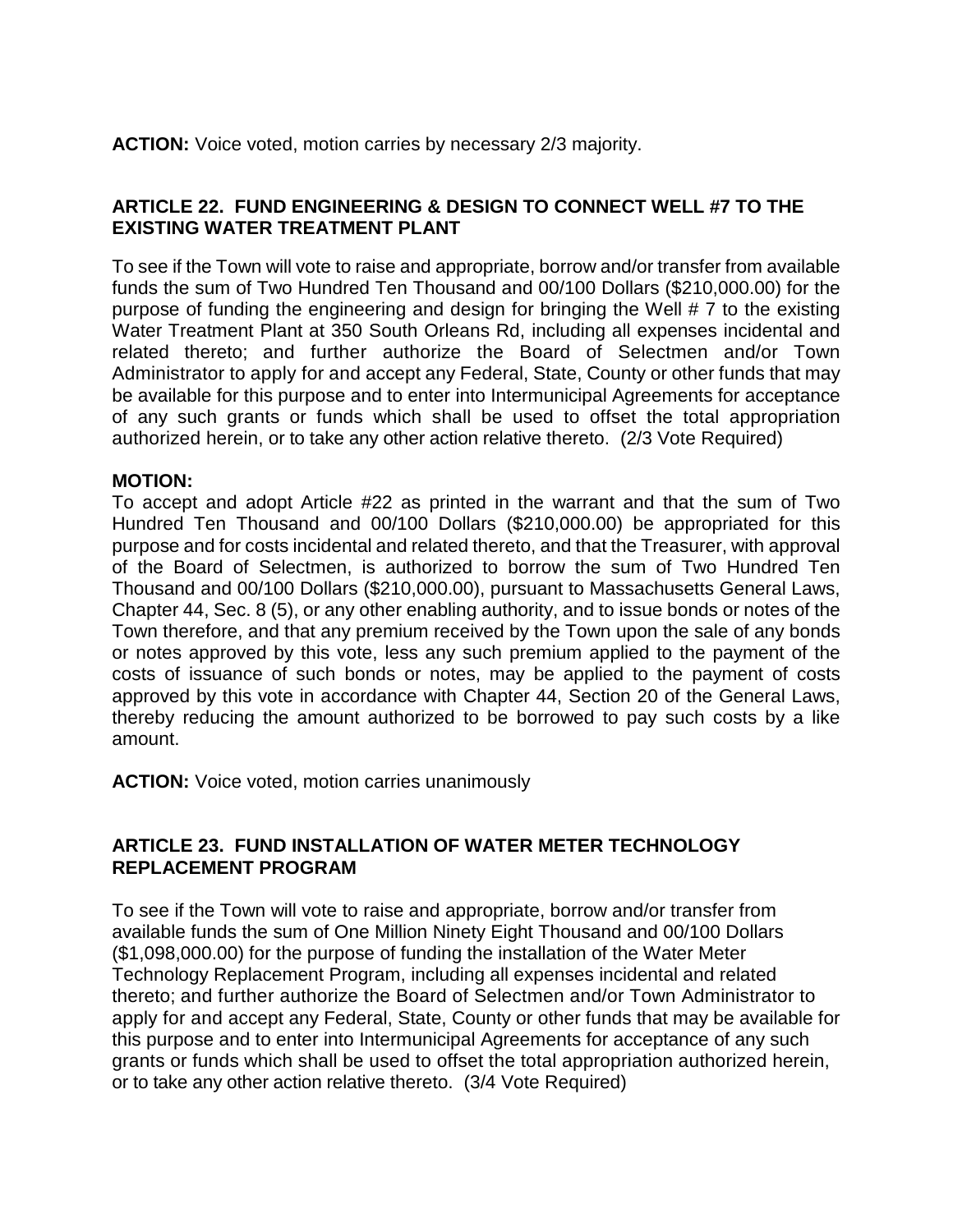**ACTION:** Voice voted, motion carries by necessary 2/3 majority.

# **ARTICLE 22. FUND ENGINEERING & DESIGN TO CONNECT WELL #7 TO THE EXISTING WATER TREATMENT PLANT**

To see if the Town will vote to raise and appropriate, borrow and/or transfer from available funds the sum of Two Hundred Ten Thousand and 00/100 Dollars (\$210,000.00) for the purpose of funding the engineering and design for bringing the Well # 7 to the existing Water Treatment Plant at 350 South Orleans Rd, including all expenses incidental and related thereto; and further authorize the Board of Selectmen and/or Town Administrator to apply for and accept any Federal, State, County or other funds that may be available for this purpose and to enter into Intermunicipal Agreements for acceptance of any such grants or funds which shall be used to offset the total appropriation authorized herein, or to take any other action relative thereto. (2/3 Vote Required)

#### **MOTION:**

To accept and adopt Article #22 as printed in the warrant and that the sum of Two Hundred Ten Thousand and 00/100 Dollars (\$210,000.00) be appropriated for this purpose and for costs incidental and related thereto, and that the Treasurer, with approval of the Board of Selectmen, is authorized to borrow the sum of Two Hundred Ten Thousand and 00/100 Dollars (\$210,000.00), pursuant to Massachusetts General Laws, Chapter 44, Sec. 8 (5), or any other enabling authority, and to issue bonds or notes of the Town therefore, and that any premium received by the Town upon the sale of any bonds or notes approved by this vote, less any such premium applied to the payment of the costs of issuance of such bonds or notes, may be applied to the payment of costs approved by this vote in accordance with Chapter 44, Section 20 of the General Laws, thereby reducing the amount authorized to be borrowed to pay such costs by a like amount.

**ACTION:** Voice voted, motion carries unanimously

# **ARTICLE 23. FUND INSTALLATION OF WATER METER TECHNOLOGY REPLACEMENT PROGRAM**

To see if the Town will vote to raise and appropriate, borrow and/or transfer from available funds the sum of One Million Ninety Eight Thousand and 00/100 Dollars (\$1,098,000.00) for the purpose of funding the installation of the Water Meter Technology Replacement Program, including all expenses incidental and related thereto; and further authorize the Board of Selectmen and/or Town Administrator to apply for and accept any Federal, State, County or other funds that may be available for this purpose and to enter into Intermunicipal Agreements for acceptance of any such grants or funds which shall be used to offset the total appropriation authorized herein, or to take any other action relative thereto. (3/4 Vote Required)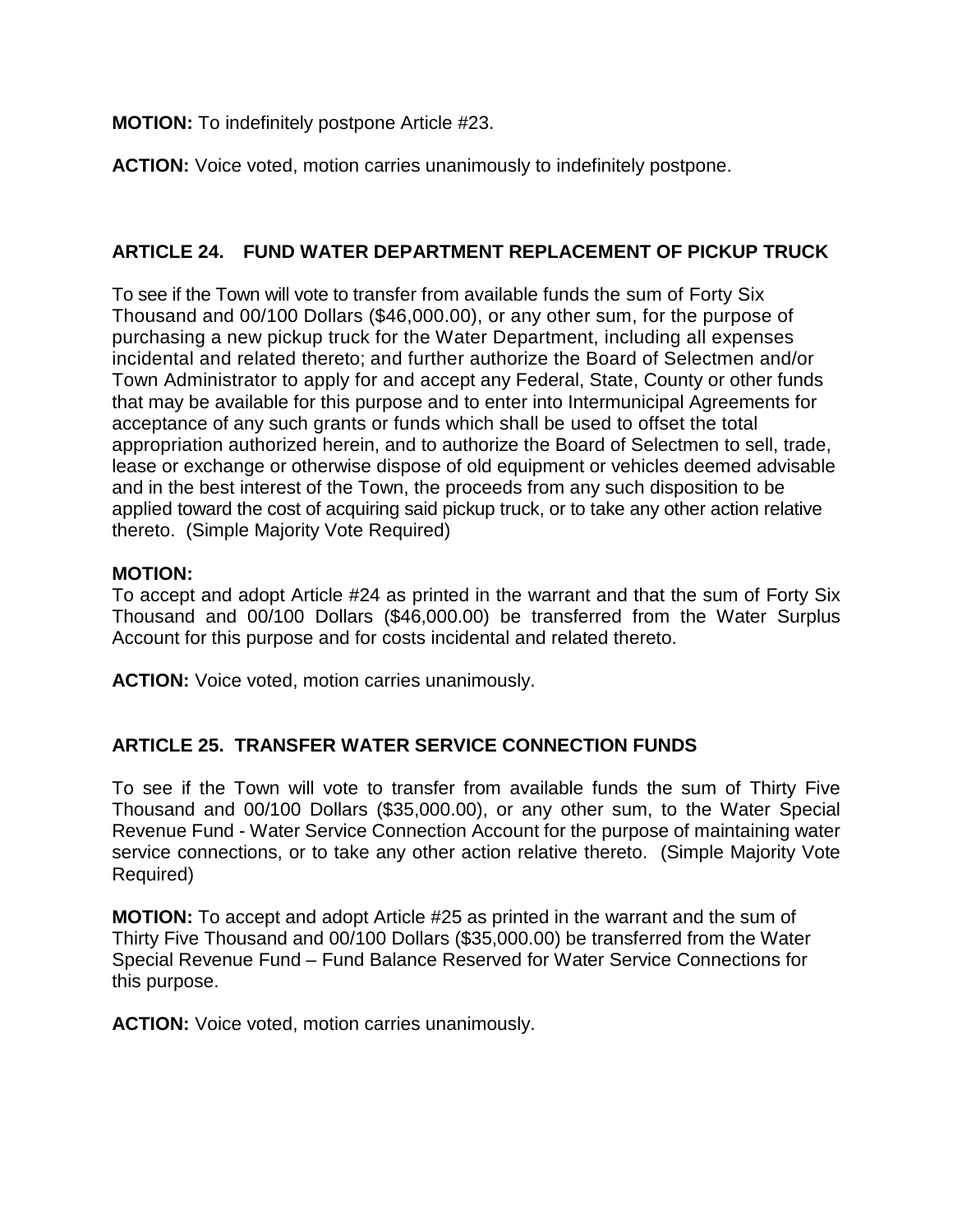**MOTION:** To indefinitely postpone Article #23.

**ACTION:** Voice voted, motion carries unanimously to indefinitely postpone.

# **ARTICLE 24. FUND WATER DEPARTMENT REPLACEMENT OF PICKUP TRUCK**

To see if the Town will vote to transfer from available funds the sum of Forty Six Thousand and 00/100 Dollars (\$46,000.00), or any other sum, for the purpose of purchasing a new pickup truck for the Water Department, including all expenses incidental and related thereto; and further authorize the Board of Selectmen and/or Town Administrator to apply for and accept any Federal, State, County or other funds that may be available for this purpose and to enter into Intermunicipal Agreements for acceptance of any such grants or funds which shall be used to offset the total appropriation authorized herein, and to authorize the Board of Selectmen to sell, trade, lease or exchange or otherwise dispose of old equipment or vehicles deemed advisable and in the best interest of the Town, the proceeds from any such disposition to be applied toward the cost of acquiring said pickup truck, or to take any other action relative thereto. (Simple Majority Vote Required)

# **MOTION:**

To accept and adopt Article #24 as printed in the warrant and that the sum of Forty Six Thousand and 00/100 Dollars (\$46,000.00) be transferred from the Water Surplus Account for this purpose and for costs incidental and related thereto.

**ACTION:** Voice voted, motion carries unanimously.

# **ARTICLE 25. TRANSFER WATER SERVICE CONNECTION FUNDS**

To see if the Town will vote to transfer from available funds the sum of Thirty Five Thousand and 00/100 Dollars (\$35,000.00), or any other sum, to the Water Special Revenue Fund - Water Service Connection Account for the purpose of maintaining water service connections, or to take any other action relative thereto. (Simple Majority Vote Required)

**MOTION:** To accept and adopt Article #25 as printed in the warrant and the sum of Thirty Five Thousand and 00/100 Dollars (\$35,000.00) be transferred from the Water Special Revenue Fund – Fund Balance Reserved for Water Service Connections for this purpose.

**ACTION:** Voice voted, motion carries unanimously.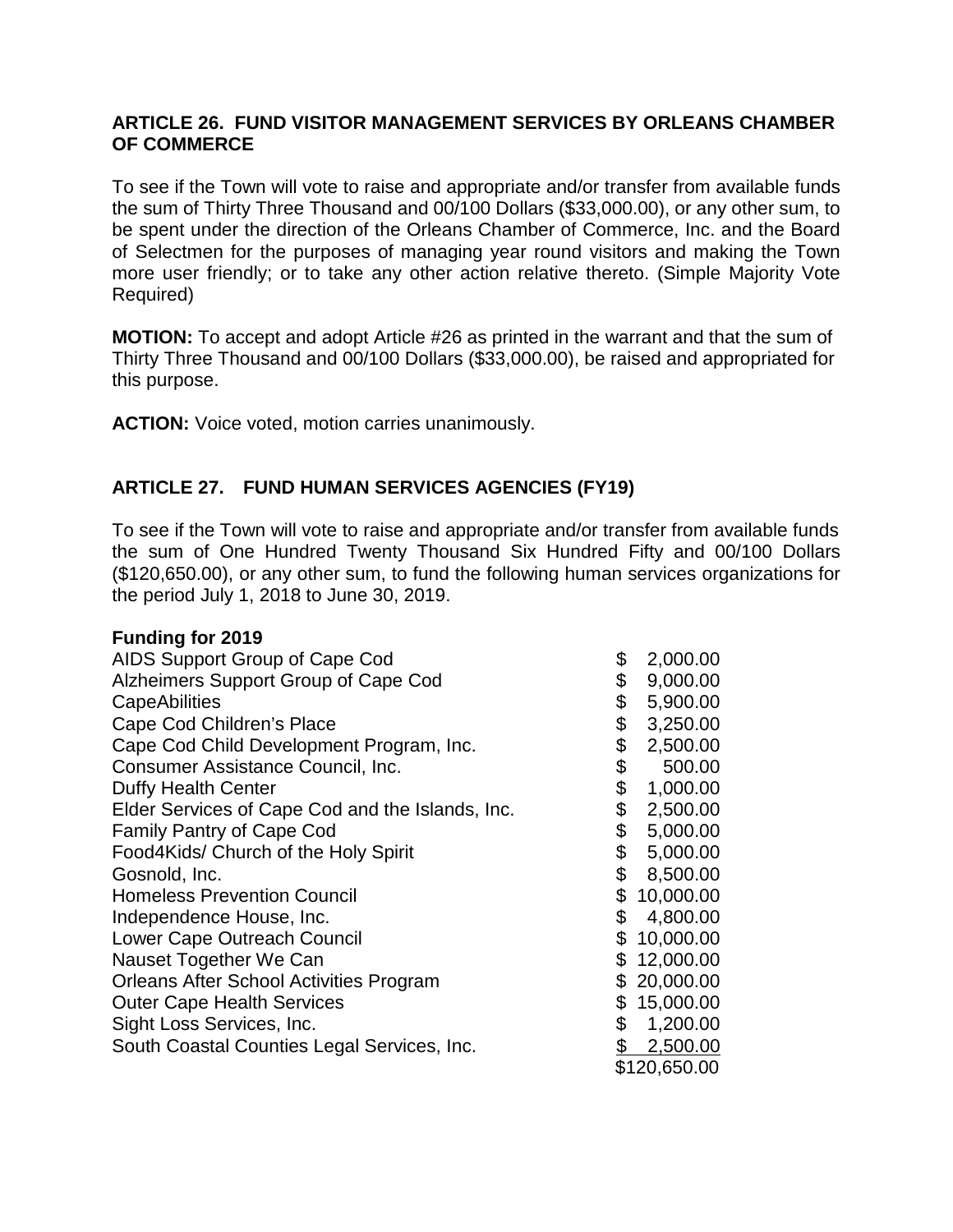#### **ARTICLE 26. FUND VISITOR MANAGEMENT SERVICES BY ORLEANS CHAMBER OF COMMERCE**

To see if the Town will vote to raise and appropriate and/or transfer from available funds the sum of Thirty Three Thousand and 00/100 Dollars (\$33,000.00), or any other sum, to be spent under the direction of the Orleans Chamber of Commerce, Inc. and the Board of Selectmen for the purposes of managing year round visitors and making the Town more user friendly; or to take any other action relative thereto. (Simple Majority Vote Required)

**MOTION:** To accept and adopt Article #26 as printed in the warrant and that the sum of Thirty Three Thousand and 00/100 Dollars (\$33,000.00), be raised and appropriated for this purpose.

**ACTION:** Voice voted, motion carries unanimously.

# **ARTICLE 27. FUND HUMAN SERVICES AGENCIES (FY19)**

To see if the Town will vote to raise and appropriate and/or transfer from available funds the sum of One Hundred Twenty Thousand Six Hundred Fifty and 00/100 Dollars (\$120,650.00), or any other sum, to fund the following human services organizations for the period July 1, 2018 to June 30, 2019.

#### **Funding for 2019**

| AIDS Support Group of Cape Cod                   | \$           | 2,000.00     |
|--------------------------------------------------|--------------|--------------|
| Alzheimers Support Group of Cape Cod             | \$           | 9,000.00     |
| <b>CapeAbilities</b>                             | \$           | 5,900.00     |
| Cape Cod Children's Place                        | \$           | 3,250.00     |
| Cape Cod Child Development Program, Inc.         | \$           | 2,500.00     |
| Consumer Assistance Council, Inc.                | \$           | 500.00       |
| <b>Duffy Health Center</b>                       | \$           | 1,000.00     |
| Elder Services of Cape Cod and the Islands, Inc. | \$           | 2,500.00     |
| <b>Family Pantry of Cape Cod</b>                 | \$           | 5,000.00     |
| Food4Kids/ Church of the Holy Spirit             | \$           | 5,000.00     |
| Gosnold, Inc.                                    | \$           | 8,500.00     |
| <b>Homeless Prevention Council</b>               |              | \$10,000.00  |
| Independence House, Inc.                         | \$           | 4,800.00     |
| Lower Cape Outreach Council                      | \$           | 10,000.00    |
| Nauset Together We Can                           | \$           | 12,000.00    |
| <b>Orleans After School Activities Program</b>   | \$           | 20,000.00    |
| <b>Outer Cape Health Services</b>                | \$           | 15,000.00    |
| Sight Loss Services, Inc.                        | \$           | 1,200.00     |
| South Coastal Counties Legal Services, Inc.      | $\mathbb{S}$ | 2,500.00     |
|                                                  |              | \$120,650.00 |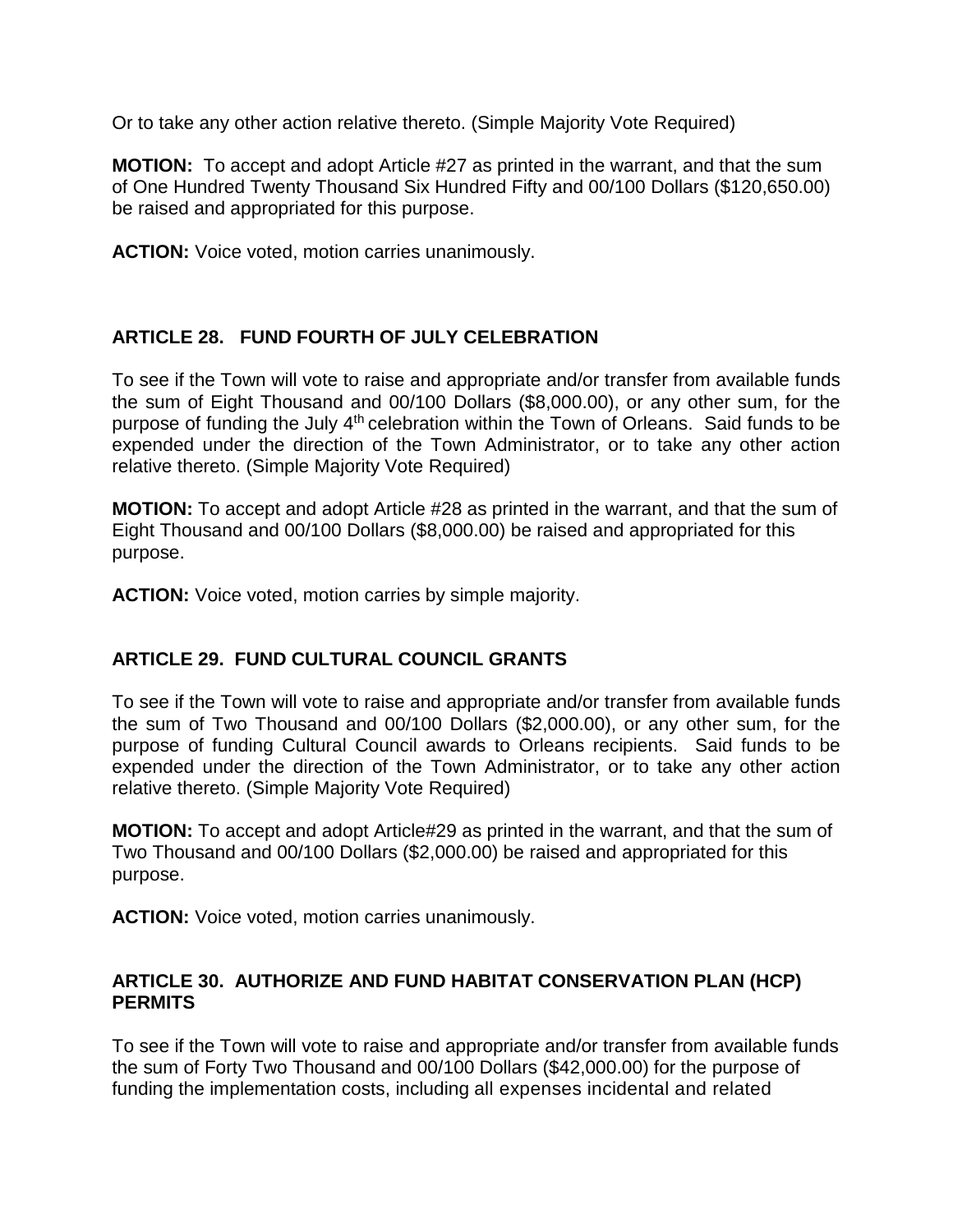Or to take any other action relative thereto. (Simple Majority Vote Required)

**MOTION:** To accept and adopt Article #27 as printed in the warrant, and that the sum of One Hundred Twenty Thousand Six Hundred Fifty and 00/100 Dollars (\$120,650.00) be raised and appropriated for this purpose.

**ACTION:** Voice voted, motion carries unanimously.

# **ARTICLE 28. FUND FOURTH OF JULY CELEBRATION**

To see if the Town will vote to raise and appropriate and/or transfer from available funds the sum of Eight Thousand and 00/100 Dollars (\$8,000.00), or any other sum, for the purpose of funding the July 4<sup>th</sup> celebration within the Town of Orleans. Said funds to be expended under the direction of the Town Administrator, or to take any other action relative thereto. (Simple Majority Vote Required)

**MOTION:** To accept and adopt Article #28 as printed in the warrant, and that the sum of Eight Thousand and 00/100 Dollars (\$8,000.00) be raised and appropriated for this purpose.

**ACTION:** Voice voted, motion carries by simple majority.

# **ARTICLE 29. FUND CULTURAL COUNCIL GRANTS**

To see if the Town will vote to raise and appropriate and/or transfer from available funds the sum of Two Thousand and 00/100 Dollars (\$2,000.00), or any other sum, for the purpose of funding Cultural Council awards to Orleans recipients. Said funds to be expended under the direction of the Town Administrator, or to take any other action relative thereto. (Simple Majority Vote Required)

**MOTION:** To accept and adopt Article#29 as printed in the warrant, and that the sum of Two Thousand and 00/100 Dollars (\$2,000.00) be raised and appropriated for this purpose.

**ACTION:** Voice voted, motion carries unanimously.

# **ARTICLE 30. AUTHORIZE AND FUND HABITAT CONSERVATION PLAN (HCP) PERMITS**

To see if the Town will vote to raise and appropriate and/or transfer from available funds the sum of Forty Two Thousand and 00/100 Dollars (\$42,000.00) for the purpose of funding the implementation costs, including all expenses incidental and related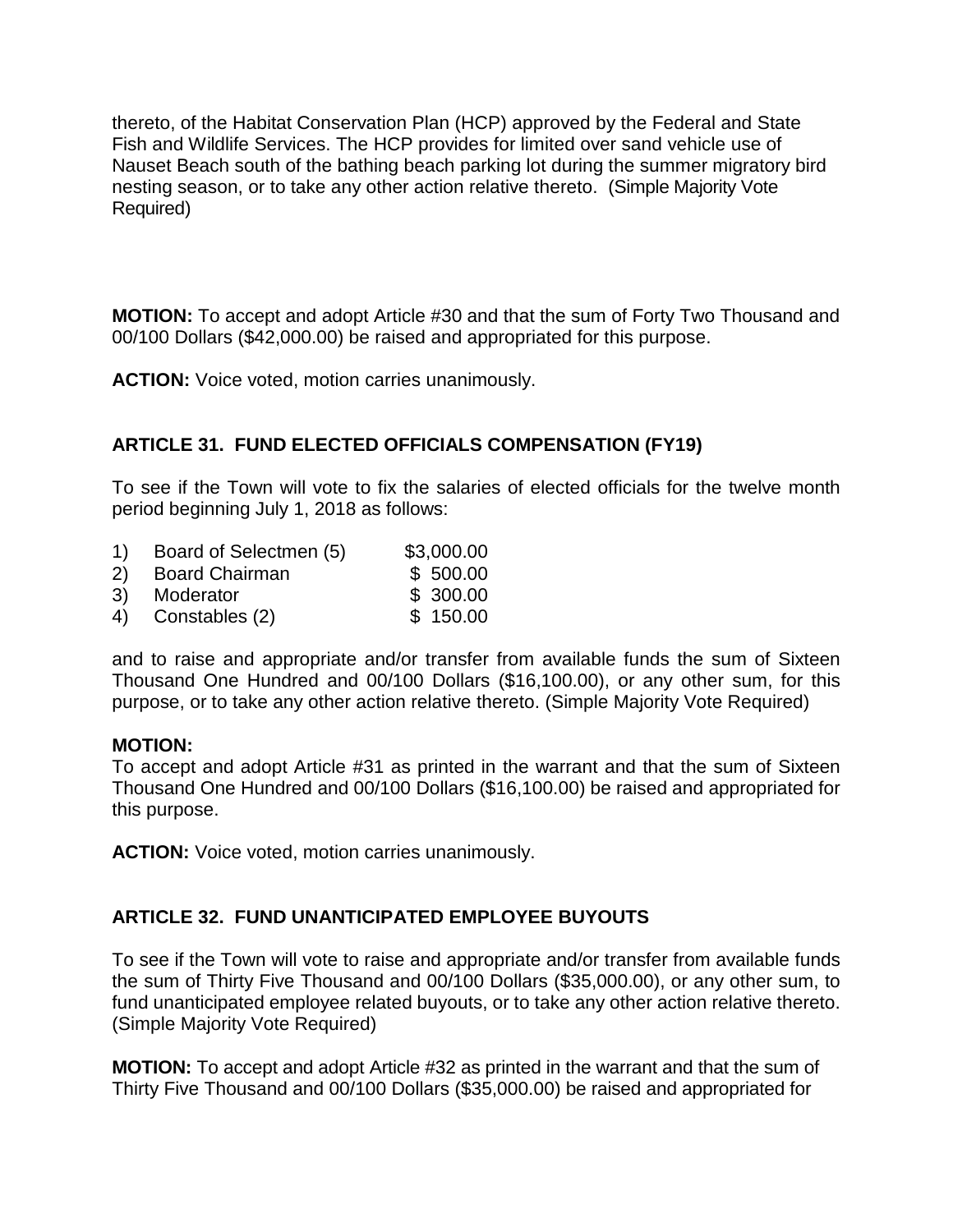thereto, of the Habitat Conservation Plan (HCP) approved by the Federal and State Fish and Wildlife Services. The HCP provides for limited over sand vehicle use of Nauset Beach south of the bathing beach parking lot during the summer migratory bird nesting season, or to take any other action relative thereto. (Simple Majority Vote Required)

**MOTION:** To accept and adopt Article #30 and that the sum of Forty Two Thousand and 00/100 Dollars (\$42,000.00) be raised and appropriated for this purpose.

**ACTION:** Voice voted, motion carries unanimously.

# **ARTICLE 31. FUND ELECTED OFFICIALS COMPENSATION (FY19)**

To see if the Town will vote to fix the salaries of elected officials for the twelve month period beginning July 1, 2018 as follows:

- 1) Board of Selectmen (5) \$3,000.00
- 2) Board Chairman \$ 500.00
- 3) Moderator \$ 300.00
- 4) Constables (2) \$ 150.00

and to raise and appropriate and/or transfer from available funds the sum of Sixteen Thousand One Hundred and 00/100 Dollars (\$16,100.00), or any other sum, for this purpose, or to take any other action relative thereto. (Simple Majority Vote Required)

#### **MOTION:**

To accept and adopt Article #31 as printed in the warrant and that the sum of Sixteen Thousand One Hundred and 00/100 Dollars (\$16,100.00) be raised and appropriated for this purpose.

**ACTION:** Voice voted, motion carries unanimously.

# **ARTICLE 32. FUND UNANTICIPATED EMPLOYEE BUYOUTS**

To see if the Town will vote to raise and appropriate and/or transfer from available funds the sum of Thirty Five Thousand and 00/100 Dollars (\$35,000.00), or any other sum, to fund unanticipated employee related buyouts, or to take any other action relative thereto. (Simple Majority Vote Required)

**MOTION:** To accept and adopt Article #32 as printed in the warrant and that the sum of Thirty Five Thousand and 00/100 Dollars (\$35,000.00) be raised and appropriated for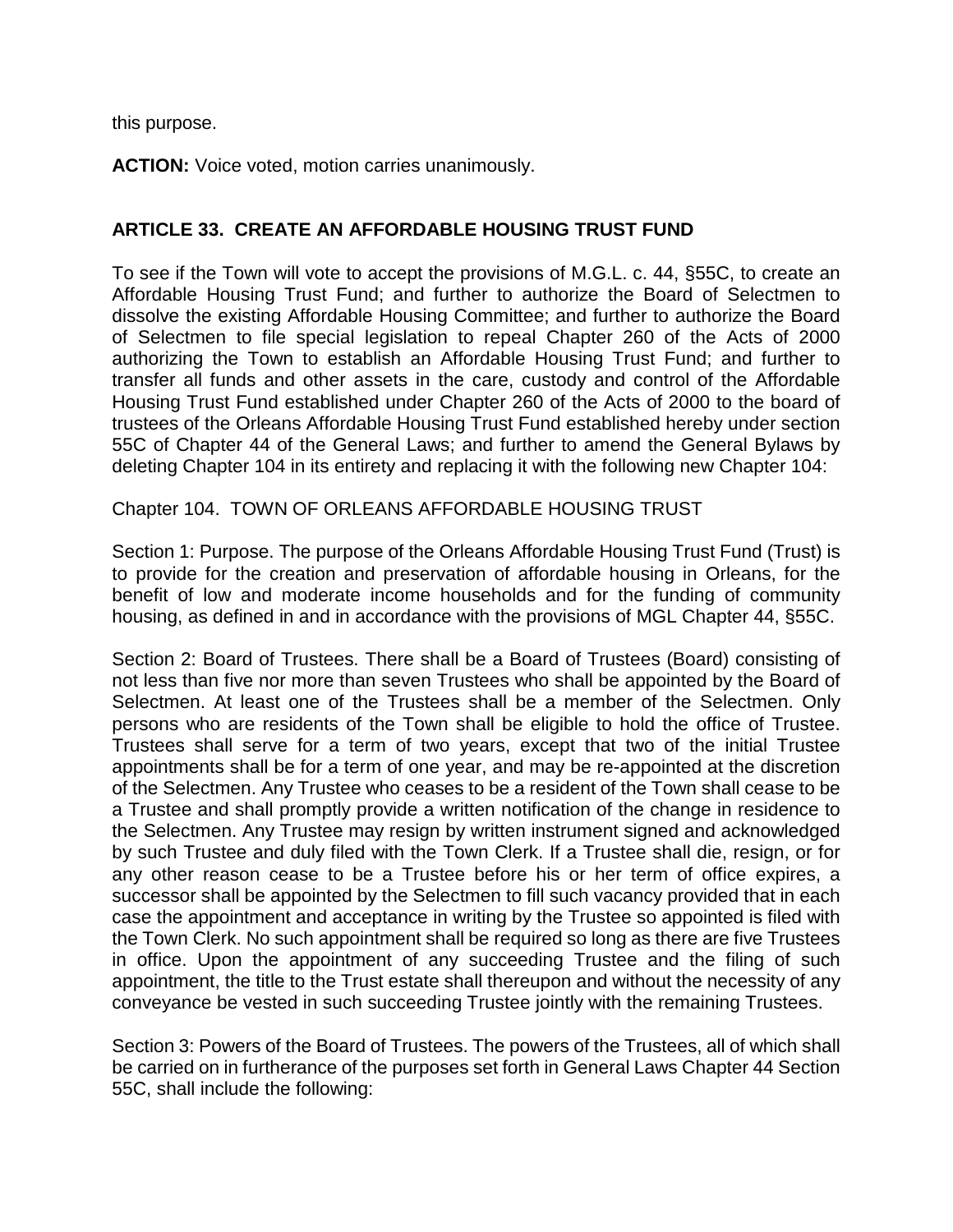this purpose.

**ACTION:** Voice voted, motion carries unanimously.

#### **ARTICLE 33. CREATE AN AFFORDABLE HOUSING TRUST FUND**

To see if the Town will vote to accept the provisions of M.G.L. c. 44, §55C, to create an Affordable Housing Trust Fund; and further to authorize the Board of Selectmen to dissolve the existing Affordable Housing Committee; and further to authorize the Board of Selectmen to file special legislation to repeal Chapter 260 of the Acts of 2000 authorizing the Town to establish an Affordable Housing Trust Fund; and further to transfer all funds and other assets in the care, custody and control of the Affordable Housing Trust Fund established under Chapter 260 of the Acts of 2000 to the board of trustees of the Orleans Affordable Housing Trust Fund established hereby under section 55C of Chapter 44 of the General Laws; and further to amend the General Bylaws by deleting Chapter 104 in its entirety and replacing it with the following new Chapter 104:

#### Chapter 104. TOWN OF ORLEANS AFFORDABLE HOUSING TRUST

Section 1: Purpose. The purpose of the Orleans Affordable Housing Trust Fund (Trust) is to provide for the creation and preservation of affordable housing in Orleans, for the benefit of low and moderate income households and for the funding of community housing, as defined in and in accordance with the provisions of MGL Chapter 44, §55C.

Section 2: Board of Trustees. There shall be a Board of Trustees (Board) consisting of not less than five nor more than seven Trustees who shall be appointed by the Board of Selectmen. At least one of the Trustees shall be a member of the Selectmen. Only persons who are residents of the Town shall be eligible to hold the office of Trustee. Trustees shall serve for a term of two years, except that two of the initial Trustee appointments shall be for a term of one year, and may be re-appointed at the discretion of the Selectmen. Any Trustee who ceases to be a resident of the Town shall cease to be a Trustee and shall promptly provide a written notification of the change in residence to the Selectmen. Any Trustee may resign by written instrument signed and acknowledged by such Trustee and duly filed with the Town Clerk. If a Trustee shall die, resign, or for any other reason cease to be a Trustee before his or her term of office expires, a successor shall be appointed by the Selectmen to fill such vacancy provided that in each case the appointment and acceptance in writing by the Trustee so appointed is filed with the Town Clerk. No such appointment shall be required so long as there are five Trustees in office. Upon the appointment of any succeeding Trustee and the filing of such appointment, the title to the Trust estate shall thereupon and without the necessity of any conveyance be vested in such succeeding Trustee jointly with the remaining Trustees.

Section 3: Powers of the Board of Trustees. The powers of the Trustees, all of which shall be carried on in furtherance of the purposes set forth in General Laws Chapter 44 Section 55C, shall include the following: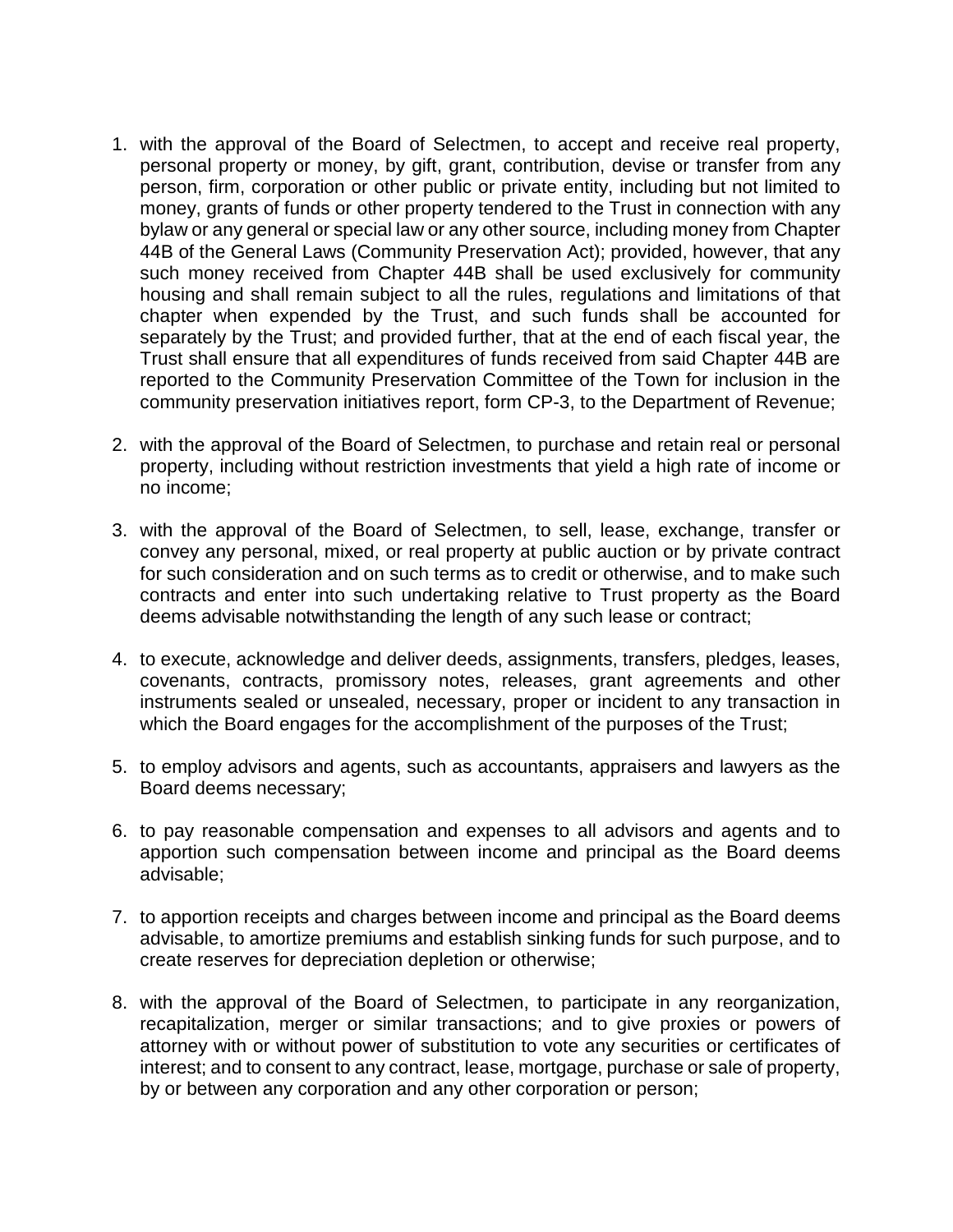- 1. with the approval of the Board of Selectmen, to accept and receive real property, personal property or money, by gift, grant, contribution, devise or transfer from any person, firm, corporation or other public or private entity, including but not limited to money, grants of funds or other property tendered to the Trust in connection with any bylaw or any general or special law or any other source, including money from Chapter 44B of the General Laws (Community Preservation Act); provided, however, that any such money received from Chapter 44B shall be used exclusively for community housing and shall remain subject to all the rules, regulations and limitations of that chapter when expended by the Trust, and such funds shall be accounted for separately by the Trust; and provided further, that at the end of each fiscal year, the Trust shall ensure that all expenditures of funds received from said Chapter 44B are reported to the Community Preservation Committee of the Town for inclusion in the community preservation initiatives report, form CP-3, to the Department of Revenue;
- 2. with the approval of the Board of Selectmen, to purchase and retain real or personal property, including without restriction investments that yield a high rate of income or no income;
- 3. with the approval of the Board of Selectmen, to sell, lease, exchange, transfer or convey any personal, mixed, or real property at public auction or by private contract for such consideration and on such terms as to credit or otherwise, and to make such contracts and enter into such undertaking relative to Trust property as the Board deems advisable notwithstanding the length of any such lease or contract;
- 4. to execute, acknowledge and deliver deeds, assignments, transfers, pledges, leases, covenants, contracts, promissory notes, releases, grant agreements and other instruments sealed or unsealed, necessary, proper or incident to any transaction in which the Board engages for the accomplishment of the purposes of the Trust;
- 5. to employ advisors and agents, such as accountants, appraisers and lawyers as the Board deems necessary;
- 6. to pay reasonable compensation and expenses to all advisors and agents and to apportion such compensation between income and principal as the Board deems advisable;
- 7. to apportion receipts and charges between income and principal as the Board deems advisable, to amortize premiums and establish sinking funds for such purpose, and to create reserves for depreciation depletion or otherwise;
- 8. with the approval of the Board of Selectmen, to participate in any reorganization, recapitalization, merger or similar transactions; and to give proxies or powers of attorney with or without power of substitution to vote any securities or certificates of interest; and to consent to any contract, lease, mortgage, purchase or sale of property, by or between any corporation and any other corporation or person;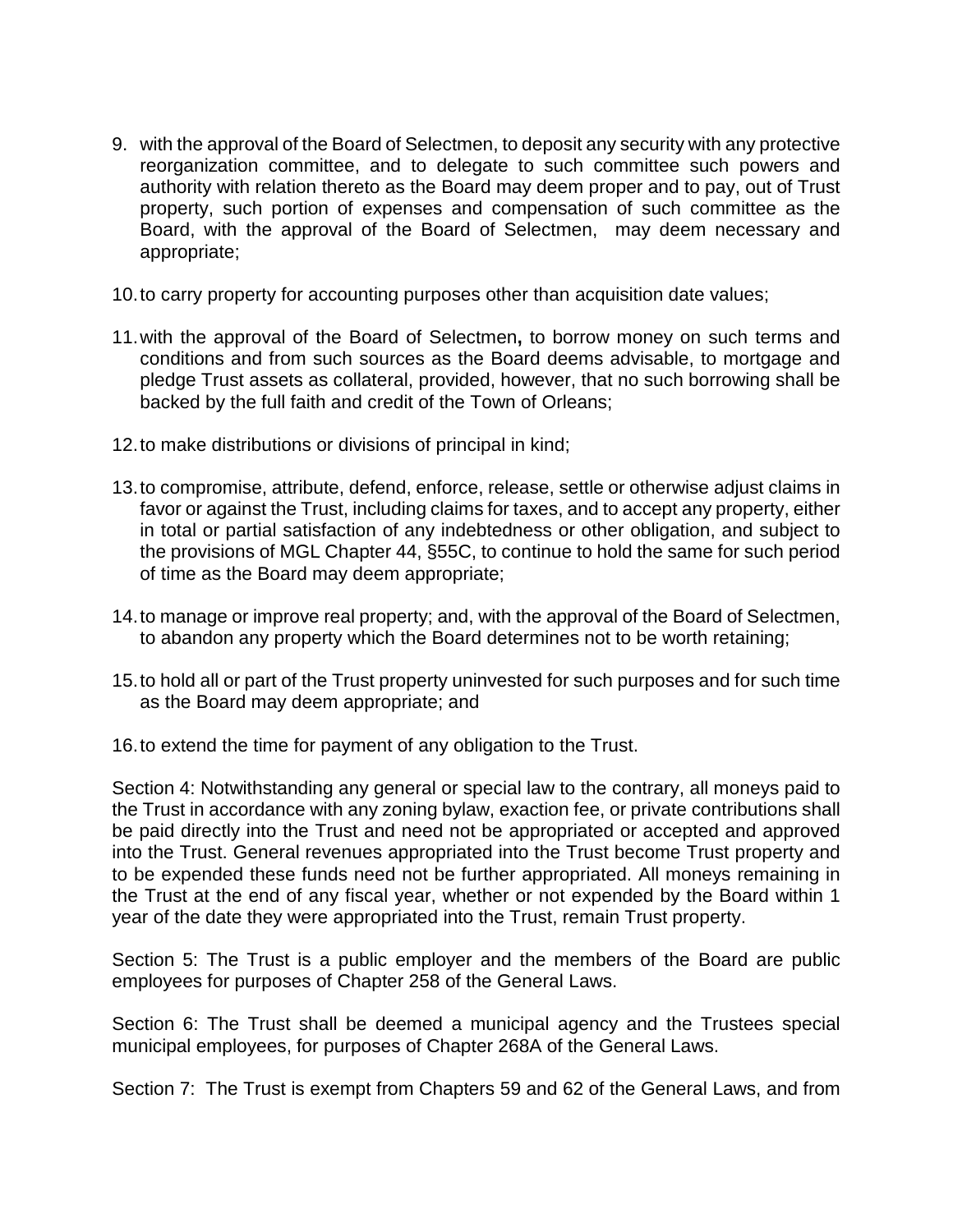- 9. with the approval of the Board of Selectmen, to deposit any security with any protective reorganization committee, and to delegate to such committee such powers and authority with relation thereto as the Board may deem proper and to pay, out of Trust property, such portion of expenses and compensation of such committee as the Board, with the approval of the Board of Selectmen, may deem necessary and appropriate;
- 10.to carry property for accounting purposes other than acquisition date values;
- 11.with the approval of the Board of Selectmen**,** to borrow money on such terms and conditions and from such sources as the Board deems advisable, to mortgage and pledge Trust assets as collateral, provided, however, that no such borrowing shall be backed by the full faith and credit of the Town of Orleans;
- 12.to make distributions or divisions of principal in kind;
- 13.to compromise, attribute, defend, enforce, release, settle or otherwise adjust claims in favor or against the Trust, including claims for taxes, and to accept any property, either in total or partial satisfaction of any indebtedness or other obligation, and subject to the provisions of MGL Chapter 44, §55C, to continue to hold the same for such period of time as the Board may deem appropriate;
- 14.to manage or improve real property; and, with the approval of the Board of Selectmen, to abandon any property which the Board determines not to be worth retaining;
- 15.to hold all or part of the Trust property uninvested for such purposes and for such time as the Board may deem appropriate; and
- 16.to extend the time for payment of any obligation to the Trust.

Section 4: Notwithstanding any general or special law to the contrary, all moneys paid to the Trust in accordance with any zoning bylaw, exaction fee, or private contributions shall be paid directly into the Trust and need not be appropriated or accepted and approved into the Trust. General revenues appropriated into the Trust become Trust property and to be expended these funds need not be further appropriated. All moneys remaining in the Trust at the end of any fiscal year, whether or not expended by the Board within 1 year of the date they were appropriated into the Trust, remain Trust property.

Section 5: The Trust is a public employer and the members of the Board are public employees for purposes of Chapter 258 of the General Laws.

Section 6: The Trust shall be deemed a municipal agency and the Trustees special municipal employees, for purposes of Chapter 268A of the General Laws.

Section 7: The Trust is exempt from Chapters 59 and 62 of the General Laws, and from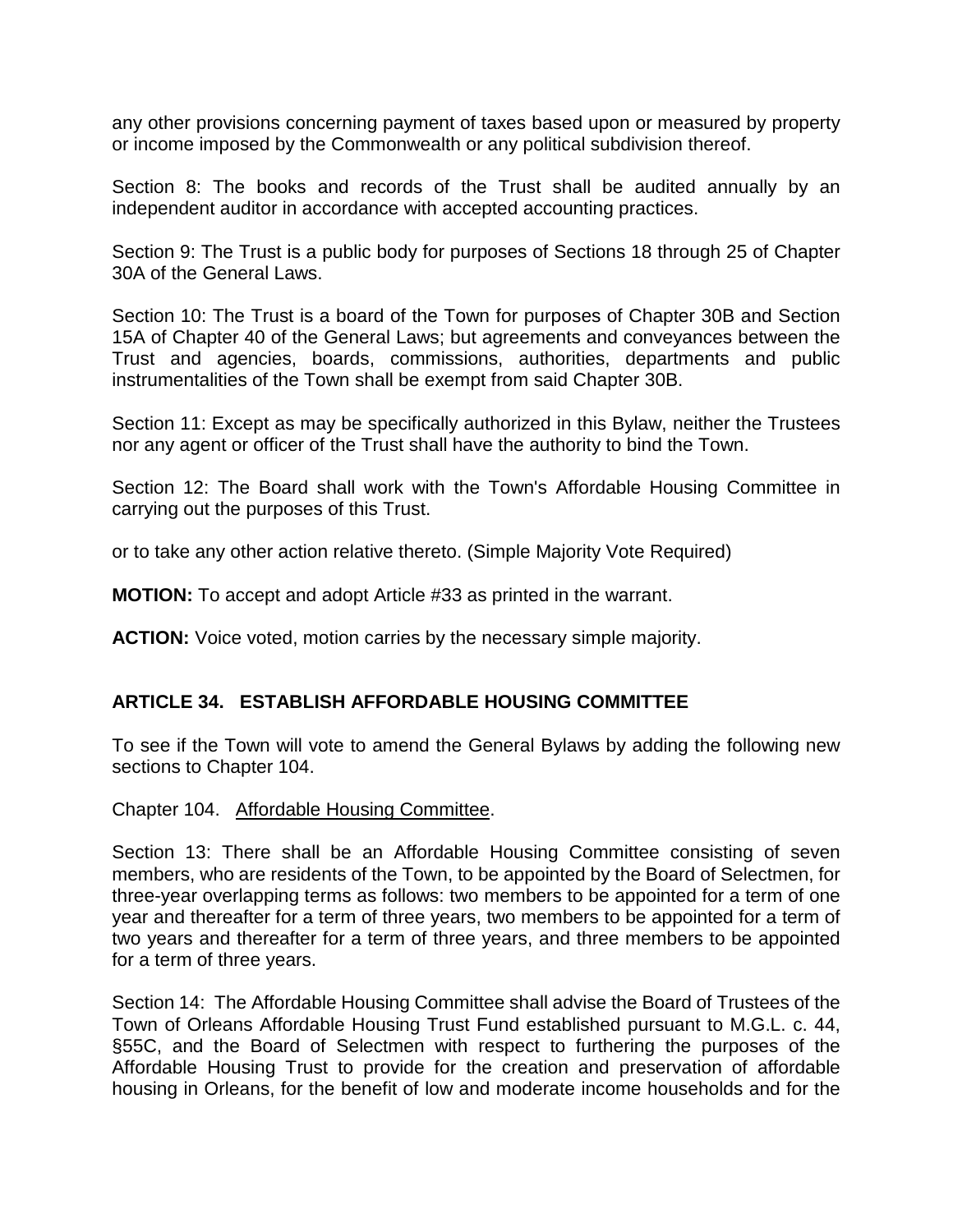any other provisions concerning payment of taxes based upon or measured by property or income imposed by the Commonwealth or any political subdivision thereof.

Section 8: The books and records of the Trust shall be audited annually by an independent auditor in accordance with accepted accounting practices.

Section 9: The Trust is a public body for purposes of Sections 18 through 25 of Chapter 30A of the General Laws.

Section 10: The Trust is a board of the Town for purposes of Chapter 30B and Section 15A of Chapter 40 of the General Laws; but agreements and conveyances between the Trust and agencies, boards, commissions, authorities, departments and public instrumentalities of the Town shall be exempt from said Chapter 30B.

Section 11: Except as may be specifically authorized in this Bylaw, neither the Trustees nor any agent or officer of the Trust shall have the authority to bind the Town.

Section 12: The Board shall work with the Town's Affordable Housing Committee in carrying out the purposes of this Trust.

or to take any other action relative thereto. (Simple Majority Vote Required)

**MOTION:** To accept and adopt Article #33 as printed in the warrant.

**ACTION:** Voice voted, motion carries by the necessary simple majority.

#### **ARTICLE 34. ESTABLISH AFFORDABLE HOUSING COMMITTEE**

To see if the Town will vote to amend the General Bylaws by adding the following new sections to Chapter 104.

Chapter 104. Affordable Housing Committee.

Section 13: There shall be an Affordable Housing Committee consisting of seven members, who are residents of the Town, to be appointed by the Board of Selectmen, for three-year overlapping terms as follows: two members to be appointed for a term of one year and thereafter for a term of three years, two members to be appointed for a term of two years and thereafter for a term of three years, and three members to be appointed for a term of three years.

Section 14: The Affordable Housing Committee shall advise the Board of Trustees of the Town of Orleans Affordable Housing Trust Fund established pursuant to M.G.L. c. 44, §55C, and the Board of Selectmen with respect to furthering the purposes of the Affordable Housing Trust to provide for the creation and preservation of affordable housing in Orleans, for the benefit of low and moderate income households and for the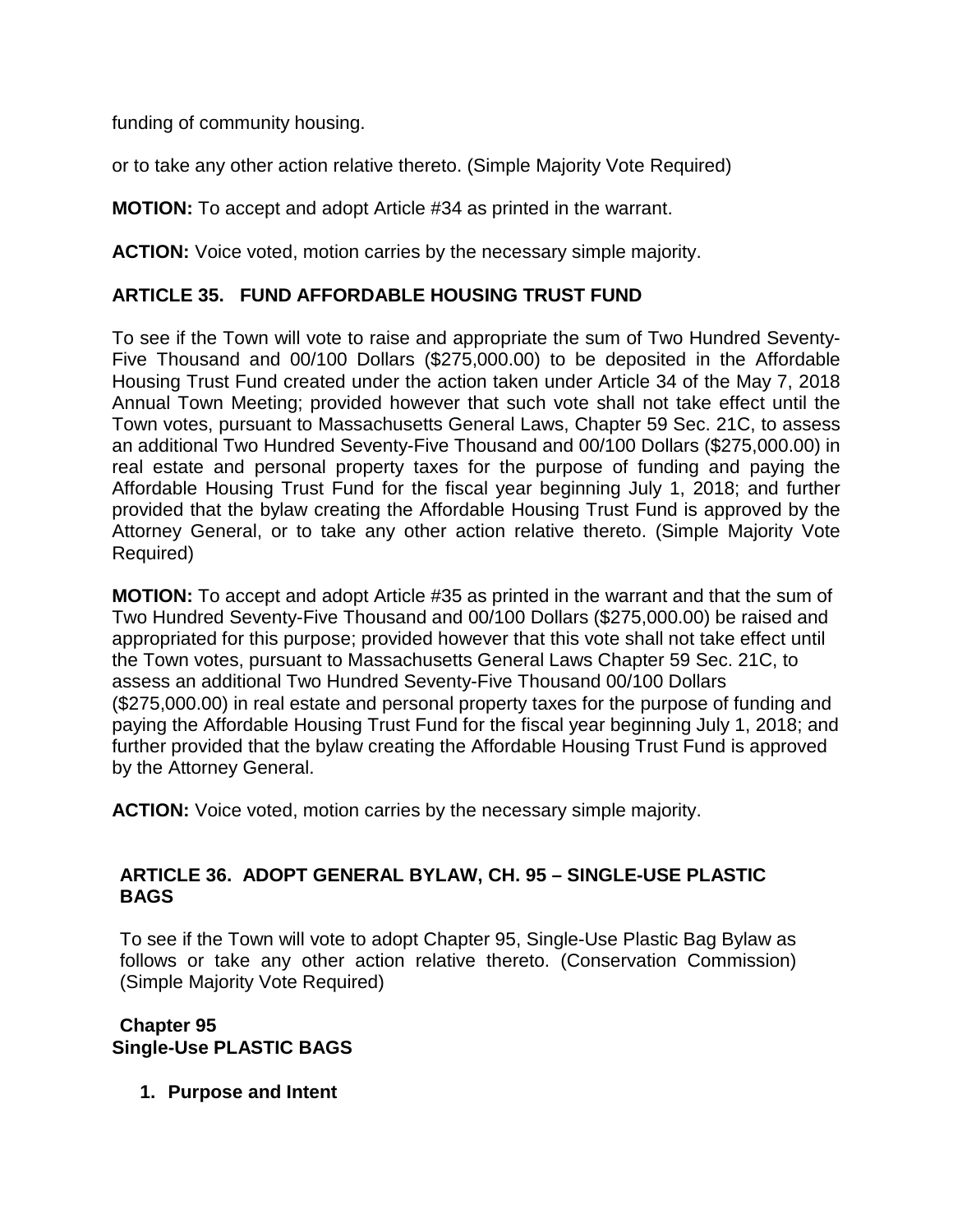funding of community housing.

or to take any other action relative thereto. (Simple Majority Vote Required)

**MOTION:** To accept and adopt Article #34 as printed in the warrant.

**ACTION:** Voice voted, motion carries by the necessary simple majority.

# **ARTICLE 35. FUND AFFORDABLE HOUSING TRUST FUND**

To see if the Town will vote to raise and appropriate the sum of Two Hundred Seventy-Five Thousand and 00/100 Dollars (\$275,000.00) to be deposited in the Affordable Housing Trust Fund created under the action taken under Article 34 of the May 7, 2018 Annual Town Meeting; provided however that such vote shall not take effect until the Town votes, pursuant to Massachusetts General Laws, Chapter 59 Sec. 21C, to assess an additional Two Hundred Seventy-Five Thousand and 00/100 Dollars (\$275,000.00) in real estate and personal property taxes for the purpose of funding and paying the Affordable Housing Trust Fund for the fiscal year beginning July 1, 2018; and further provided that the bylaw creating the Affordable Housing Trust Fund is approved by the Attorney General, or to take any other action relative thereto. (Simple Majority Vote Required)

**MOTION:** To accept and adopt Article #35 as printed in the warrant and that the sum of Two Hundred Seventy-Five Thousand and 00/100 Dollars (\$275,000.00) be raised and appropriated for this purpose; provided however that this vote shall not take effect until the Town votes, pursuant to Massachusetts General Laws Chapter 59 Sec. 21C, to assess an additional Two Hundred Seventy-Five Thousand 00/100 Dollars (\$275,000.00) in real estate and personal property taxes for the purpose of funding and paying the Affordable Housing Trust Fund for the fiscal year beginning July 1, 2018; and further provided that the bylaw creating the Affordable Housing Trust Fund is approved by the Attorney General.

**ACTION:** Voice voted, motion carries by the necessary simple majority.

# **ARTICLE 36. ADOPT GENERAL BYLAW, CH. 95 – SINGLE-USE PLASTIC BAGS**

To see if the Town will vote to adopt Chapter 95, Single-Use Plastic Bag Bylaw as follows or take any other action relative thereto. (Conservation Commission) (Simple Majority Vote Required)

**Chapter 95 Single-Use PLASTIC BAGS**

**1. Purpose and Intent**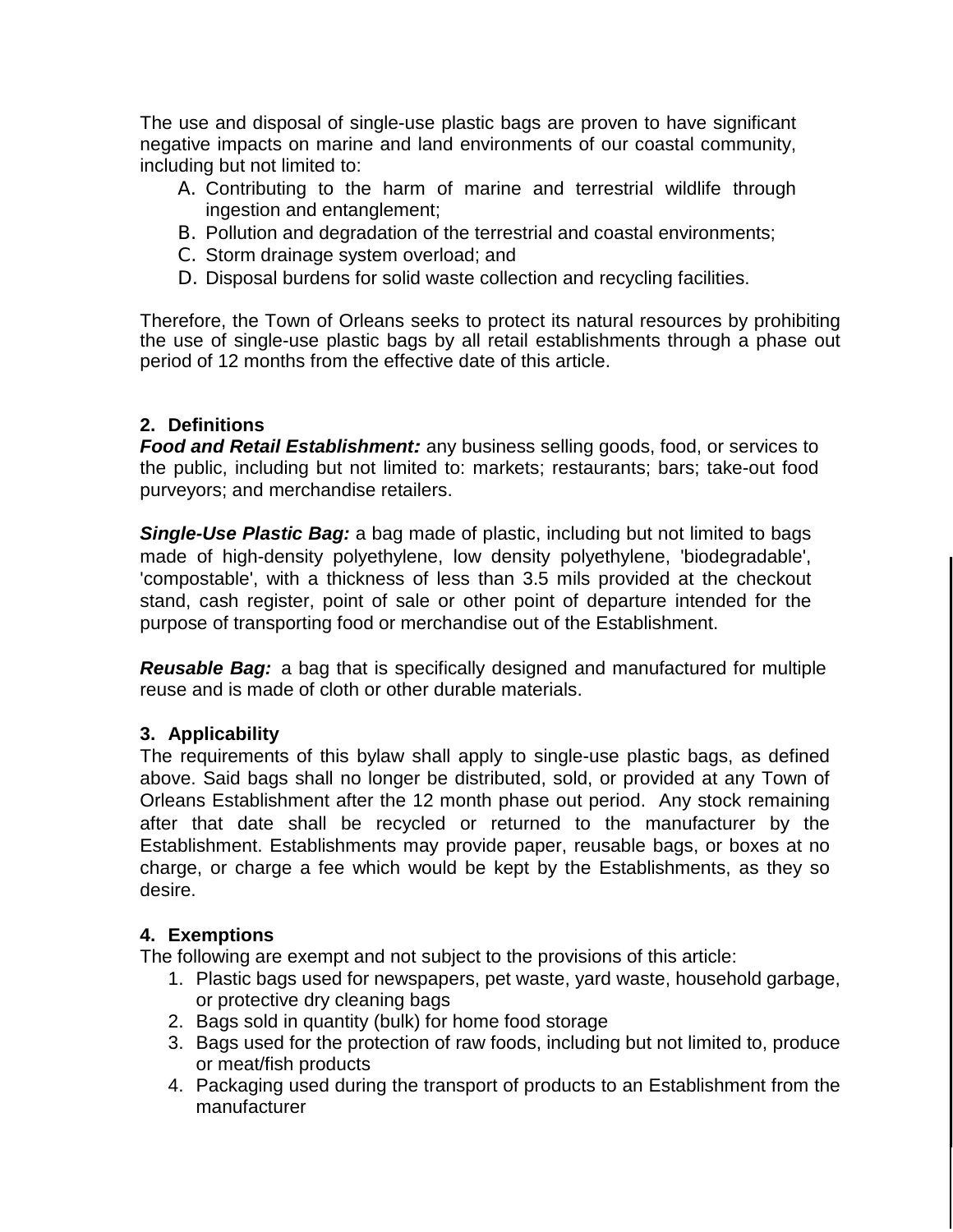The use and disposal of single-use plastic bags are proven to have significant negative impacts on marine and land environments of our coastal community, including but not limited to:

- A. Contributing to the harm of marine and terrestrial wildlife through ingestion and entanglement;
- B. Pollution and degradation of the terrestrial and coastal environments;
- C. Storm drainage system overload; and
- D. Disposal burdens for solid waste collection and recycling facilities.

Therefore, the Town of Orleans seeks to protect its natural resources by prohibiting the use of single-use plastic bags by all retail establishments through a phase out period of 12 months from the effective date of this article.

# **2. Definitions**

*Food and Retail Establishment:* any business selling goods, food, or services to the public, including but not limited to: markets; restaurants; bars; take-out food purveyors; and merchandise retailers.

*Single-Use Plastic Bag:* a bag made of plastic, including but not limited to bags made of high-density polyethylene, low density polyethylene, 'biodegradable', 'compostable', with a thickness of less than 3.5 mils provided at the checkout stand, cash register, point of sale or other point of departure intended for the purpose of transporting food or merchandise out of the Establishment.

*Reusable Bag:* a bag that is specifically designed and manufactured for multiple reuse and is made of cloth or other durable materials.

# **3. Applicability**

The requirements of this bylaw shall apply to single-use plastic bags, as defined above. Said bags shall no longer be distributed, sold, or provided at any Town of Orleans Establishment after the 12 month phase out period. Any stock remaining after that date shall be recycled or returned to the manufacturer by the Establishment. Establishments may provide paper, reusable bags, or boxes at no charge, or charge a fee which would be kept by the Establishments, as they so desire.

# **4. Exemptions**

The following are exempt and not subject to the provisions of this article:

- 1. Plastic bags used for newspapers, pet waste, yard waste, household garbage, or protective dry cleaning bags
- 2. Bags sold in quantity (bulk) for home food storage
- 3. Bags used for the protection of raw foods, including but not limited to, produce or meat/fish products
- 4. Packaging used during the transport of products to an Establishment from the manufacturer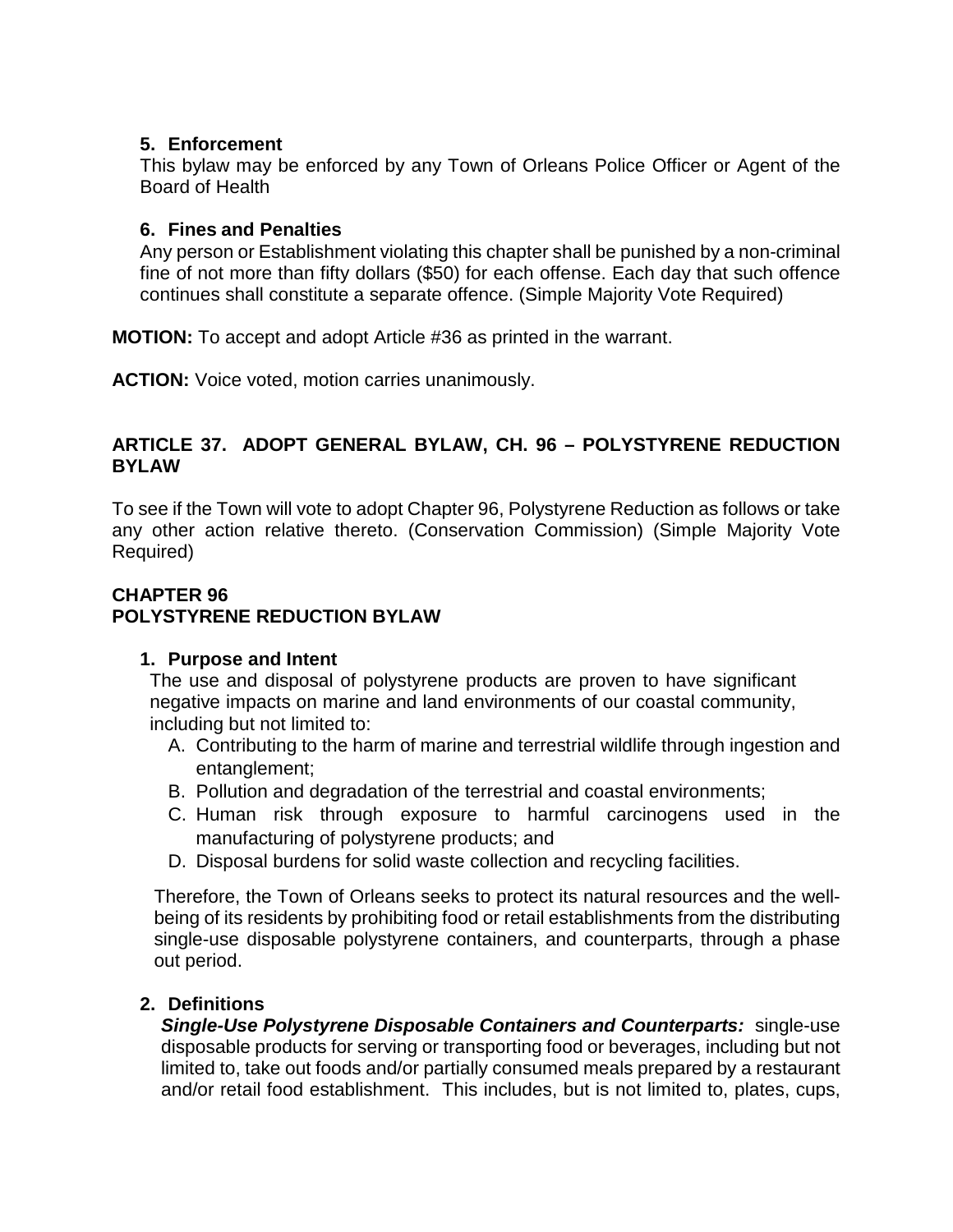# **5. Enforcement**

This bylaw may be enforced by any Town of Orleans Police Officer or Agent of the Board of Health

#### **6. Fines and Penalties**

Any person or Establishment violating this chapter shall be punished by a non-criminal fine of not more than fifty dollars (\$50) for each offense. Each day that such offence continues shall constitute a separate offence. (Simple Majority Vote Required)

**MOTION:** To accept and adopt Article #36 as printed in the warrant.

**ACTION:** Voice voted, motion carries unanimously.

# **ARTICLE 37. ADOPT GENERAL BYLAW, CH. 96 – POLYSTYRENE REDUCTION BYLAW**

To see if the Town will vote to adopt Chapter 96, Polystyrene Reduction as follows or take any other action relative thereto. (Conservation Commission) (Simple Majority Vote Required)

#### **CHAPTER 96 POLYSTYRENE REDUCTION BYLAW**

# **1. Purpose and Intent**

The use and disposal of polystyrene products are proven to have significant negative impacts on marine and land environments of our coastal community, including but not limited to:

- A. Contributing to the harm of marine and terrestrial wildlife through ingestion and entanglement;
- B. Pollution and degradation of the terrestrial and coastal environments;
- C. Human risk through exposure to harmful carcinogens used in the manufacturing of polystyrene products; and
- D. Disposal burdens for solid waste collection and recycling facilities.

Therefore, the Town of Orleans seeks to protect its natural resources and the wellbeing of its residents by prohibiting food or retail establishments from the distributing single-use disposable polystyrene containers, and counterparts, through a phase out period.

# **2. Definitions**

*Single-Use Polystyrene Disposable Containers and Counterparts:* single-use disposable products for serving or transporting food or beverages, including but not limited to, take out foods and/or partially consumed meals prepared by a restaurant and/or retail food establishment. This includes, but is not limited to, plates, cups,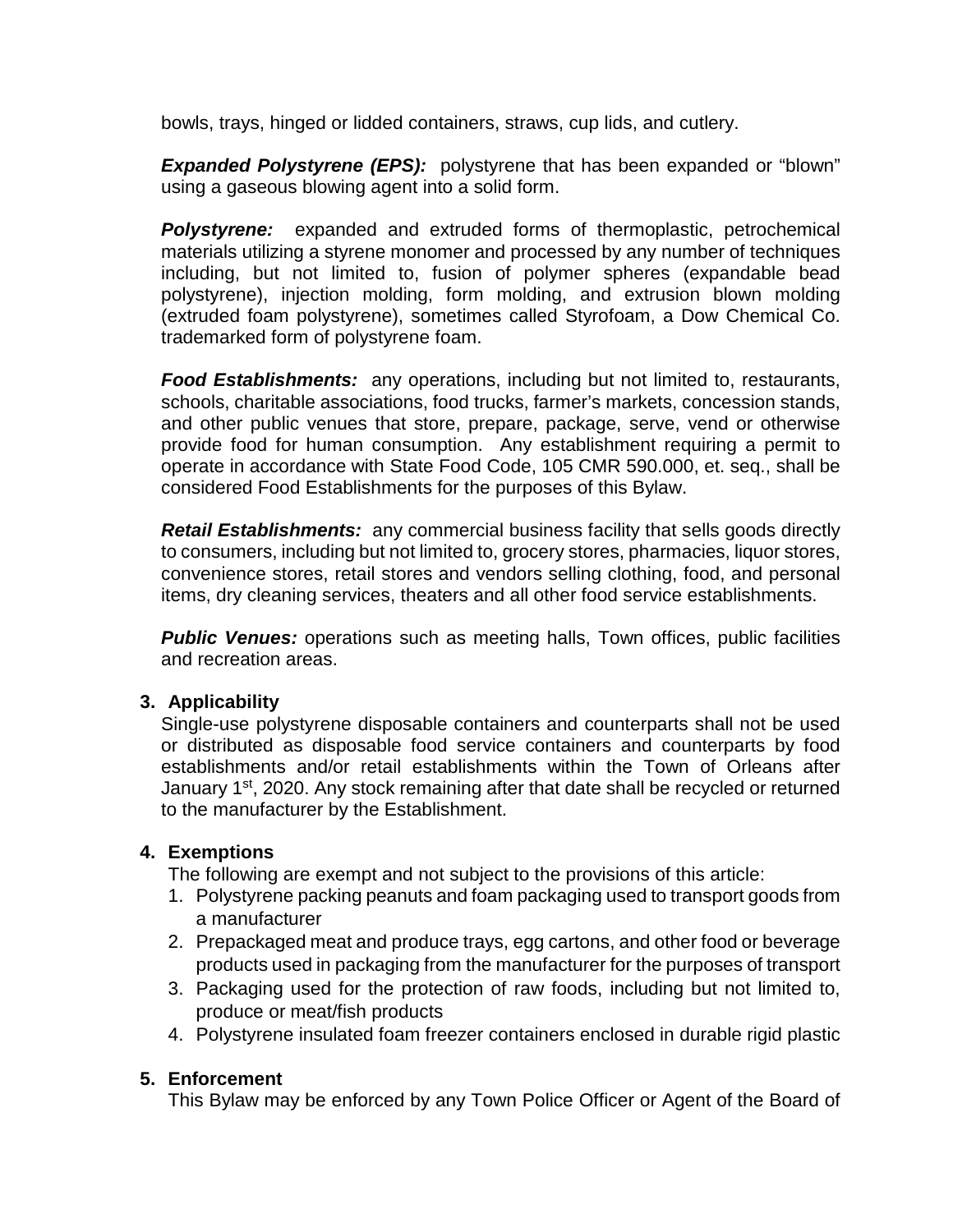bowls, trays, hinged or lidded containers, straws, cup lids, and cutlery.

*Expanded Polystyrene (EPS):* polystyrene that has been expanded or "blown" using a gaseous blowing agent into a solid form.

*Polystyrene:* expanded and extruded forms of thermoplastic, petrochemical materials utilizing a styrene monomer and processed by any number of techniques including, but not limited to, fusion of polymer spheres (expandable bead polystyrene), injection molding, form molding, and extrusion blown molding (extruded foam polystyrene), sometimes called Styrofoam, a Dow Chemical Co. trademarked form of polystyrene foam.

*Food Establishments:* any operations, including but not limited to, restaurants, schools, charitable associations, food trucks, farmer's markets, concession stands, and other public venues that store, prepare, package, serve, vend or otherwise provide food for human consumption. Any establishment requiring a permit to operate in accordance with State Food Code, 105 CMR 590.000, et. seq., shall be considered Food Establishments for the purposes of this Bylaw.

*Retail Establishments:* any commercial business facility that sells goods directly to consumers, including but not limited to, grocery stores, pharmacies, liquor stores, convenience stores, retail stores and vendors selling clothing, food, and personal items, dry cleaning services, theaters and all other food service establishments.

**Public Venues:** operations such as meeting halls, Town offices, public facilities and recreation areas.

#### **3. Applicability**

Single-use polystyrene disposable containers and counterparts shall not be used or distributed as disposable food service containers and counterparts by food establishments and/or retail establishments within the Town of Orleans after January 1<sup>st</sup>, 2020. Any stock remaining after that date shall be recycled or returned to the manufacturer by the Establishment.

# **4. Exemptions**

The following are exempt and not subject to the provisions of this article:

- 1. Polystyrene packing peanuts and foam packaging used to transport goods from a manufacturer
- 2. Prepackaged meat and produce trays, egg cartons, and other food or beverage products used in packaging from the manufacturer for the purposes of transport
- 3. Packaging used for the protection of raw foods, including but not limited to, produce or meat/fish products
- 4. Polystyrene insulated foam freezer containers enclosed in durable rigid plastic

# **5. Enforcement**

This Bylaw may be enforced by any Town Police Officer or Agent of the Board of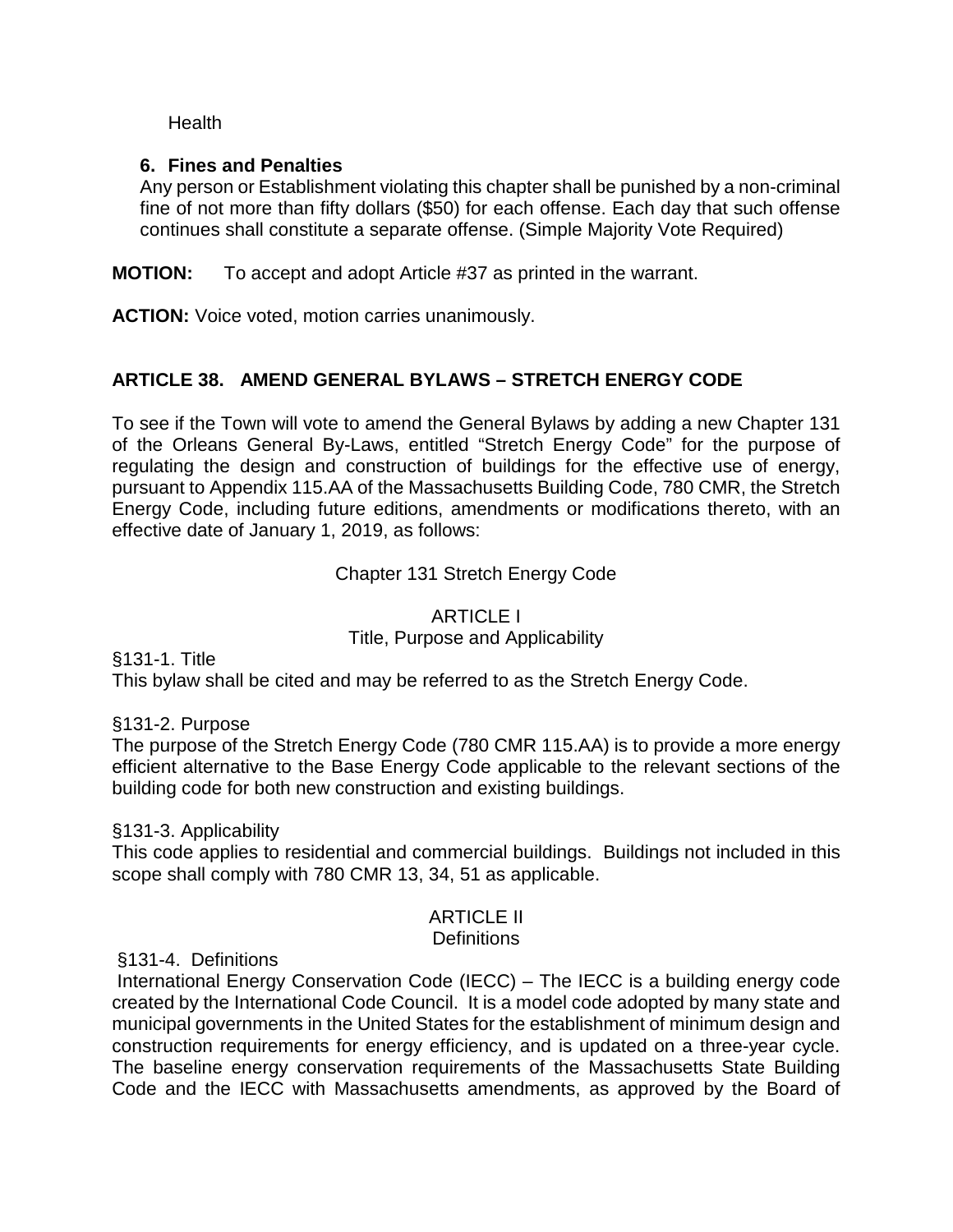Health

# **6. Fines and Penalties**

Any person or Establishment violating this chapter shall be punished by a non-criminal fine of not more than fifty dollars (\$50) for each offense. Each day that such offense continues shall constitute a separate offense. (Simple Majority Vote Required)

**MOTION:** To accept and adopt Article #37 as printed in the warrant.

**ACTION:** Voice voted, motion carries unanimously.

# **ARTICLE 38. AMEND GENERAL BYLAWS – STRETCH ENERGY CODE**

To see if the Town will vote to amend the General Bylaws by adding a new Chapter 131 of the Orleans General By-Laws, entitled "Stretch Energy Code" for the purpose of regulating the design and construction of buildings for the effective use of energy, pursuant to Appendix 115.AA of the Massachusetts Building Code, 780 CMR, the Stretch Energy Code, including future editions, amendments or modifications thereto, with an effective date of January 1, 2019, as follows:

# Chapter 131 Stretch Energy Code

# ARTICLE I Title, Purpose and Applicability

§131-1. Title

This bylaw shall be cited and may be referred to as the Stretch Energy Code.

# §131-2. Purpose

The purpose of the Stretch Energy Code (780 CMR 115.AA) is to provide a more energy efficient alternative to the Base Energy Code applicable to the relevant sections of the building code for both new construction and existing buildings.

#### §131-3. Applicability

This code applies to residential and commercial buildings. Buildings not included in this scope shall comply with 780 CMR 13, 34, 51 as applicable.

# ARTICLE II

#### **Definitions**

#### §131-4. Definitions

International Energy Conservation Code (IECC) – The IECC is a building energy code created by the International Code Council. It is a model code adopted by many state and municipal governments in the United States for the establishment of minimum design and construction requirements for energy efficiency, and is updated on a three-year cycle. The baseline energy conservation requirements of the Massachusetts State Building Code and the IECC with Massachusetts amendments, as approved by the Board of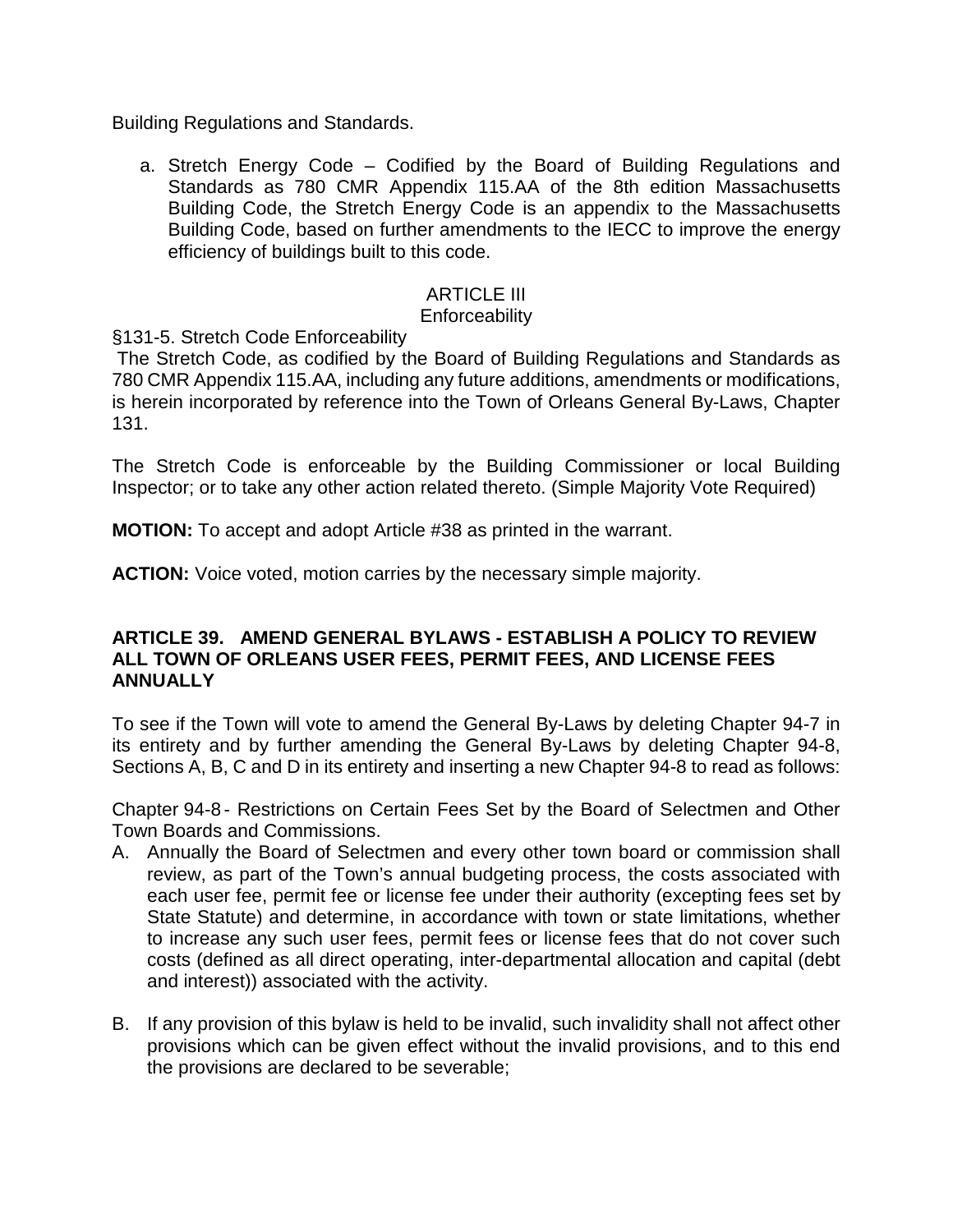Building Regulations and Standards.

a. Stretch Energy Code – Codified by the Board of Building Regulations and Standards as 780 CMR Appendix 115.AA of the 8th edition Massachusetts Building Code, the Stretch Energy Code is an appendix to the Massachusetts Building Code, based on further amendments to the IECC to improve the energy efficiency of buildings built to this code.

# ARTICLE III

#### **Enforceability**

§131-5. Stretch Code Enforceability

The Stretch Code, as codified by the Board of Building Regulations and Standards as 780 CMR Appendix 115.AA, including any future additions, amendments or modifications, is herein incorporated by reference into the Town of Orleans General By-Laws, Chapter 131.

The Stretch Code is enforceable by the Building Commissioner or local Building Inspector; or to take any other action related thereto. (Simple Majority Vote Required)

**MOTION:** To accept and adopt Article #38 as printed in the warrant.

**ACTION:** Voice voted, motion carries by the necessary simple majority.

#### **ARTICLE 39. AMEND GENERAL BYLAWS - ESTABLISH A POLICY TO REVIEW ALL TOWN OF ORLEANS USER FEES, PERMIT FEES, AND LICENSE FEES ANNUALLY**

To see if the Town will vote to amend the General By-Laws by deleting Chapter 94-7 in its entirety and by further amending the General By-Laws by deleting Chapter 94-8, Sections A, B, C and D in its entirety and inserting a new Chapter 94-8 to read as follows:

Chapter 94-8 - Restrictions on Certain Fees Set by the Board of Selectmen and Other Town Boards and Commissions.

- A. Annually the Board of Selectmen and every other town board or commission shall review, as part of the Town's annual budgeting process, the costs associated with each user fee, permit fee or license fee under their authority (excepting fees set by State Statute) and determine, in accordance with town or state limitations, whether to increase any such user fees, permit fees or license fees that do not cover such costs (defined as all direct operating, inter-departmental allocation and capital (debt and interest)) associated with the activity.
- B. If any provision of this bylaw is held to be invalid, such invalidity shall not affect other provisions which can be given effect without the invalid provisions, and to this end the provisions are declared to be severable;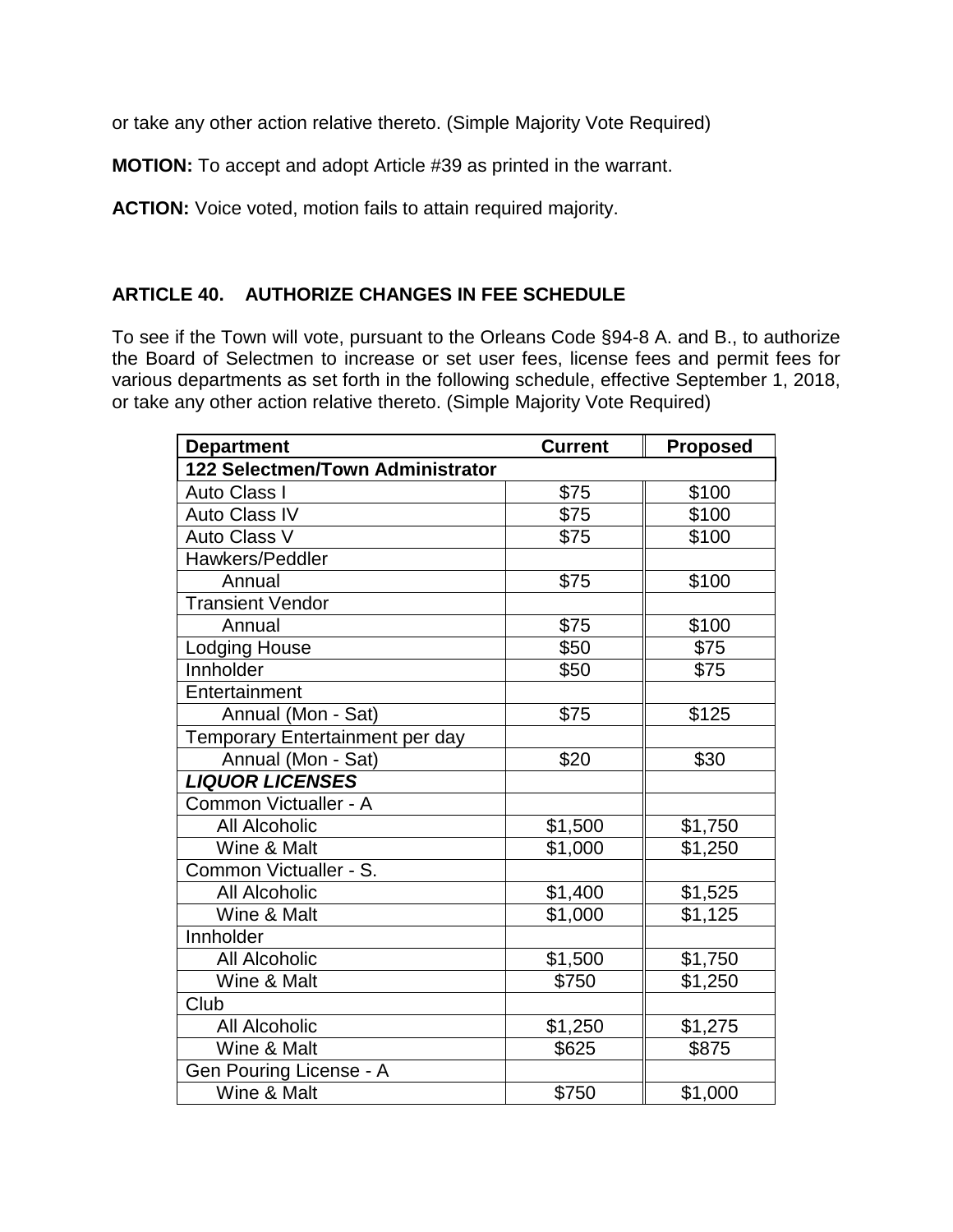or take any other action relative thereto. (Simple Majority Vote Required)

**MOTION:** To accept and adopt Article #39 as printed in the warrant.

**ACTION:** Voice voted, motion fails to attain required majority.

# **ARTICLE 40. AUTHORIZE CHANGES IN FEE SCHEDULE**

To see if the Town will vote, pursuant to the Orleans Code §94-8 A. and B., to authorize the Board of Selectmen to increase or set user fees, license fees and permit fees for various departments as set forth in the following schedule, effective September 1, 2018, or take any other action relative thereto. (Simple Majority Vote Required)

| <b>Department</b>                | <b>Current</b> | <b>Proposed</b>      |  |  |  |
|----------------------------------|----------------|----------------------|--|--|--|
| 122 Selectmen/Town Administrator |                |                      |  |  |  |
| <b>Auto Class I</b>              | \$75           | \$100                |  |  |  |
| <b>Auto Class IV</b>             | \$75           | \$100                |  |  |  |
| Auto Class V                     | \$75           | \$100                |  |  |  |
| Hawkers/Peddler                  |                |                      |  |  |  |
| Annual                           | \$75           | \$100                |  |  |  |
| <b>Transient Vendor</b>          |                |                      |  |  |  |
| Annual                           | \$75           | \$100                |  |  |  |
| Lodging House                    | \$50           | \$75                 |  |  |  |
| Innholder                        | \$50           | \$75                 |  |  |  |
| Entertainment                    |                |                      |  |  |  |
| Annual (Mon - Sat)               | \$75           | \$125                |  |  |  |
| Temporary Entertainment per day  |                |                      |  |  |  |
| Annual (Mon - Sat)               | \$20           | \$30                 |  |  |  |
| <b>LIQUOR LICENSES</b>           |                |                      |  |  |  |
| Common Victualler - A            |                |                      |  |  |  |
| <b>All Alcoholic</b>             | \$1,500        | \$1,750              |  |  |  |
| Wine & Malt                      | \$1,000        | \$1,250              |  |  |  |
| Common Victualler - S.           |                |                      |  |  |  |
| All Alcoholic                    | \$1,400        | \$1,525              |  |  |  |
| Wine & Malt                      | \$1,000        | $\overline{\$1,125}$ |  |  |  |
| Innholder                        |                |                      |  |  |  |
| <b>All Alcoholic</b>             | \$1,500        | \$1,750              |  |  |  |
| Wine & Malt                      | \$750          | \$1,250              |  |  |  |
| Club                             |                |                      |  |  |  |
| <b>All Alcoholic</b>             | \$1,250        | \$1,275              |  |  |  |
| Wine & Malt                      | \$625          | \$875                |  |  |  |
| Gen Pouring License - A          |                |                      |  |  |  |
| Wine & Malt                      | \$750          | \$1,000              |  |  |  |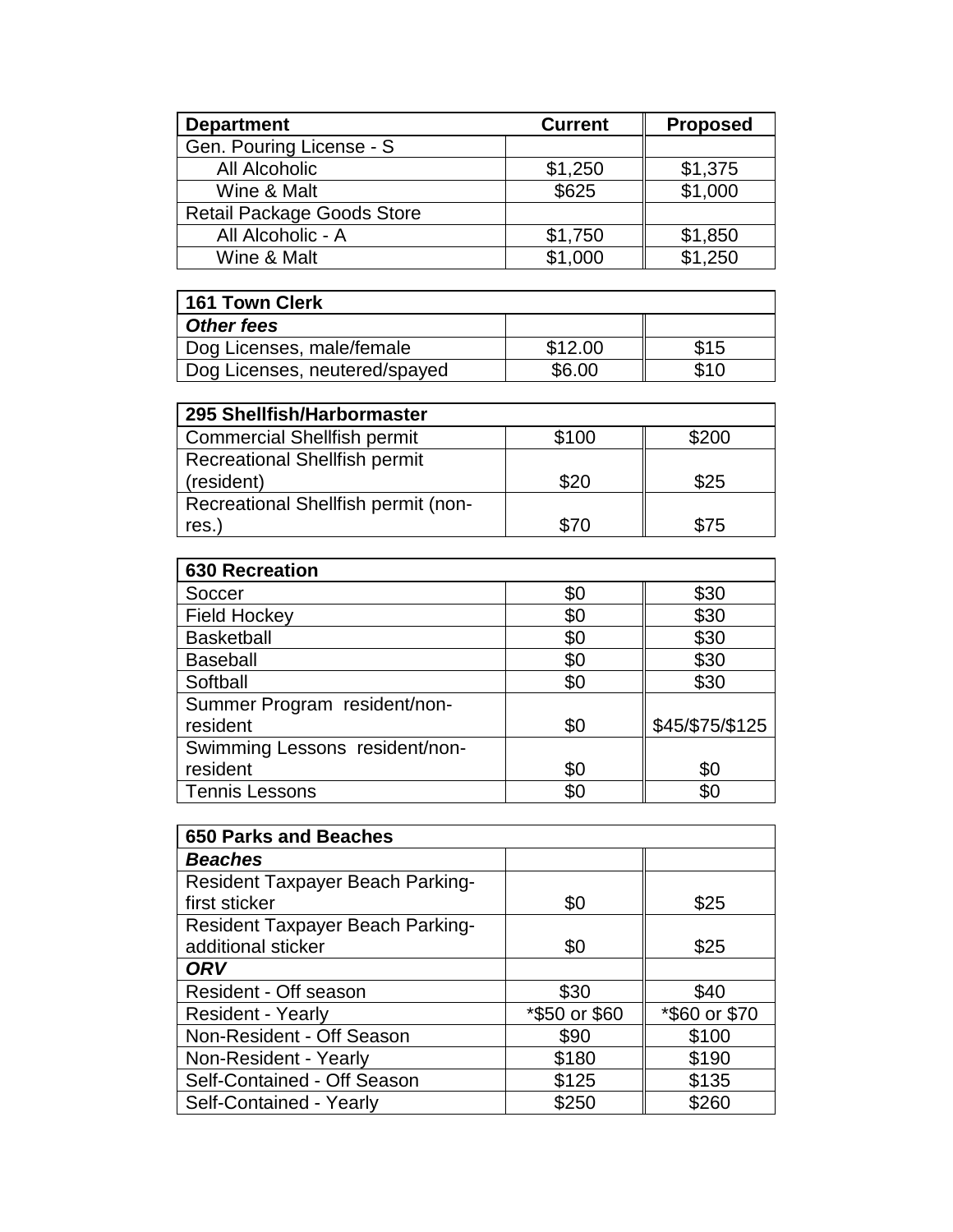| <b>Department</b>                 | <b>Current</b> | <b>Proposed</b> |
|-----------------------------------|----------------|-----------------|
| Gen. Pouring License - S          |                |                 |
| All Alcoholic                     | \$1,250        | \$1,375         |
| Wine & Malt                       | \$625          | \$1,000         |
| <b>Retail Package Goods Store</b> |                |                 |
| All Alcoholic - A                 | \$1,750        | \$1,850         |
| Wine & Malt                       | \$1,000        | \$1,250         |

| <b>161 Town Clerk</b>         |         |      |
|-------------------------------|---------|------|
| <b>Other fees</b>             |         |      |
| Dog Licenses, male/female     | \$12.00 | \$15 |
| Dog Licenses, neutered/spayed | \$6.00  | \$10 |

| 295 Shellfish/Harbormaster           |       |       |
|--------------------------------------|-------|-------|
| <b>Commercial Shellfish permit</b>   | \$100 | \$200 |
| <b>Recreational Shellfish permit</b> |       |       |
| (resident)                           | \$20  | \$25  |
| Recreational Shellfish permit (non-  |       |       |
| res.)                                | \$70  | \$75  |

| <b>630 Recreation</b>          |     |                 |
|--------------------------------|-----|-----------------|
| Soccer                         | \$0 | \$30            |
| <b>Field Hockey</b>            | \$0 | \$30            |
| <b>Basketball</b>              | \$0 | \$30            |
| <b>Baseball</b>                | \$0 | \$30            |
| Softball                       | \$0 | \$30            |
| Summer Program resident/non-   |     |                 |
| resident                       | \$0 | \$45/\$75/\$125 |
| Swimming Lessons resident/non- |     |                 |
| resident                       | \$0 | \$0             |
| <b>Tennis Lessons</b>          | \$0 | \$0             |

| <b>650 Parks and Beaches</b>            |               |               |
|-----------------------------------------|---------------|---------------|
| <b>Beaches</b>                          |               |               |
| Resident Taxpayer Beach Parking-        |               |               |
| first sticker                           | \$0           | \$25          |
| <b>Resident Taxpayer Beach Parking-</b> |               |               |
| additional sticker                      | \$0           | \$25          |
| <b>ORV</b>                              |               |               |
| Resident - Off season                   | \$30          | \$40          |
| <b>Resident - Yearly</b>                | *\$50 or \$60 | *\$60 or \$70 |
| Non-Resident - Off Season               | \$90          | \$100         |
| Non-Resident - Yearly                   | \$180         | \$190         |
| Self-Contained - Off Season             | \$125         | \$135         |
| Self-Contained - Yearly                 | \$250         | \$260         |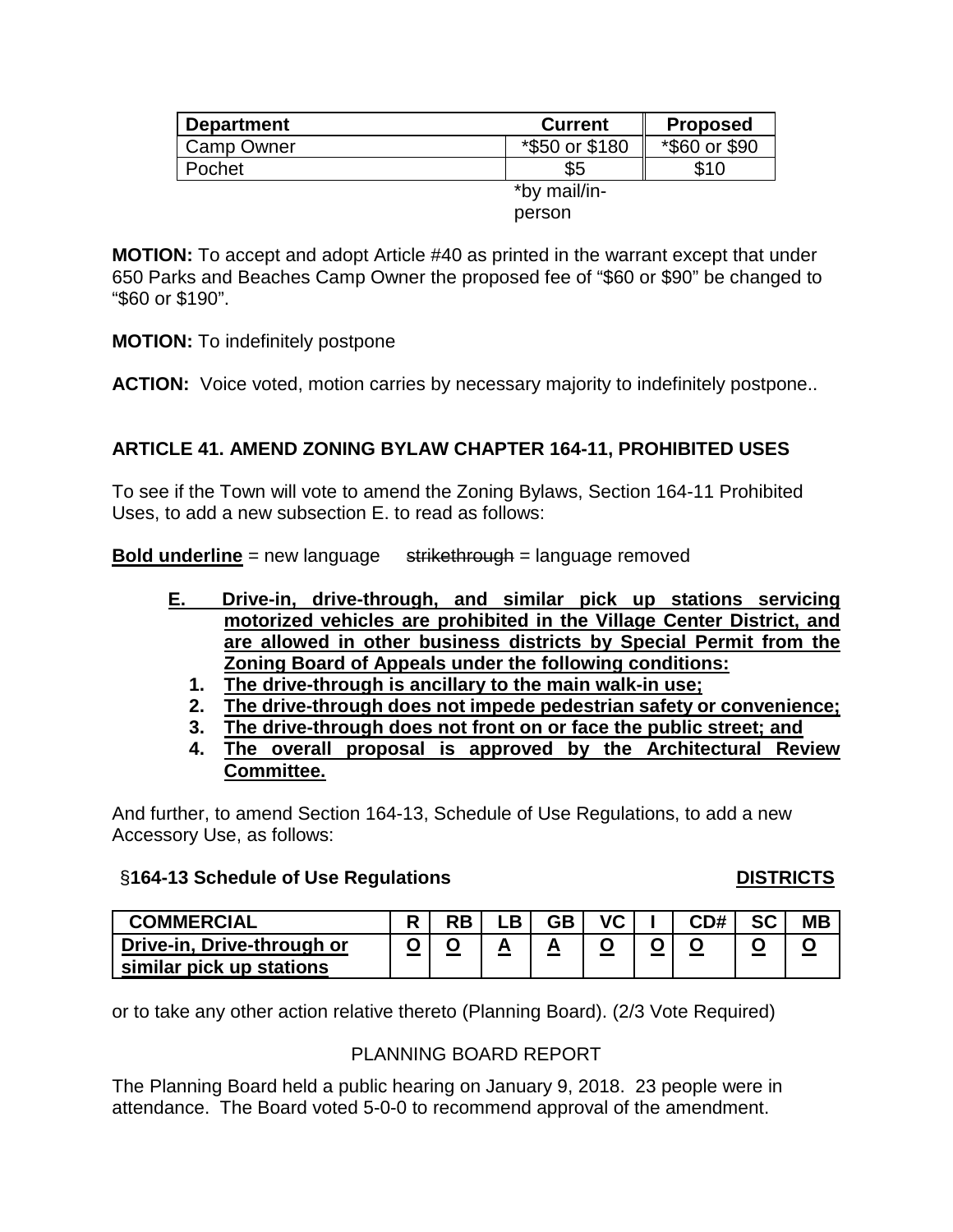| <b>Department</b> | <b>Current</b> | <b>Proposed</b> |
|-------------------|----------------|-----------------|
| <b>Camp Owner</b> | *\$50 or \$180 | *\$60 or \$90   |
| Pochet            | \$5            | \$10            |
|                   | *by mail/in-   |                 |
|                   | person         |                 |

**MOTION:** To accept and adopt Article #40 as printed in the warrant except that under 650 Parks and Beaches Camp Owner the proposed fee of "\$60 or \$90" be changed to "\$60 or \$190".

**MOTION:** To indefinitely postpone

**ACTION:** Voice voted, motion carries by necessary majority to indefinitely postpone..

# **ARTICLE 41. AMEND ZONING BYLAW CHAPTER 164-11, PROHIBITED USES**

To see if the Town will vote to amend the Zoning Bylaws, Section 164-11 Prohibited Uses, to add a new subsection E. to read as follows:

**Bold underline** = new language strikethrough = language removed

- **E. Drive-in, drive-through, and similar pick up stations servicing motorized vehicles are prohibited in the Village Center District, and are allowed in other business districts by Special Permit from the Zoning Board of Appeals under the following conditions:**
	- **1. The drive-through is ancillary to the main walk-in use;**
	- **2. The drive-through does not impede pedestrian safety or convenience;**
	- **3. The drive-through does not front on or face the public street; and**
	- **4. The overall proposal is approved by the Architectural Review Committee.**

And further, to amend Section 164-13, Schedule of Use Regulations, to add a new Accessory Use, as follows:

#### §**164-13 Schedule of Use Regulations DISTRICTS**

| <b>COMMERCIAL</b>          | $\Box$ | RB | D | GB | VC | CD# | $\mathbf{c}$ | <b>MB</b> |
|----------------------------|--------|----|---|----|----|-----|--------------|-----------|
| Drive-in, Drive-through or |        |    |   |    |    |     |              |           |
| similar pick up stations   |        |    |   |    |    |     |              |           |

or to take any other action relative thereto (Planning Board). (2/3 Vote Required)

#### PLANNING BOARD REPORT

The Planning Board held a public hearing on January 9, 2018. 23 people were in attendance. The Board voted 5-0-0 to recommend approval of the amendment.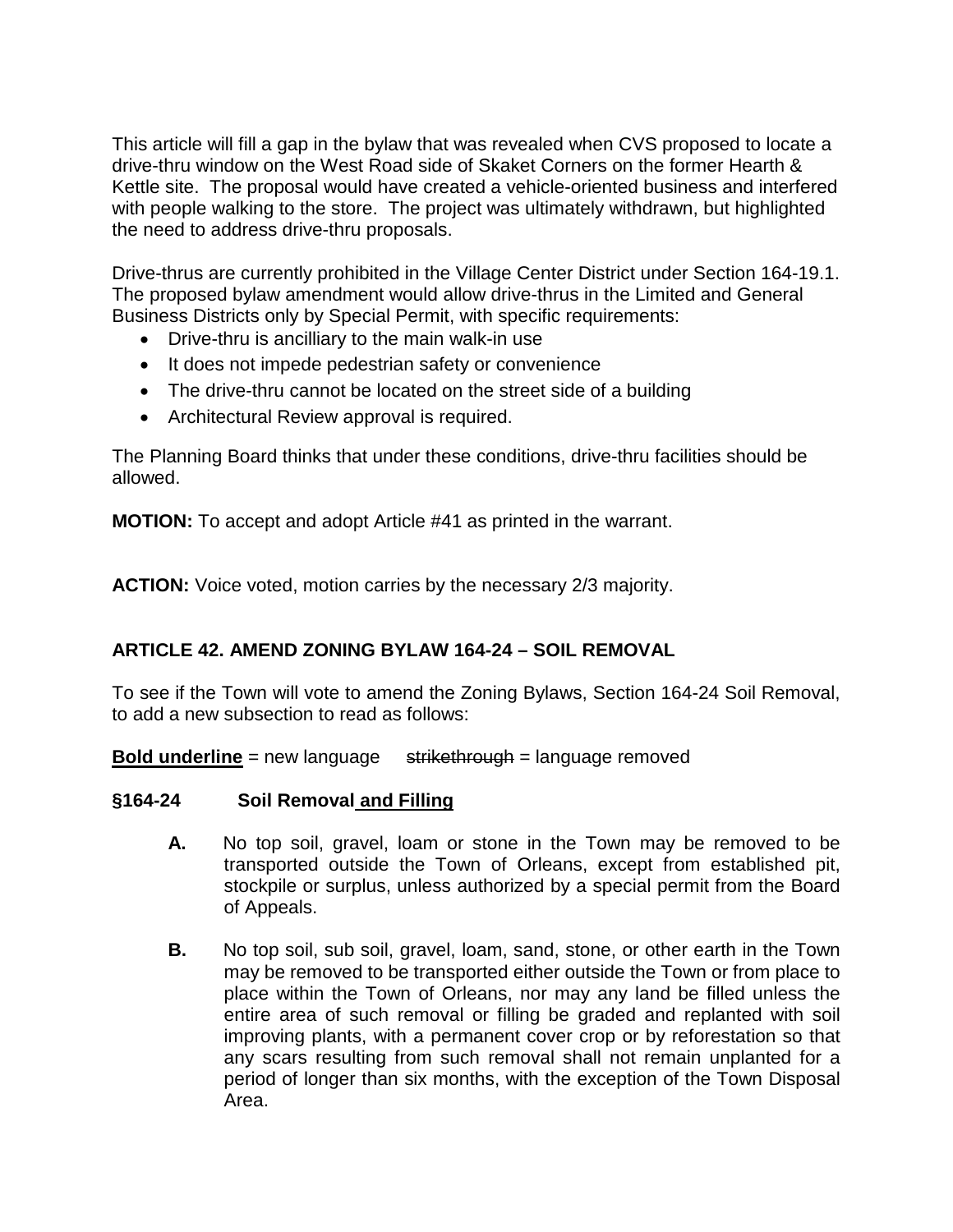This article will fill a gap in the bylaw that was revealed when CVS proposed to locate a drive-thru window on the West Road side of Skaket Corners on the former Hearth & Kettle site. The proposal would have created a vehicle-oriented business and interfered with people walking to the store. The project was ultimately withdrawn, but highlighted the need to address drive-thru proposals.

Drive-thrus are currently prohibited in the Village Center District under Section 164-19.1. The proposed bylaw amendment would allow drive-thrus in the Limited and General Business Districts only by Special Permit, with specific requirements:

- Drive-thru is ancilliary to the main walk-in use
- It does not impede pedestrian safety or convenience
- The drive-thru cannot be located on the street side of a building
- Architectural Review approval is required.

The Planning Board thinks that under these conditions, drive-thru facilities should be allowed.

**MOTION:** To accept and adopt Article #41 as printed in the warrant.

**ACTION:** Voice voted, motion carries by the necessary 2/3 majority.

# **ARTICLE 42. AMEND ZONING BYLAW 164-24 – SOIL REMOVAL**

To see if the Town will vote to amend the Zoning Bylaws, Section 164-24 Soil Removal, to add a new subsection to read as follows:

**Bold underline** = new language strikethrough = language removed

#### **§164-24 Soil Removal and Filling**

- **A.** No top soil, gravel, loam or stone in the Town may be removed to be transported outside the Town of Orleans, except from established pit, stockpile or surplus, unless authorized by a special permit from the Board of Appeals.
- **B.** No top soil, sub soil, gravel, loam, sand, stone, or other earth in the Town may be removed to be transported either outside the Town or from place to place within the Town of Orleans, nor may any land be filled unless the entire area of such removal or filling be graded and replanted with soil improving plants, with a permanent cover crop or by reforestation so that any scars resulting from such removal shall not remain unplanted for a period of longer than six months, with the exception of the Town Disposal Area.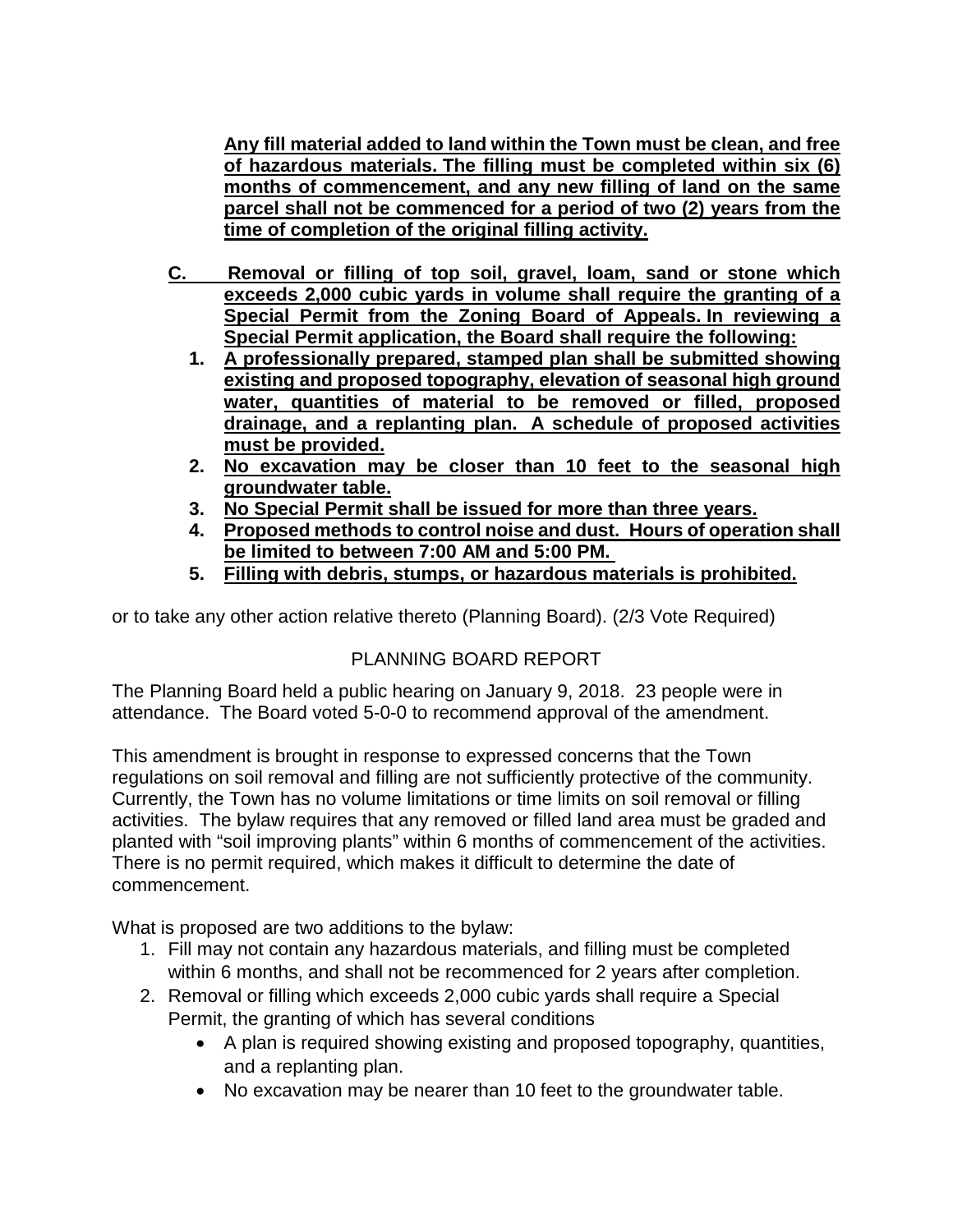**Any fill material added to land within the Town must be clean, and free of hazardous materials. The filling must be completed within six (6) months of commencement, and any new filling of land on the same parcel shall not be commenced for a period of two (2) years from the time of completion of the original filling activity.**

- **C. Removal or filling of top soil, gravel, loam, sand or stone which exceeds 2,000 cubic yards in volume shall require the granting of a Special Permit from the Zoning Board of Appeals. In reviewing a Special Permit application, the Board shall require the following:**
	- **1. A professionally prepared, stamped plan shall be submitted showing existing and proposed topography, elevation of seasonal high ground water, quantities of material to be removed or filled, proposed drainage, and a replanting plan. A schedule of proposed activities must be provided.**
	- **2. No excavation may be closer than 10 feet to the seasonal high groundwater table.**
	- **3. No Special Permit shall be issued for more than three years.**
	- **4. Proposed methods to control noise and dust. Hours of operation shall be limited to between 7:00 AM and 5:00 PM.**
	- **5. Filling with debris, stumps, or hazardous materials is prohibited.**

or to take any other action relative thereto (Planning Board). (2/3 Vote Required)

# PLANNING BOARD REPORT

The Planning Board held a public hearing on January 9, 2018. 23 people were in attendance. The Board voted 5-0-0 to recommend approval of the amendment.

This amendment is brought in response to expressed concerns that the Town regulations on soil removal and filling are not sufficiently protective of the community. Currently, the Town has no volume limitations or time limits on soil removal or filling activities. The bylaw requires that any removed or filled land area must be graded and planted with "soil improving plants" within 6 months of commencement of the activities. There is no permit required, which makes it difficult to determine the date of commencement.

What is proposed are two additions to the bylaw:

- 1. Fill may not contain any hazardous materials, and filling must be completed within 6 months, and shall not be recommenced for 2 years after completion.
- 2. Removal or filling which exceeds 2,000 cubic yards shall require a Special Permit, the granting of which has several conditions
	- A plan is required showing existing and proposed topography, quantities, and a replanting plan.
	- No excavation may be nearer than 10 feet to the groundwater table.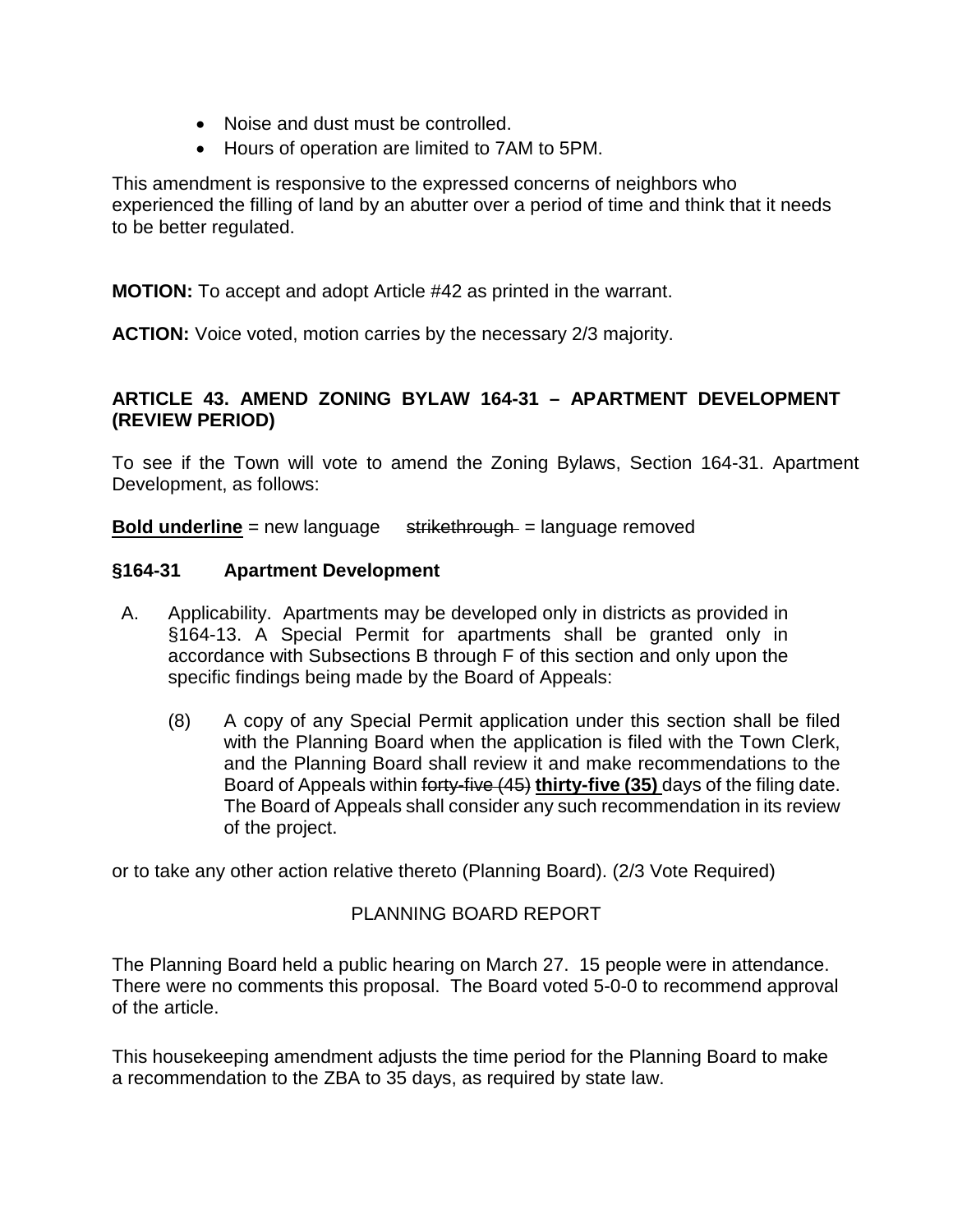- Noise and dust must be controlled.
- Hours of operation are limited to 7AM to 5PM.

This amendment is responsive to the expressed concerns of neighbors who experienced the filling of land by an abutter over a period of time and think that it needs to be better regulated.

**MOTION:** To accept and adopt Article #42 as printed in the warrant.

**ACTION:** Voice voted, motion carries by the necessary 2/3 majority.

# **ARTICLE 43. AMEND ZONING BYLAW 164-31 – APARTMENT DEVELOPMENT (REVIEW PERIOD)**

To see if the Town will vote to amend the Zoning Bylaws, Section 164-31. Apartment Development, as follows:

**Bold underline** = new language strikethrough = language removed

#### **§164-31 Apartment Development**

- A. Applicability.Apartments may be developed only in districts as provided in §164-13. A Special Permit for apartments shall be granted only in accordance with Subsections B through F of this section and only upon the specific findings being made by the Board of Appeals:
	- (8) A copy of any Special Permit application under this section shall be filed with the Planning Board when the application is filed with the Town Clerk, and the Planning Board shall review it and make recommendations to the Board of Appeals within forty-five (45) **thirty-five (35)** days of the filing date. The Board of Appeals shall consider any such recommendation in its review of the project.

or to take any other action relative thereto (Planning Board). (2/3 Vote Required)

# PLANNING BOARD REPORT

The Planning Board held a public hearing on March 27. 15 people were in attendance. There were no comments this proposal. The Board voted 5-0-0 to recommend approval of the article.

This housekeeping amendment adjusts the time period for the Planning Board to make a recommendation to the ZBA to 35 days, as required by state law.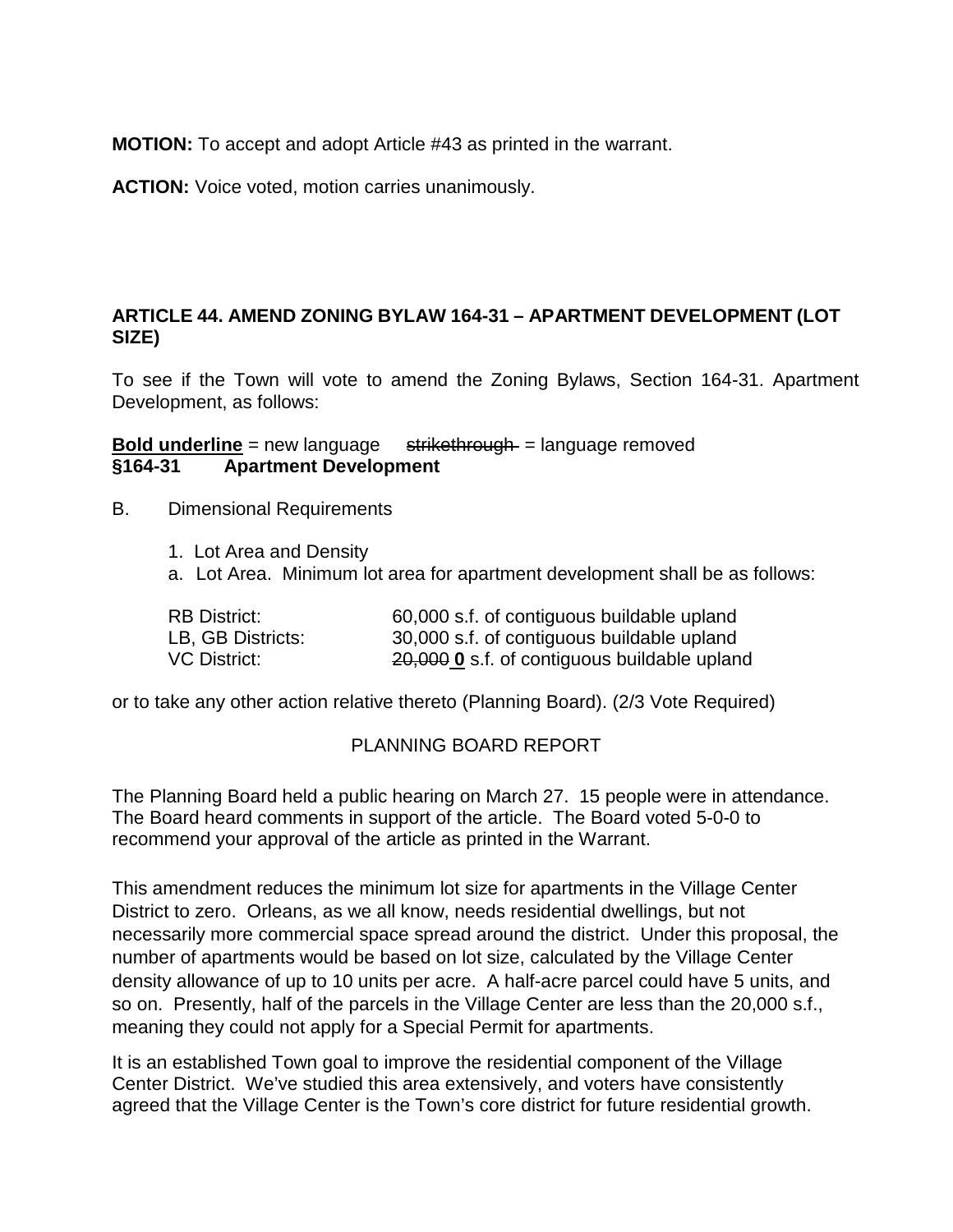**MOTION:** To accept and adopt Article #43 as printed in the warrant.

**ACTION:** Voice voted, motion carries unanimously.

# **ARTICLE 44. AMEND ZONING BYLAW 164-31 – APARTMENT DEVELOPMENT (LOT SIZE)**

To see if the Town will vote to amend the Zoning Bylaws, Section 164-31. Apartment Development, as follows:

**Bold underline** = new language strikethrough = language removed<br>§164-31 **Apartment Development §164-31 Apartment Development** 

- B. Dimensional Requirements
	- 1. Lot Area and Density
	- a. Lot Area. Minimum lot area for apartment development shall be as follows:

| <b>RB District:</b> | 60,000 s.f. of contiguous buildable upland   |
|---------------------|----------------------------------------------|
| LB, GB Districts:   | 30,000 s.f. of contiguous buildable upland   |
| VC District:        | 20,000 0 s.f. of contiguous buildable upland |

or to take any other action relative thereto (Planning Board). (2/3 Vote Required)

#### PLANNING BOARD REPORT

The Planning Board held a public hearing on March 27. 15 people were in attendance. The Board heard comments in support of the article. The Board voted 5-0-0 to recommend your approval of the article as printed in the Warrant.

This amendment reduces the minimum lot size for apartments in the Village Center District to zero. Orleans, as we all know, needs residential dwellings, but not necessarily more commercial space spread around the district. Under this proposal, the number of apartments would be based on lot size, calculated by the Village Center density allowance of up to 10 units per acre. A half-acre parcel could have 5 units, and so on. Presently, half of the parcels in the Village Center are less than the 20,000 s.f., meaning they could not apply for a Special Permit for apartments.

It is an established Town goal to improve the residential component of the Village Center District. We've studied this area extensively, and voters have consistently agreed that the Village Center is the Town's core district for future residential growth.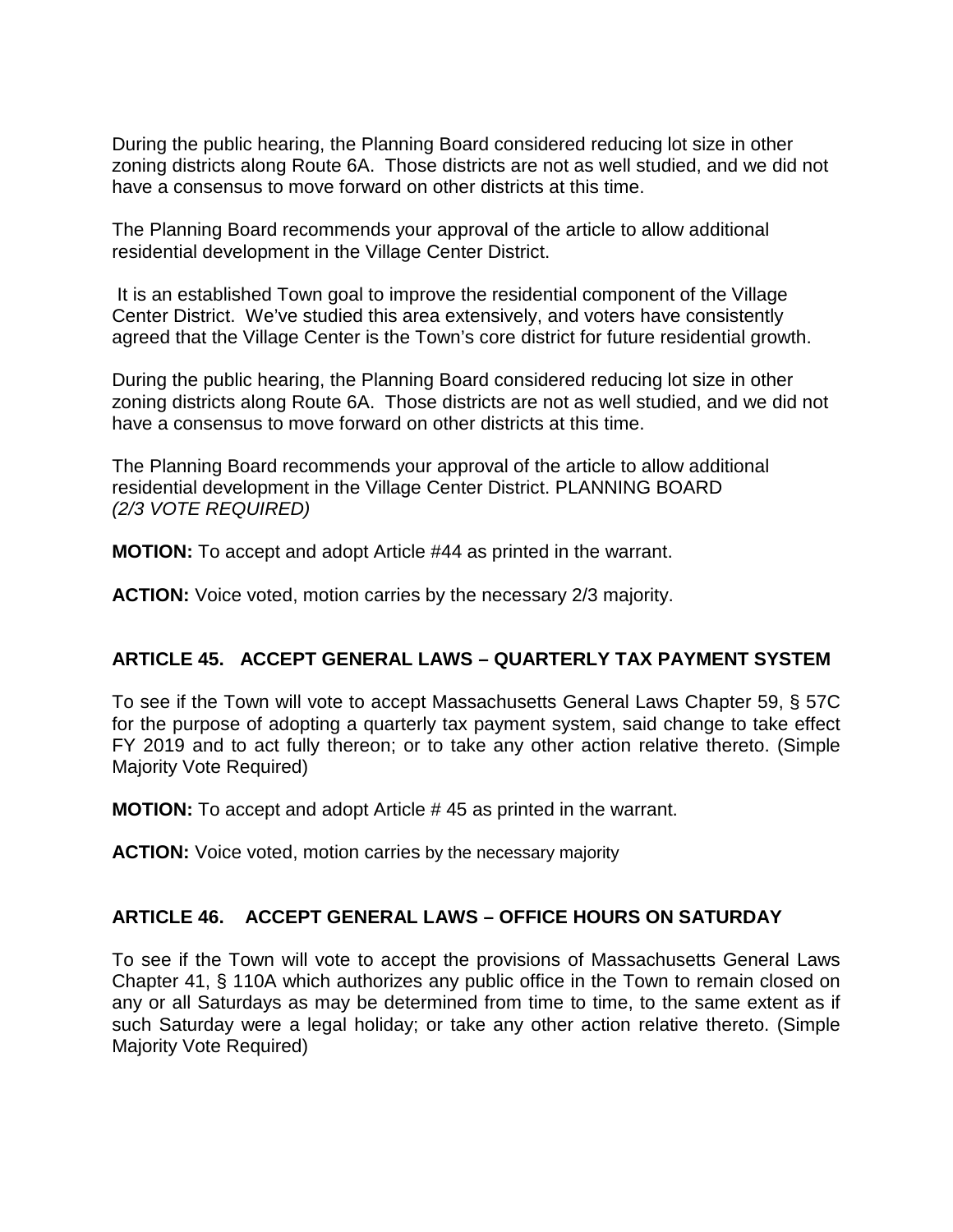During the public hearing, the Planning Board considered reducing lot size in other zoning districts along Route 6A. Those districts are not as well studied, and we did not have a consensus to move forward on other districts at this time.

The Planning Board recommends your approval of the article to allow additional residential development in the Village Center District.

It is an established Town goal to improve the residential component of the Village Center District. We've studied this area extensively, and voters have consistently agreed that the Village Center is the Town's core district for future residential growth.

During the public hearing, the Planning Board considered reducing lot size in other zoning districts along Route 6A. Those districts are not as well studied, and we did not have a consensus to move forward on other districts at this time.

The Planning Board recommends your approval of the article to allow additional residential development in the Village Center District. PLANNING BOARD *(2/3 VOTE REQUIRED)*

**MOTION:** To accept and adopt Article #44 as printed in the warrant.

**ACTION:** Voice voted, motion carries by the necessary 2/3 majority.

#### **ARTICLE 45. ACCEPT GENERAL LAWS – QUARTERLY TAX PAYMENT SYSTEM**

To see if the Town will vote to accept Massachusetts General Laws Chapter 59, § 57C for the purpose of adopting a quarterly tax payment system, said change to take effect FY 2019 and to act fully thereon; or to take any other action relative thereto. (Simple Majority Vote Required)

**MOTION:** To accept and adopt Article # 45 as printed in the warrant.

**ACTION:** Voice voted, motion carries by the necessary majority

#### **ARTICLE 46. ACCEPT GENERAL LAWS – OFFICE HOURS ON SATURDAY**

To see if the Town will vote to accept the provisions of Massachusetts General Laws Chapter 41, § 110A which authorizes any public office in the Town to remain closed on any or all Saturdays as may be determined from time to time, to the same extent as if such Saturday were a legal holiday; or take any other action relative thereto. (Simple Majority Vote Required)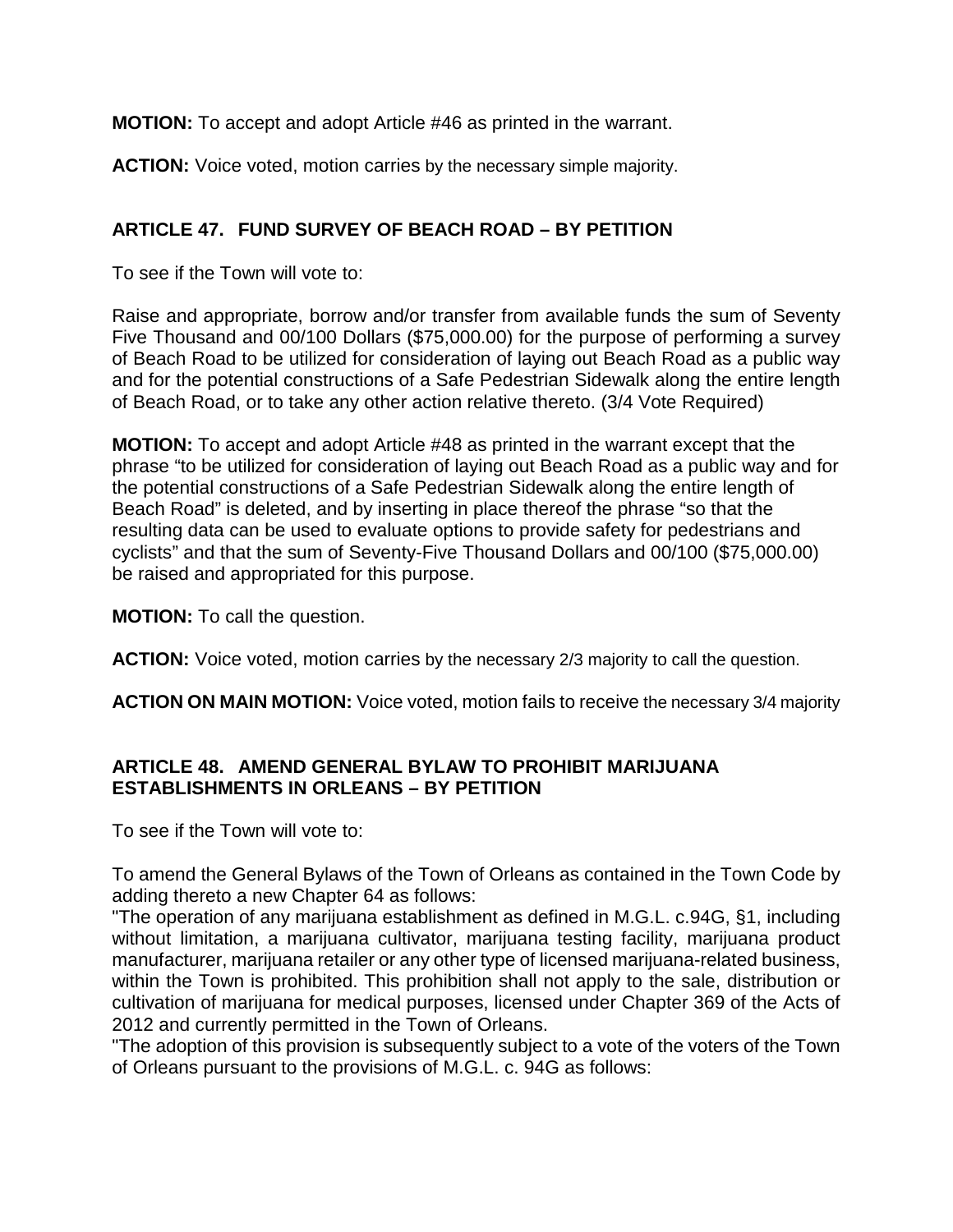**MOTION:** To accept and adopt Article #46 as printed in the warrant.

**ACTION:** Voice voted, motion carries by the necessary simple majority.

# **ARTICLE 47. FUND SURVEY OF BEACH ROAD – BY PETITION**

To see if the Town will vote to:

Raise and appropriate, borrow and/or transfer from available funds the sum of Seventy Five Thousand and 00/100 Dollars (\$75,000.00) for the purpose of performing a survey of Beach Road to be utilized for consideration of laying out Beach Road as a public way and for the potential constructions of a Safe Pedestrian Sidewalk along the entire length of Beach Road, or to take any other action relative thereto. (3/4 Vote Required)

**MOTION:** To accept and adopt Article #48 as printed in the warrant except that the phrase "to be utilized for consideration of laying out Beach Road as a public way and for the potential constructions of a Safe Pedestrian Sidewalk along the entire length of Beach Road" is deleted, and by inserting in place thereof the phrase "so that the resulting data can be used to evaluate options to provide safety for pedestrians and cyclists" and that the sum of Seventy-Five Thousand Dollars and 00/100 (\$75,000.00) be raised and appropriated for this purpose.

**MOTION:** To call the question.

**ACTION:** Voice voted, motion carries by the necessary 2/3 majority to call the question.

**ACTION ON MAIN MOTION:** Voice voted, motion fails to receive the necessary 3/4 majority

# **ARTICLE 48. AMEND GENERAL BYLAW TO PROHIBIT MARIJUANA ESTABLISHMENTS IN ORLEANS – BY PETITION**

To see if the Town will vote to:

To amend the General Bylaws of the Town of Orleans as contained in the Town Code by adding thereto a new Chapter 64 as follows:

"The operation of any marijuana establishment as defined in M.G.L. c.94G, §1, including without limitation, a marijuana cultivator, marijuana testing facility, marijuana product manufacturer, marijuana retailer or any other type of licensed marijuana-related business, within the Town is prohibited. This prohibition shall not apply to the sale, distribution or cultivation of marijuana for medical purposes, licensed under Chapter 369 of the Acts of 2012 and currently permitted in the Town of Orleans.

"The adoption of this provision is subsequently subject to a vote of the voters of the Town of Orleans pursuant to the provisions of M.G.L. c. 94G as follows: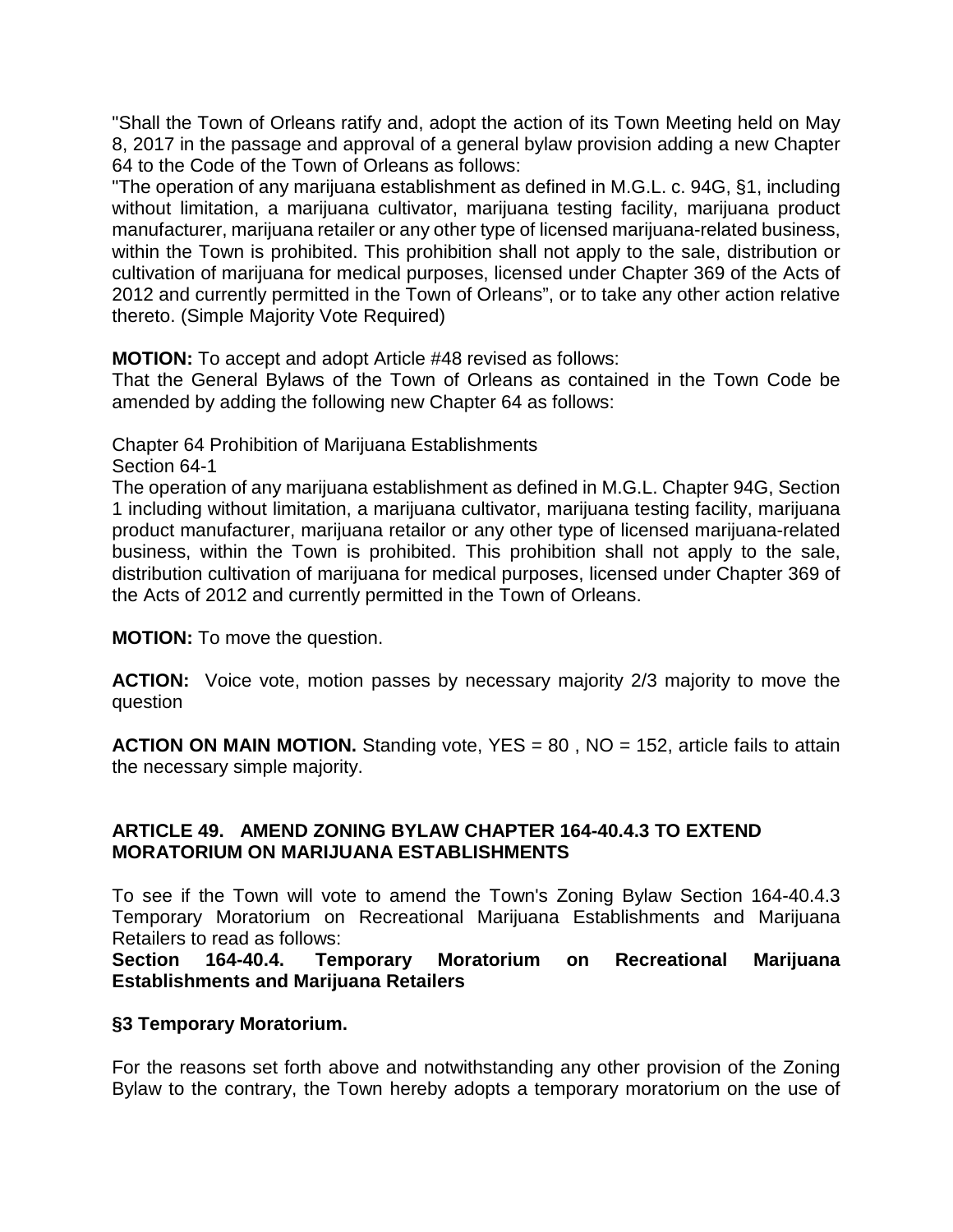"Shall the Town of Orleans ratify and, adopt the action of its Town Meeting held on May 8, 2017 in the passage and approval of a general bylaw provision adding a new Chapter 64 to the Code of the Town of Orleans as follows:

"The operation of any marijuana establishment as defined in M.G.L. c. 94G, §1, including without limitation, a marijuana cultivator, marijuana testing facility, marijuana product manufacturer, marijuana retailer or any other type of licensed marijuana-related business, within the Town is prohibited. This prohibition shall not apply to the sale, distribution or cultivation of marijuana for medical purposes, licensed under Chapter 369 of the Acts of 2012 and currently permitted in the Town of Orleans", or to take any other action relative thereto. (Simple Majority Vote Required)

**MOTION:** To accept and adopt Article #48 revised as follows:

That the General Bylaws of the Town of Orleans as contained in the Town Code be amended by adding the following new Chapter 64 as follows:

Chapter 64 Prohibition of Marijuana Establishments

Section 64-1

The operation of any marijuana establishment as defined in M.G.L. Chapter 94G, Section 1 including without limitation, a marijuana cultivator, marijuana testing facility, marijuana product manufacturer, marijuana retailor or any other type of licensed marijuana-related business, within the Town is prohibited. This prohibition shall not apply to the sale, distribution cultivation of marijuana for medical purposes, licensed under Chapter 369 of the Acts of 2012 and currently permitted in the Town of Orleans.

**MOTION:** To move the question.

**ACTION:** Voice vote, motion passes by necessary majority 2/3 majority to move the question

**ACTION ON MAIN MOTION.** Standing vote, YES = 80 , NO = 152, article fails to attain the necessary simple majority.

# **ARTICLE 49. AMEND ZONING BYLAW CHAPTER 164-40.4.3 TO EXTEND MORATORIUM ON MARIJUANA ESTABLISHMENTS**

To see if the Town will vote to amend the Town's Zoning Bylaw Section 164-40.4.3 Temporary Moratorium on Recreational Marijuana Establishments and Marijuana Retailers to read as follows:

**Section 164-40.4. Temporary Moratorium on Recreational Marijuana Establishments and Marijuana Retailers**

# **§3 Temporary Moratorium.**

For the reasons set forth above and notwithstanding any other provision of the Zoning Bylaw to the contrary, the Town hereby adopts a temporary moratorium on the use of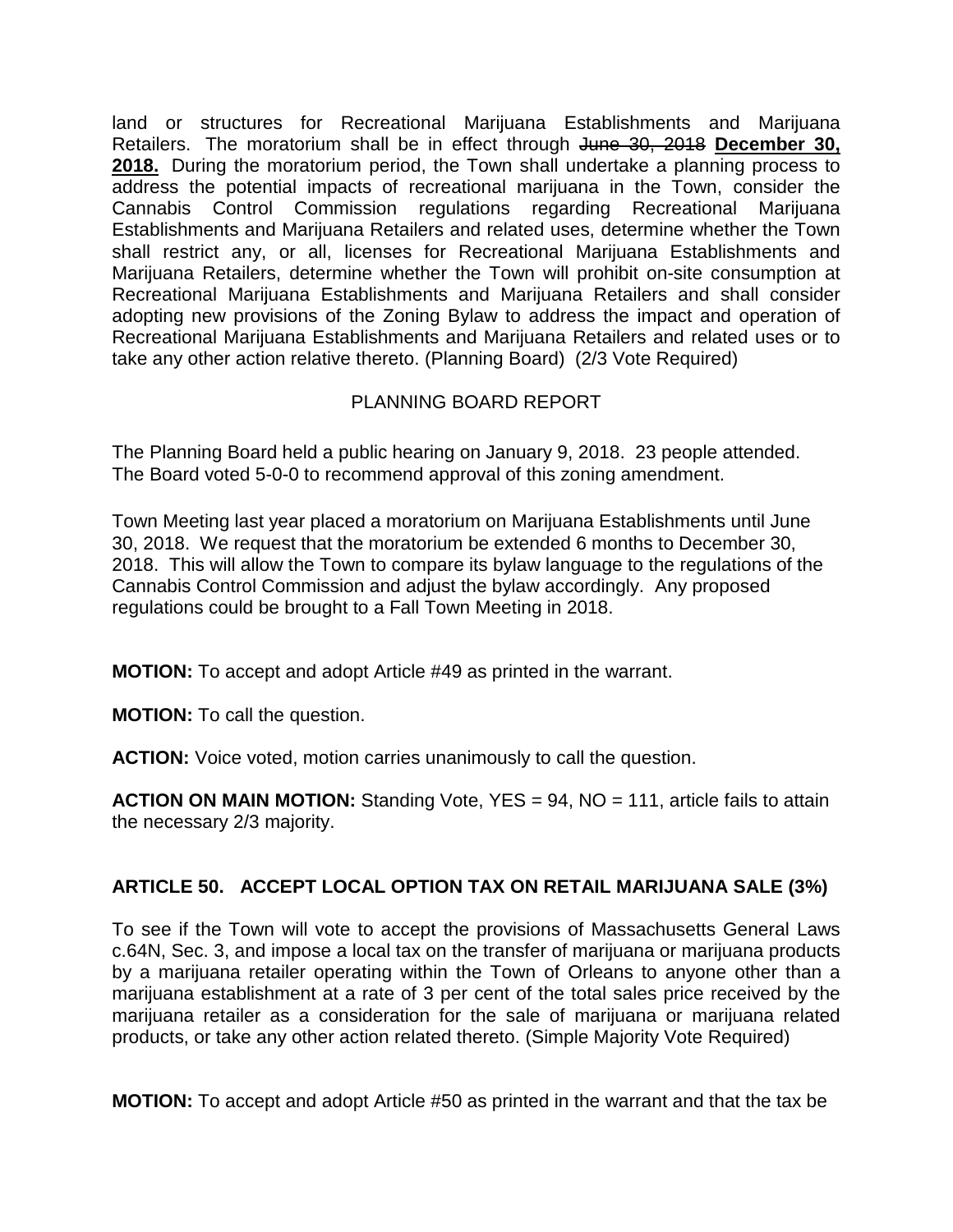land or structures for Recreational Marijuana Establishments and Marijuana Retailers. The moratorium shall be in effect through June 30, 2018 **December 30, 2018.** During the moratorium period, the Town shall undertake a planning process to address the potential impacts of recreational marijuana in the Town, consider the Cannabis Control Commission regulations regarding Recreational Marijuana Establishments and Marijuana Retailers and related uses, determine whether the Town shall restrict any, or all, licenses for Recreational Marijuana Establishments and Marijuana Retailers, determine whether the Town will prohibit on-site consumption at Recreational Marijuana Establishments and Marijuana Retailers and shall consider adopting new provisions of the Zoning Bylaw to address the impact and operation of Recreational Marijuana Establishments and Marijuana Retailers and related uses or to take any other action relative thereto. (Planning Board) (2/3 Vote Required)

# PLANNING BOARD REPORT

The Planning Board held a public hearing on January 9, 2018. 23 people attended. The Board voted 5-0-0 to recommend approval of this zoning amendment.

Town Meeting last year placed a moratorium on Marijuana Establishments until June 30, 2018. We request that the moratorium be extended 6 months to December 30, 2018. This will allow the Town to compare its bylaw language to the regulations of the Cannabis Control Commission and adjust the bylaw accordingly. Any proposed regulations could be brought to a Fall Town Meeting in 2018.

**MOTION:** To accept and adopt Article #49 as printed in the warrant.

**MOTION:** To call the question.

**ACTION:** Voice voted, motion carries unanimously to call the question.

**ACTION ON MAIN MOTION:** Standing Vote, YES = 94, NO = 111, article fails to attain the necessary 2/3 majority.

# **ARTICLE 50. ACCEPT LOCAL OPTION TAX ON RETAIL MARIJUANA SALE (3%)**

To see if the Town will vote to accept the provisions of Massachusetts General Laws c.64N, Sec. 3, and impose a local tax on the transfer of marijuana or marijuana products by a marijuana retailer operating within the Town of Orleans to anyone other than a marijuana establishment at a rate of 3 per cent of the total sales price received by the marijuana retailer as a consideration for the sale of marijuana or marijuana related products, or take any other action related thereto. (Simple Majority Vote Required)

**MOTION:** To accept and adopt Article #50 as printed in the warrant and that the tax be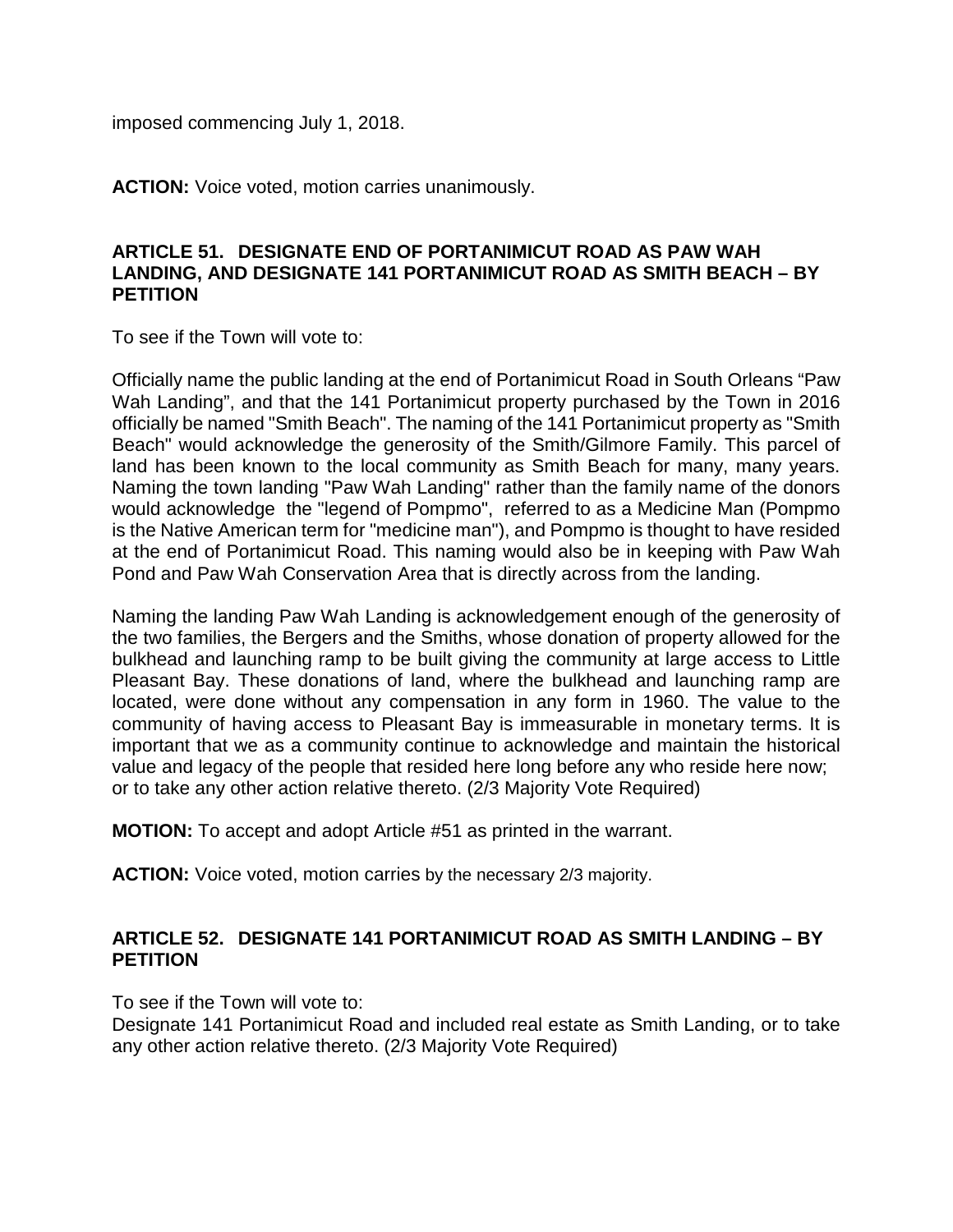imposed commencing July 1, 2018.

**ACTION:** Voice voted, motion carries unanimously.

#### **ARTICLE 51. DESIGNATE END OF PORTANIMICUT ROAD AS PAW WAH LANDING, AND DESIGNATE 141 PORTANIMICUT ROAD AS SMITH BEACH – BY PETITION**

To see if the Town will vote to:

Officially name the public landing at the end of Portanimicut Road in South Orleans "Paw Wah Landing", and that the 141 Portanimicut property purchased by the Town in 2016 officially be named "Smith Beach". The naming of the 141 Portanimicut property as "Smith Beach" would acknowledge the generosity of the Smith/Gilmore Family. This parcel of land has been known to the local community as Smith Beach for many, many years. Naming the town landing "Paw Wah Landing" rather than the family name of the donors would acknowledge the "legend of Pompmo", referred to as a Medicine Man (Pompmo is the Native American term for "medicine man"), and Pompmo is thought to have resided at the end of Portanimicut Road. This naming would also be in keeping with Paw Wah Pond and Paw Wah Conservation Area that is directly across from the landing.

Naming the landing Paw Wah Landing is acknowledgement enough of the generosity of the two families, the Bergers and the Smiths, whose donation of property allowed for the bulkhead and launching ramp to be built giving the community at large access to Little Pleasant Bay. These donations of land, where the bulkhead and launching ramp are located, were done without any compensation in any form in 1960. The value to the community of having access to Pleasant Bay is immeasurable in monetary terms. It is important that we as a community continue to acknowledge and maintain the historical value and legacy of the people that resided here long before any who reside here now; or to take any other action relative thereto. (2/3 Majority Vote Required)

**MOTION:** To accept and adopt Article #51 as printed in the warrant.

**ACTION:** Voice voted, motion carries by the necessary 2/3 majority.

#### **ARTICLE 52. DESIGNATE 141 PORTANIMICUT ROAD AS SMITH LANDING – BY PETITION**

To see if the Town will vote to:

Designate 141 Portanimicut Road and included real estate as Smith Landing, or to take any other action relative thereto. (2/3 Majority Vote Required)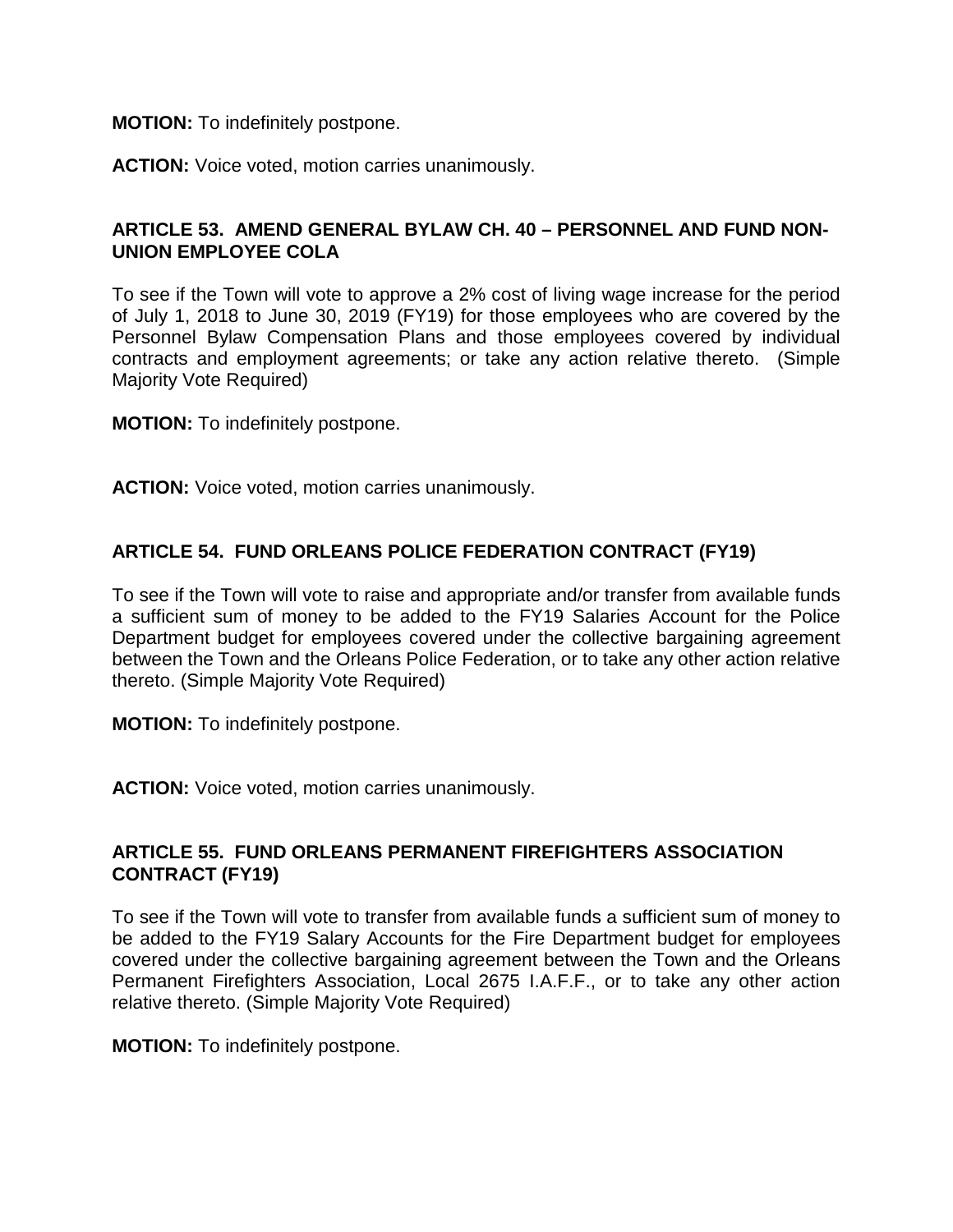#### **MOTION:** To indefinitely postpone.

**ACTION:** Voice voted, motion carries unanimously.

# **ARTICLE 53. AMEND GENERAL BYLAW CH. 40 – PERSONNEL AND FUND NON-UNION EMPLOYEE COLA**

To see if the Town will vote to approve a 2% cost of living wage increase for the period of July 1, 2018 to June 30, 2019 (FY19) for those employees who are covered by the Personnel Bylaw Compensation Plans and those employees covered by individual contracts and employment agreements; or take any action relative thereto. (Simple Majority Vote Required)

**MOTION:** To indefinitely postpone.

**ACTION:** Voice voted, motion carries unanimously.

# **ARTICLE 54. FUND ORLEANS POLICE FEDERATION CONTRACT (FY19)**

To see if the Town will vote to raise and appropriate and/or transfer from available funds a sufficient sum of money to be added to the FY19 Salaries Account for the Police Department budget for employees covered under the collective bargaining agreement between the Town and the Orleans Police Federation, or to take any other action relative thereto. (Simple Majority Vote Required)

**MOTION:** To indefinitely postpone.

**ACTION:** Voice voted, motion carries unanimously.

#### **ARTICLE 55. FUND ORLEANS PERMANENT FIREFIGHTERS ASSOCIATION CONTRACT (FY19)**

To see if the Town will vote to transfer from available funds a sufficient sum of money to be added to the FY19 Salary Accounts for the Fire Department budget for employees covered under the collective bargaining agreement between the Town and the Orleans Permanent Firefighters Association, Local 2675 I.A.F.F., or to take any other action relative thereto. (Simple Majority Vote Required)

**MOTION:** To indefinitely postpone.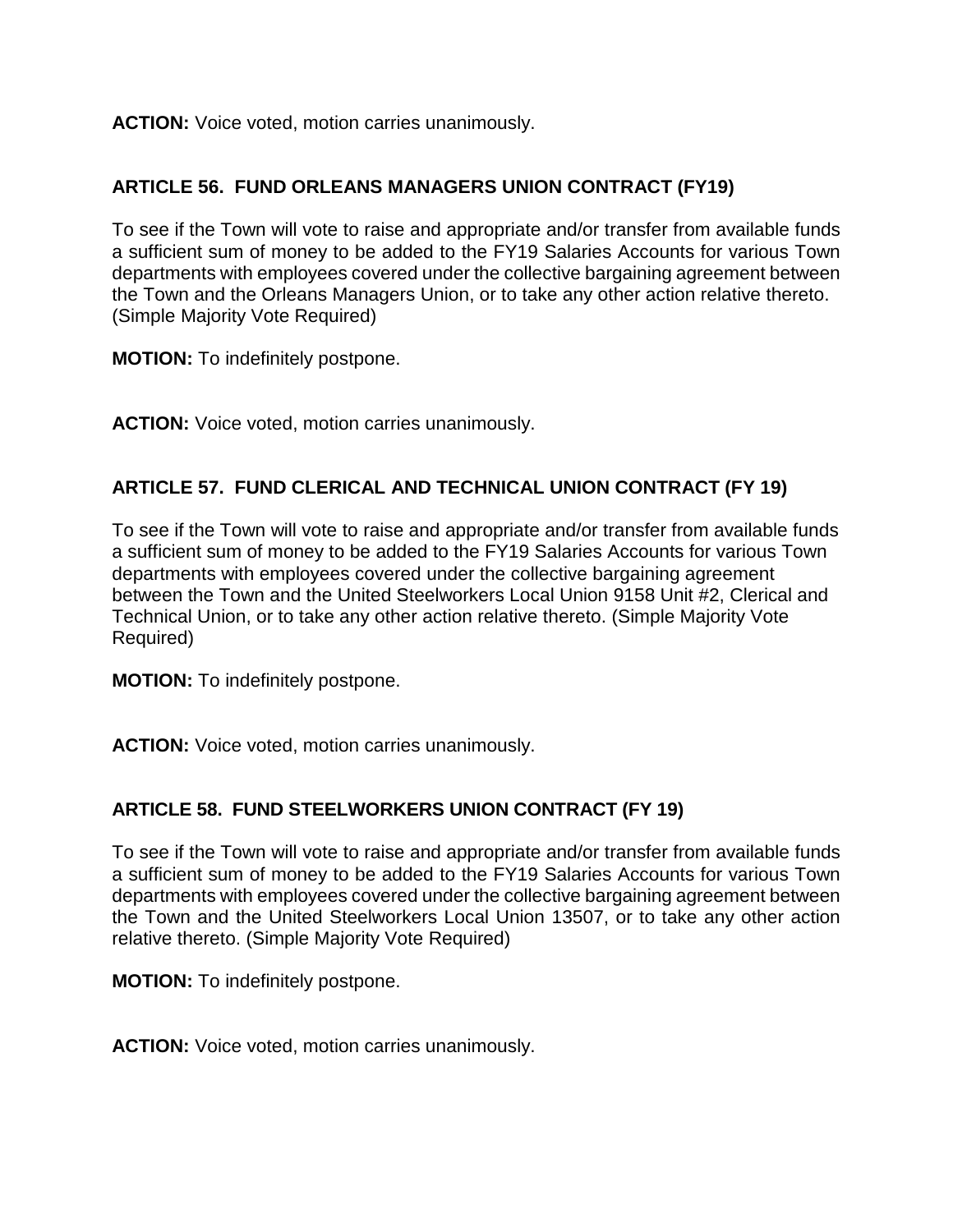**ACTION:** Voice voted, motion carries unanimously.

# **ARTICLE 56. FUND ORLEANS MANAGERS UNION CONTRACT (FY19)**

To see if the Town will vote to raise and appropriate and/or transfer from available funds a sufficient sum of money to be added to the FY19 Salaries Accounts for various Town departments with employees covered under the collective bargaining agreement between the Town and the Orleans Managers Union, or to take any other action relative thereto. (Simple Majority Vote Required)

**MOTION:** To indefinitely postpone.

**ACTION:** Voice voted, motion carries unanimously.

# **ARTICLE 57. FUND CLERICAL AND TECHNICAL UNION CONTRACT (FY 19)**

To see if the Town will vote to raise and appropriate and/or transfer from available funds a sufficient sum of money to be added to the FY19 Salaries Accounts for various Town departments with employees covered under the collective bargaining agreement between the Town and the United Steelworkers Local Union 9158 Unit #2, Clerical and Technical Union, or to take any other action relative thereto. (Simple Majority Vote Required)

**MOTION:** To indefinitely postpone.

**ACTION:** Voice voted, motion carries unanimously.

#### **ARTICLE 58. FUND STEELWORKERS UNION CONTRACT (FY 19)**

To see if the Town will vote to raise and appropriate and/or transfer from available funds a sufficient sum of money to be added to the FY19 Salaries Accounts for various Town departments with employees covered under the collective bargaining agreement between the Town and the United Steelworkers Local Union 13507, or to take any other action relative thereto. (Simple Majority Vote Required)

**MOTION:** To indefinitely postpone.

**ACTION:** Voice voted, motion carries unanimously.